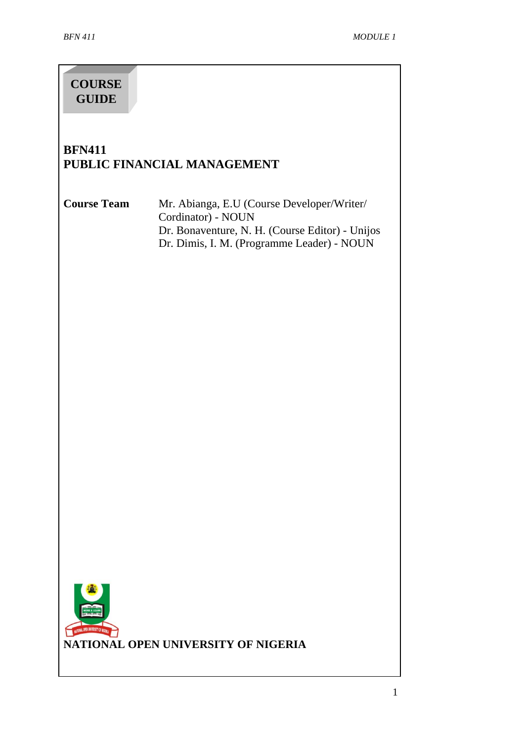# **COURSE GUIDE**

# **BFN411 PUBLIC FINANCIAL MANAGEMENT**

**Course Team** Mr. Abianga, E.U (Course Developer/Writer/ Cordinator) - NOUN Dr. Bonaventure, N. H. (Course Editor) - Unijos Dr. Dimis, I. M. (Programme Leader) - NOUN

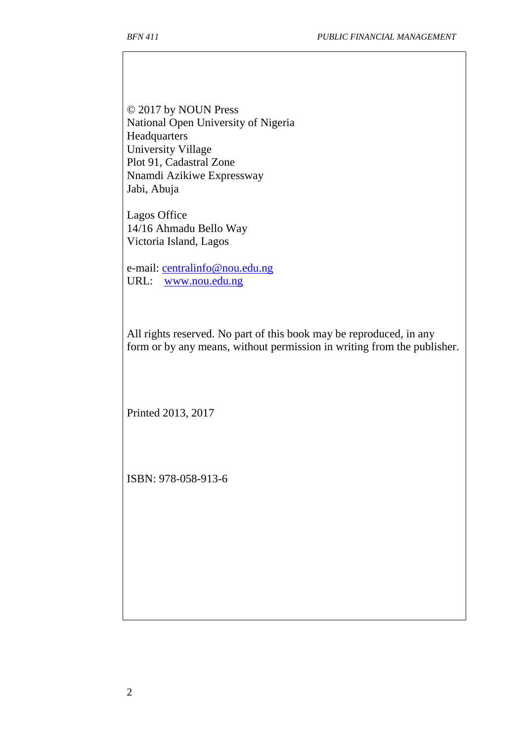© 2017 by NOUN Press National Open University of Nigeria Headquarters University Village Plot 91, Cadastral Zone Nnamdi Azikiwe Expressway Jabi, Abuja

Lagos Office 14/16 Ahmadu Bello Way Victoria Island, Lagos

e-mail: [centralinfo@nou.edu.ng](mailto:centralinfo@nou.edu.ng) URL: [www.nou.edu.ng](http://www.nou.edu.ng/)

All rights reserved. No part of this book may be reproduced, in any form or by any means, without permission in writing from the publisher.

Printed 2013, 2017

ISBN: 978-058-913-6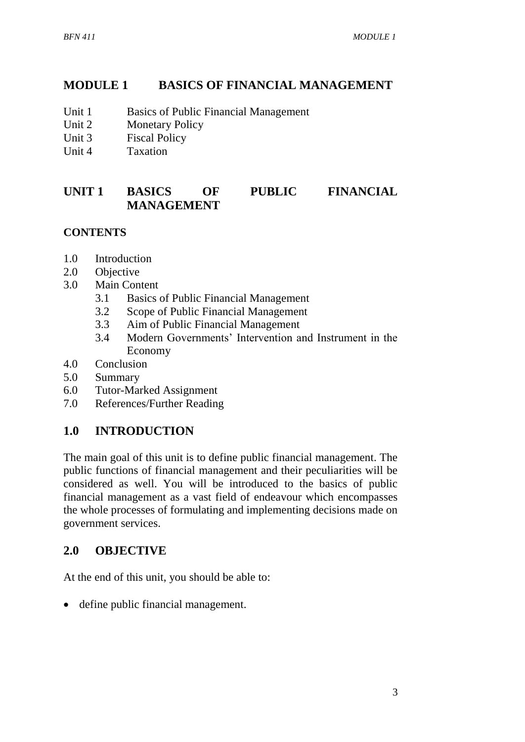# **MODULE 1 BASICS OF FINANCIAL MANAGEMENT**

- Unit 1 Basics of Public Financial Management
- Unit 2 Monetary Policy
- Unit 3 Fiscal Policy
- Unit 4 Taxation

## **UNIT 1 BASICS OF PUBLIC FINANCIAL MANAGEMENT**

### **CONTENTS**

- 1.0 Introduction
- 2.0 Objective
- 3.0 Main Content
	- 3.1 Basics of Public Financial Management
	- 3.2 Scope of Public Financial Management
	- 3.3 Aim of Public Financial Management
	- 3.4 Modern Governments' Intervention and Instrument in the Economy
- 4.0 Conclusion
- 5.0 Summary
- 6.0 Tutor-Marked Assignment
- 7.0 References/Further Reading

## **1.0 INTRODUCTION**

The main goal of this unit is to define public financial management. The public functions of financial management and their peculiarities will be considered as well. You will be introduced to the basics of public financial management as a vast field of endeavour which encompasses the whole processes of formulating and implementing decisions made on government services.

## **2.0 OBJECTIVE**

At the end of this unit, you should be able to:

define public financial management.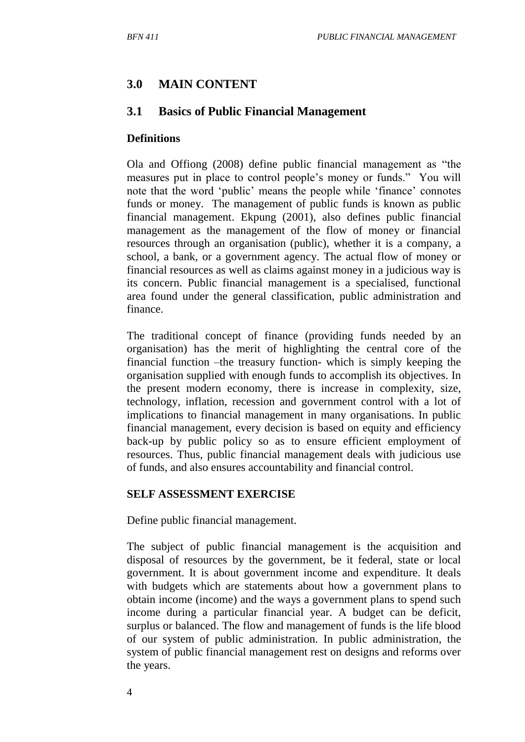### **3.0 MAIN CONTENT**

#### **3.1 Basics of Public Financial Management**

#### **Definitions**

Ola and Offiong (2008) define public financial management as "the measures put in place to control people's money or funds." You will note that the word 'public' means the people while 'finance' connotes funds or money. The management of public funds is known as public financial management. Ekpung (2001), also defines public financial management as the management of the flow of money or financial resources through an organisation (public), whether it is a company, a school, a bank, or a government agency. The actual flow of money or financial resources as well as claims against money in a judicious way is its concern. Public financial management is a specialised, functional area found under the general classification, public administration and finance.

The traditional concept of finance (providing funds needed by an organisation) has the merit of highlighting the central core of the financial function –the treasury function- which is simply keeping the organisation supplied with enough funds to accomplish its objectives. In the present modern economy, there is increase in complexity, size, technology, inflation, recession and government control with a lot of implications to financial management in many organisations. In public financial management, every decision is based on equity and efficiency back-up by public policy so as to ensure efficient employment of resources. Thus, public financial management deals with judicious use of funds, and also ensures accountability and financial control.

#### **SELF ASSESSMENT EXERCISE**

Define public financial management.

The subject of public financial management is the acquisition and disposal of resources by the government, be it federal, state or local government. It is about government income and expenditure. It deals with budgets which are statements about how a government plans to obtain income (income) and the ways a government plans to spend such income during a particular financial year. A budget can be deficit, surplus or balanced. The flow and management of funds is the life blood of our system of public administration. In public administration, the system of public financial management rest on designs and reforms over the years.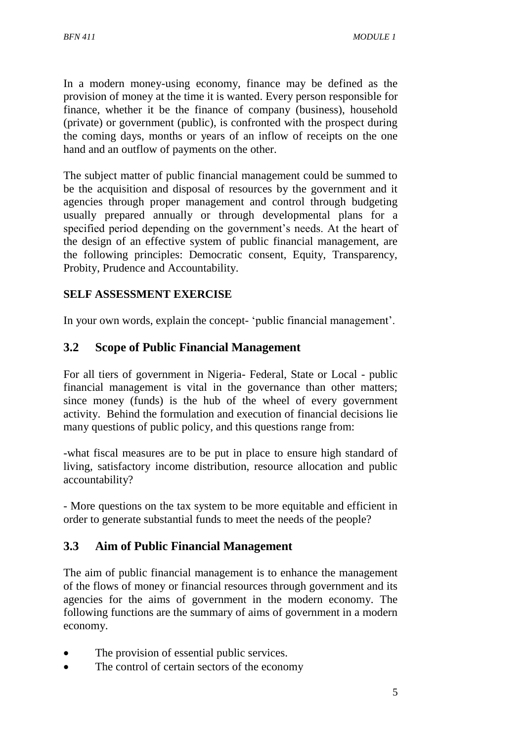In a modern money-using economy, finance may be defined as the provision of money at the time it is wanted. Every person responsible for finance, whether it be the finance of company (business), household (private) or government (public), is confronted with the prospect during the coming days, months or years of an inflow of receipts on the one hand and an outflow of payments on the other.

The subject matter of public financial management could be summed to be the acquisition and disposal of resources by the government and it agencies through proper management and control through budgeting usually prepared annually or through developmental plans for a specified period depending on the government's needs. At the heart of the design of an effective system of public financial management, are the following principles: Democratic consent, Equity, Transparency, Probity, Prudence and Accountability.

### **SELF ASSESSMENT EXERCISE**

In your own words, explain the concept- 'public financial management'.

### **3.2 Scope of Public Financial Management**

For all tiers of government in Nigeria- Federal, State or Local - public financial management is vital in the governance than other matters; since money (funds) is the hub of the wheel of every government activity. Behind the formulation and execution of financial decisions lie many questions of public policy, and this questions range from:

-what fiscal measures are to be put in place to ensure high standard of living, satisfactory income distribution, resource allocation and public accountability?

- More questions on the tax system to be more equitable and efficient in order to generate substantial funds to meet the needs of the people?

## **3.3 Aim of Public Financial Management**

The aim of public financial management is to enhance the management of the flows of money or financial resources through government and its agencies for the aims of government in the modern economy. The following functions are the summary of aims of government in a modern economy.

- The provision of essential public services.
- The control of certain sectors of the economy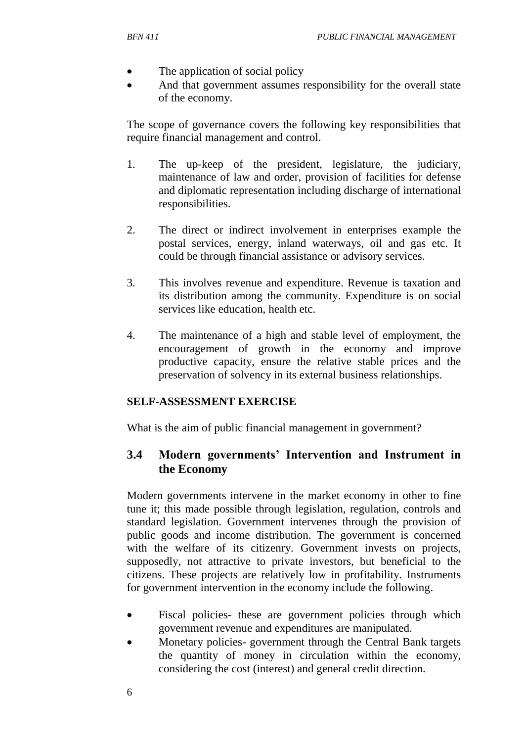- The application of social policy
- And that government assumes responsibility for the overall state of the economy.

The scope of governance covers the following key responsibilities that require financial management and control.

- 1. The up-keep of the president, legislature, the judiciary, maintenance of law and order, provision of facilities for defense and diplomatic representation including discharge of international responsibilities.
- 2. The direct or indirect involvement in enterprises example the postal services, energy, inland waterways, oil and gas etc. It could be through financial assistance or advisory services.
- 3. This involves revenue and expenditure. Revenue is taxation and its distribution among the community. Expenditure is on social services like education, health etc.
- 4. The maintenance of a high and stable level of employment, the encouragement of growth in the economy and improve productive capacity, ensure the relative stable prices and the preservation of solvency in its external business relationships.

#### **SELF-ASSESSMENT EXERCISE**

What is the aim of public financial management in government?

### **3.4 Modern governments' Intervention and Instrument in the Economy**

Modern governments intervene in the market economy in other to fine tune it; this made possible through legislation, regulation, controls and standard legislation. Government intervenes through the provision of public goods and income distribution. The government is concerned with the welfare of its citizenry. Government invests on projects, supposedly, not attractive to private investors, but beneficial to the citizens. These projects are relatively low in profitability. Instruments for government intervention in the economy include the following.

- Fiscal policies- these are government policies through which government revenue and expenditures are manipulated.
- Monetary policies- government through the Central Bank targets the quantity of money in circulation within the economy, considering the cost (interest) and general credit direction.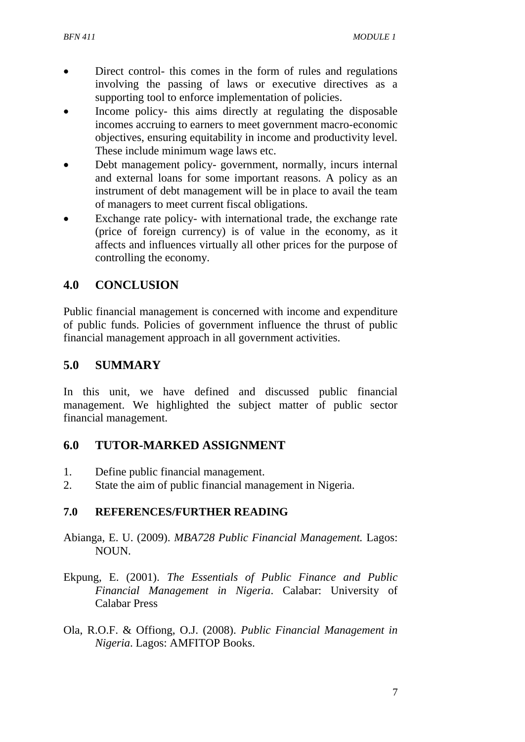- Direct control- this comes in the form of rules and regulations involving the passing of laws or executive directives as a supporting tool to enforce implementation of policies.
- Income policy- this aims directly at regulating the disposable incomes accruing to earners to meet government macro-economic objectives, ensuring equitability in income and productivity level. These include minimum wage laws etc.
- Debt management policy- government, normally, incurs internal and external loans for some important reasons. A policy as an instrument of debt management will be in place to avail the team of managers to meet current fiscal obligations.
- Exchange rate policy- with international trade, the exchange rate (price of foreign currency) is of value in the economy, as it affects and influences virtually all other prices for the purpose of controlling the economy.

## **4.0 CONCLUSION**

Public financial management is concerned with income and expenditure of public funds. Policies of government influence the thrust of public financial management approach in all government activities.

### **5.0 SUMMARY**

In this unit, we have defined and discussed public financial management. We highlighted the subject matter of public sector financial management.

### **6.0 TUTOR-MARKED ASSIGNMENT**

- 1. Define public financial management.
- 2. State the aim of public financial management in Nigeria.

### **7.0 REFERENCES/FURTHER READING**

- Abianga, E. U. (2009). *MBA728 Public Financial Management.* Lagos: NOUN.
- Ekpung, E. (2001). *The Essentials of Public Finance and Public Financial Management in Nigeria*. Calabar: University of Calabar Press
- Ola, R.O.F. & Offiong, O.J. (2008). *Public Financial Management in Nigeria*. Lagos: AMFITOP Books.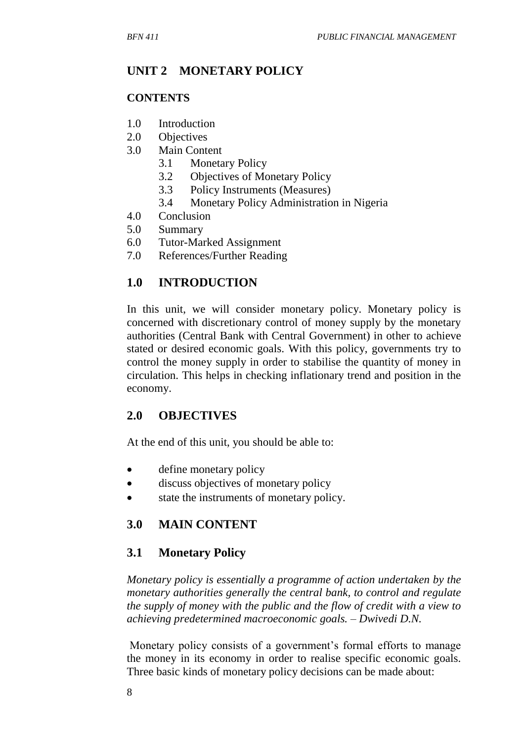# **UNIT 2 MONETARY POLICY**

#### **CONTENTS**

- 1.0 Introduction
- 2.0 Objectives
- 3.0 Main Content
	- 3.1 Monetary Policy
	- 3.2 Objectives of Monetary Policy
	- 3.3 Policy Instruments (Measures)
	- 3.4 Monetary Policy Administration in Nigeria
- 4.0 Conclusion
- 5.0 Summary
- 6.0 Tutor-Marked Assignment
- 7.0 References/Further Reading

## **1.0 INTRODUCTION**

In this unit, we will consider monetary policy. Monetary policy is concerned with discretionary control of money supply by the monetary authorities (Central Bank with Central Government) in other to achieve stated or desired economic goals. With this policy, governments try to control the money supply in order to stabilise the quantity of money in circulation. This helps in checking inflationary trend and position in the economy.

## **2.0 OBJECTIVES**

At the end of this unit, you should be able to:

- define monetary policy
- discuss objectives of monetary policy
- state the instruments of monetary policy.

## **3.0 MAIN CONTENT**

### **3.1 Monetary Policy**

*Monetary policy is essentially a programme of action undertaken by the monetary authorities generally the central bank, to control and regulate the supply of money with the public and the flow of credit with a view to achieving predetermined macroeconomic goals. – Dwivedi D.N.* 

Monetary policy consists of a government's formal efforts to manage the money in its economy in order to realise specific economic goals. Three basic kinds of monetary policy decisions can be made about: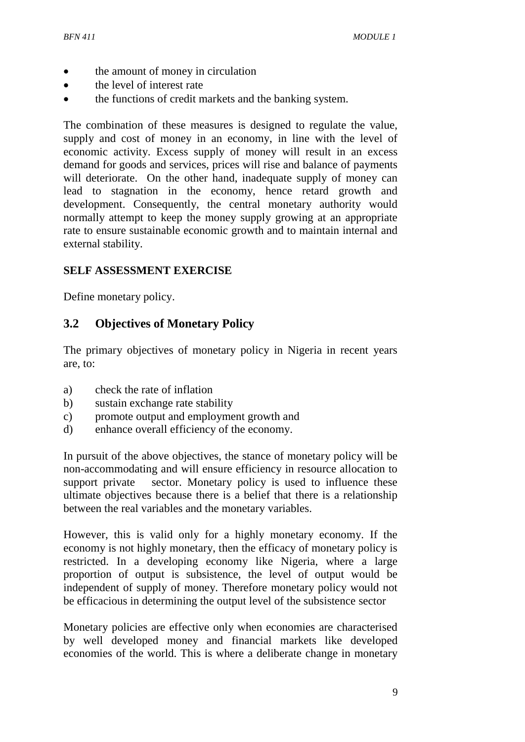- the amount of money in circulation
- the level of interest rate
- the functions of credit markets and the banking system.

The combination of these measures is designed to regulate the value, supply and cost of money in an economy, in line with the level of economic activity. Excess supply of money will result in an excess demand for goods and services, prices will rise and balance of payments will deteriorate. On the other hand, inadequate supply of money can lead to stagnation in the economy, hence retard growth and development. Consequently, the central monetary authority would normally attempt to keep the money supply growing at an appropriate rate to ensure sustainable economic growth and to maintain internal and external stability.

#### **SELF ASSESSMENT EXERCISE**

Define monetary policy.

### **3.2 Objectives of Monetary Policy**

The primary objectives of monetary policy in Nigeria in recent years are, to:

- a) check the rate of inflation
- b) sustain exchange rate stability
- c) promote output and employment growth and
- d) enhance overall efficiency of the economy.

In pursuit of the above objectives, the stance of monetary policy will be non-accommodating and will ensure efficiency in resource allocation to support private sector. Monetary policy is used to influence these ultimate objectives because there is a belief that there is a relationship between the real variables and the monetary variables.

However, this is valid only for a highly monetary economy. If the economy is not highly monetary, then the efficacy of monetary policy is restricted. In a developing economy like Nigeria, where a large proportion of output is subsistence, the level of output would be independent of supply of money. Therefore monetary policy would not be efficacious in determining the output level of the subsistence sector

Monetary policies are effective only when economies are characterised by well developed money and financial markets like developed economies of the world. This is where a deliberate change in monetary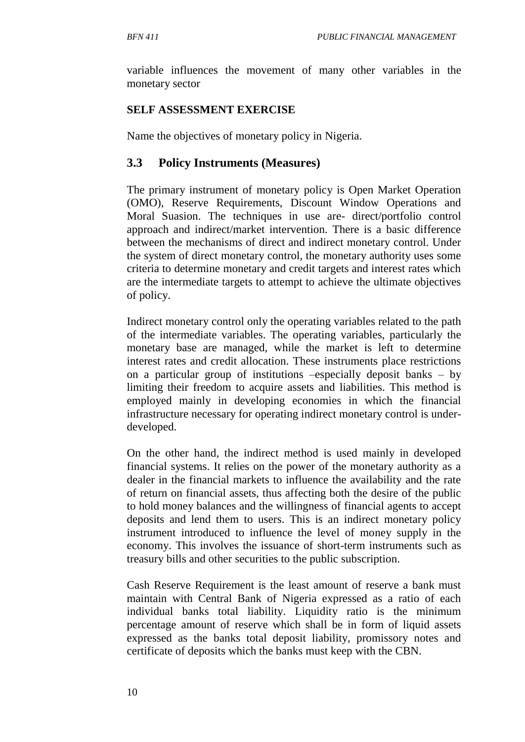variable influences the movement of many other variables in the monetary sector

#### **SELF ASSESSMENT EXERCISE**

Name the objectives of monetary policy in Nigeria.

### **3.3 Policy Instruments (Measures)**

The primary instrument of monetary policy is Open Market Operation (OMO), Reserve Requirements, Discount Window Operations and Moral Suasion. The techniques in use are- direct/portfolio control approach and indirect/market intervention. There is a basic difference between the mechanisms of direct and indirect monetary control. Under the system of direct monetary control, the monetary authority uses some criteria to determine monetary and credit targets and interest rates which are the intermediate targets to attempt to achieve the ultimate objectives of policy.

Indirect monetary control only the operating variables related to the path of the intermediate variables. The operating variables, particularly the monetary base are managed, while the market is left to determine interest rates and credit allocation. These instruments place restrictions on a particular group of institutions –especially deposit banks – by limiting their freedom to acquire assets and liabilities. This method is employed mainly in developing economies in which the financial infrastructure necessary for operating indirect monetary control is underdeveloped.

On the other hand, the indirect method is used mainly in developed financial systems. It relies on the power of the monetary authority as a dealer in the financial markets to influence the availability and the rate of return on financial assets, thus affecting both the desire of the public to hold money balances and the willingness of financial agents to accept deposits and lend them to users. This is an indirect monetary policy instrument introduced to influence the level of money supply in the economy. This involves the issuance of short-term instruments such as treasury bills and other securities to the public subscription.

Cash Reserve Requirement is the least amount of reserve a bank must maintain with Central Bank of Nigeria expressed as a ratio of each individual banks total liability. Liquidity ratio is the minimum percentage amount of reserve which shall be in form of liquid assets expressed as the banks total deposit liability, promissory notes and certificate of deposits which the banks must keep with the CBN.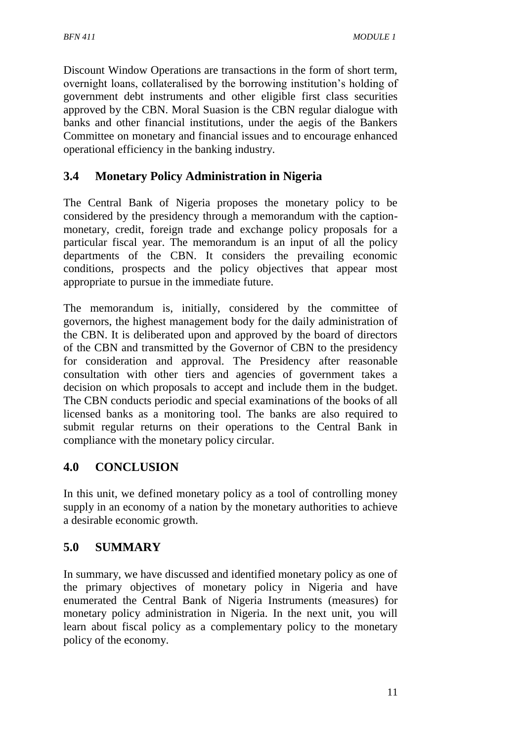Discount Window Operations are transactions in the form of short term, overnight loans, collateralised by the borrowing institution's holding of government debt instruments and other eligible first class securities approved by the CBN. Moral Suasion is the CBN regular dialogue with banks and other financial institutions, under the aegis of the Bankers Committee on monetary and financial issues and to encourage enhanced operational efficiency in the banking industry.

## **3.4 Monetary Policy Administration in Nigeria**

The Central Bank of Nigeria proposes the monetary policy to be considered by the presidency through a memorandum with the captionmonetary, credit, foreign trade and exchange policy proposals for a particular fiscal year. The memorandum is an input of all the policy departments of the CBN. It considers the prevailing economic conditions, prospects and the policy objectives that appear most appropriate to pursue in the immediate future.

The memorandum is, initially, considered by the committee of governors, the highest management body for the daily administration of the CBN. It is deliberated upon and approved by the board of directors of the CBN and transmitted by the Governor of CBN to the presidency for consideration and approval. The Presidency after reasonable consultation with other tiers and agencies of government takes a decision on which proposals to accept and include them in the budget. The CBN conducts periodic and special examinations of the books of all licensed banks as a monitoring tool. The banks are also required to submit regular returns on their operations to the Central Bank in compliance with the monetary policy circular.

## **4.0 CONCLUSION**

In this unit, we defined monetary policy as a tool of controlling money supply in an economy of a nation by the monetary authorities to achieve a desirable economic growth.

# **5.0 SUMMARY**

In summary, we have discussed and identified monetary policy as one of the primary objectives of monetary policy in Nigeria and have enumerated the Central Bank of Nigeria Instruments (measures) for monetary policy administration in Nigeria. In the next unit, you will learn about fiscal policy as a complementary policy to the monetary policy of the economy.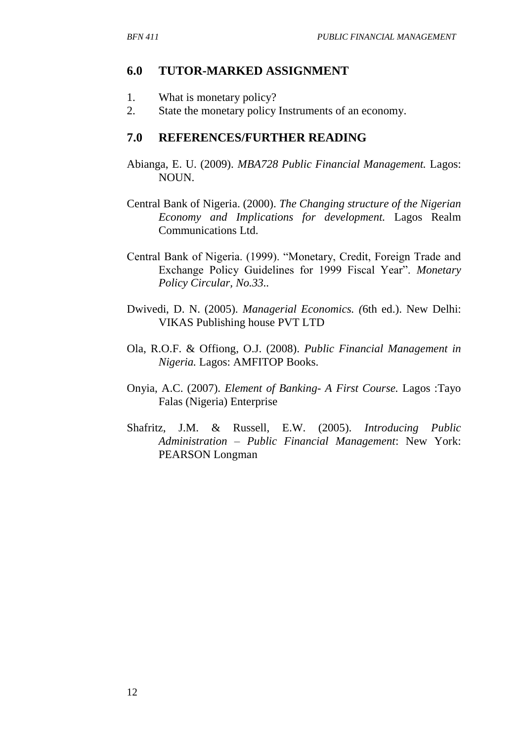#### **6.0 TUTOR-MARKED ASSIGNMENT**

- 1. What is monetary policy?
- 2. State the monetary policy Instruments of an economy.

#### **7.0 REFERENCES/FURTHER READING**

- Abianga, E. U. (2009). *MBA728 Public Financial Management.* Lagos: NOUN.
- Central Bank of Nigeria. (2000). *The Changing structure of the Nigerian Economy and Implications for development.* Lagos Realm Communications Ltd.
- Central Bank of Nigeria. (1999). "Monetary, Credit, Foreign Trade and Exchange Policy Guidelines for 1999 Fiscal Year". *Monetary Policy Circular, No.33..*
- Dwivedi, D. N. (2005). *Managerial Economics. (*6th ed.). New Delhi: VIKAS Publishing house PVT LTD
- Ola, R.O.F. & Offiong, O.J. (2008). *Public Financial Management in Nigeria.* Lagos: AMFITOP Books.
- Onyia, A.C. (2007). *Element of Banking- A First Course.* Lagos :Tayo Falas (Nigeria) Enterprise
- Shafritz, J.M. & Russell, E.W. (2005). *Introducing Public Administration – Public Financial Management*: New York: PEARSON Longman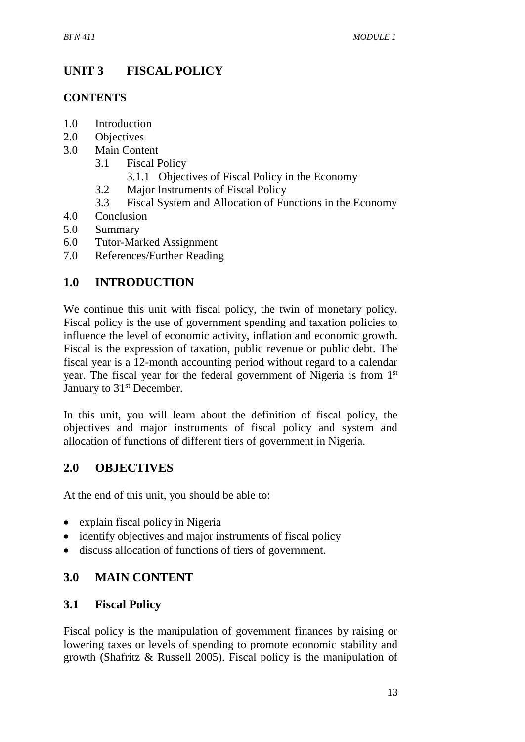# **UNIT 3 FISCAL POLICY**

### **CONTENTS**

- 1.0 Introduction
- 2.0 Objectives
- 3.0 Main Content
	- 3.1 Fiscal Policy
		- 3.1.1 Objectives of Fiscal Policy in the Economy
	- 3.2 Major Instruments of Fiscal Policy
	- 3.3 Fiscal System and Allocation of Functions in the Economy
- 4.0 Conclusion
- 5.0 Summary
- 6.0 Tutor-Marked Assignment
- 7.0 References/Further Reading

# **1.0 INTRODUCTION**

We continue this unit with fiscal policy, the twin of monetary policy. Fiscal policy is the use of government spending and taxation policies to influence the level of economic activity, inflation and economic growth. Fiscal is the expression of taxation, public revenue or public debt. The fiscal year is a 12-month accounting period without regard to a calendar year. The fiscal year for the federal government of Nigeria is from 1st January to 31<sup>st</sup> December.

In this unit, you will learn about the definition of fiscal policy, the objectives and major instruments of fiscal policy and system and allocation of functions of different tiers of government in Nigeria.

## **2.0 OBJECTIVES**

At the end of this unit, you should be able to:

- explain fiscal policy in Nigeria
- identify objectives and major instruments of fiscal policy
- discuss allocation of functions of tiers of government.

## **3.0 MAIN CONTENT**

## **3.1 Fiscal Policy**

Fiscal policy is the manipulation of government finances by raising or lowering taxes or levels of spending to promote economic stability and growth (Shafritz & Russell 2005). Fiscal policy is the manipulation of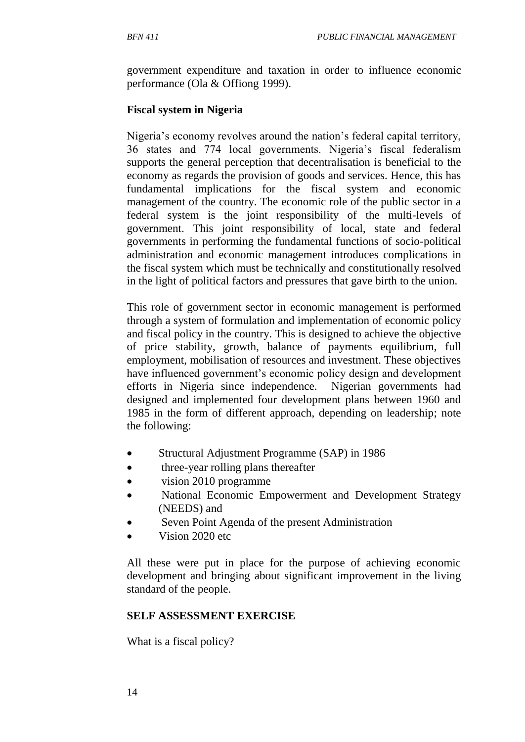government expenditure and taxation in order to influence economic performance (Ola & Offiong 1999).

#### **Fiscal system in Nigeria**

Nigeria's economy revolves around the nation's federal capital territory, 36 states and 774 local governments. Nigeria's fiscal federalism supports the general perception that decentralisation is beneficial to the economy as regards the provision of goods and services. Hence, this has fundamental implications for the fiscal system and economic management of the country. The economic role of the public sector in a federal system is the joint responsibility of the multi-levels of government. This joint responsibility of local, state and federal governments in performing the fundamental functions of socio-political administration and economic management introduces complications in the fiscal system which must be technically and constitutionally resolved in the light of political factors and pressures that gave birth to the union.

This role of government sector in economic management is performed through a system of formulation and implementation of economic policy and fiscal policy in the country. This is designed to achieve the objective of price stability, growth, balance of payments equilibrium, full employment, mobilisation of resources and investment. These objectives have influenced government's economic policy design and development efforts in Nigeria since independence. Nigerian governments had designed and implemented four development plans between 1960 and 1985 in the form of different approach, depending on leadership; note the following:

- Structural Adjustment Programme (SAP) in 1986
- three-year rolling plans thereafter
- vision 2010 programme
- National Economic Empowerment and Development Strategy (NEEDS) and
- Seven Point Agenda of the present Administration
- Vision 2020 etc.

All these were put in place for the purpose of achieving economic development and bringing about significant improvement in the living standard of the people.

#### **SELF ASSESSMENT EXERCISE**

What is a fiscal policy?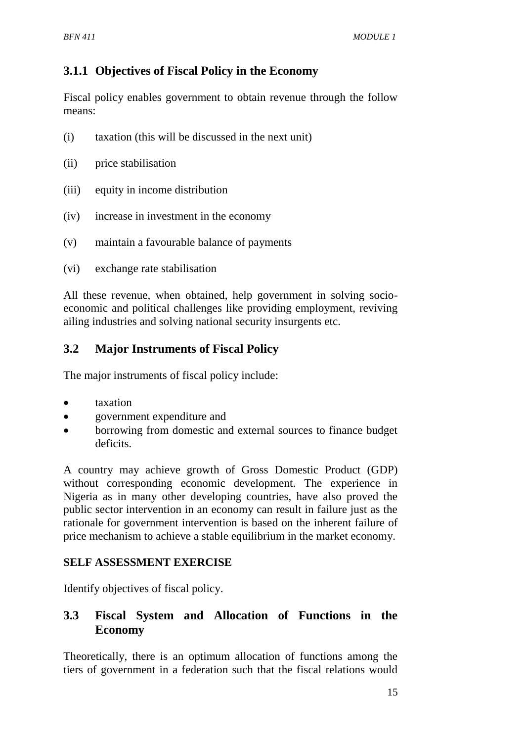# **3.1.1 Objectives of Fiscal Policy in the Economy**

Fiscal policy enables government to obtain revenue through the follow means:

- (i) taxation (this will be discussed in the next unit)
- (ii) price stabilisation
- (iii) equity in income distribution
- (iv) increase in investment in the economy
- (v) maintain a favourable balance of payments
- (vi) exchange rate stabilisation

All these revenue, when obtained, help government in solving socioeconomic and political challenges like providing employment, reviving ailing industries and solving national security insurgents etc.

# **3.2 Major Instruments of Fiscal Policy**

The major instruments of fiscal policy include:

- taxation
- government expenditure and
- borrowing from domestic and external sources to finance budget deficits.

A country may achieve growth of Gross Domestic Product (GDP) without corresponding economic development. The experience in Nigeria as in many other developing countries, have also proved the public sector intervention in an economy can result in failure just as the rationale for government intervention is based on the inherent failure of price mechanism to achieve a stable equilibrium in the market economy.

### **SELF ASSESSMENT EXERCISE**

Identify objectives of fiscal policy.

## **3.3 Fiscal System and Allocation of Functions in the Economy**

Theoretically, there is an optimum allocation of functions among the tiers of government in a federation such that the fiscal relations would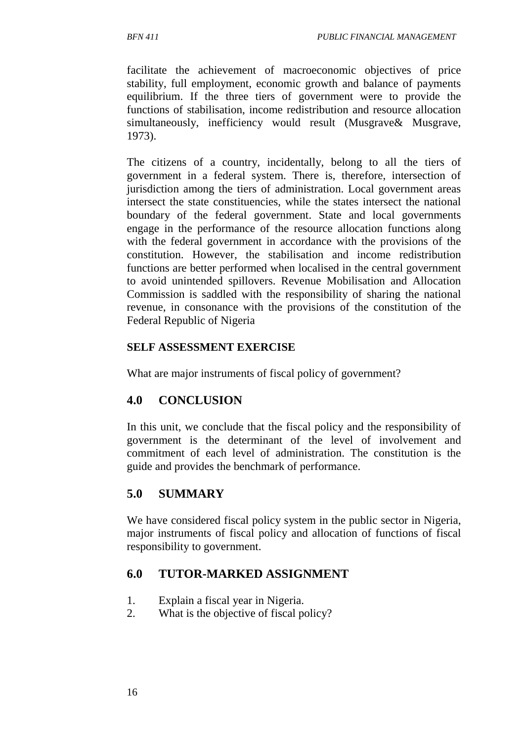facilitate the achievement of macroeconomic objectives of price stability, full employment, economic growth and balance of payments equilibrium. If the three tiers of government were to provide the functions of stabilisation, income redistribution and resource allocation simultaneously, inefficiency would result (Musgrave& Musgrave, 1973).

The citizens of a country, incidentally, belong to all the tiers of government in a federal system. There is, therefore, intersection of jurisdiction among the tiers of administration. Local government areas intersect the state constituencies, while the states intersect the national boundary of the federal government. State and local governments engage in the performance of the resource allocation functions along with the federal government in accordance with the provisions of the constitution. However, the stabilisation and income redistribution functions are better performed when localised in the central government to avoid unintended spillovers. Revenue Mobilisation and Allocation Commission is saddled with the responsibility of sharing the national revenue, in consonance with the provisions of the constitution of the Federal Republic of Nigeria

### **SELF ASSESSMENT EXERCISE**

What are major instruments of fiscal policy of government?

## **4.0 CONCLUSION**

In this unit, we conclude that the fiscal policy and the responsibility of government is the determinant of the level of involvement and commitment of each level of administration. The constitution is the guide and provides the benchmark of performance.

# **5.0 SUMMARY**

We have considered fiscal policy system in the public sector in Nigeria, major instruments of fiscal policy and allocation of functions of fiscal responsibility to government.

## **6.0 TUTOR-MARKED ASSIGNMENT**

- 1. Explain a fiscal year in Nigeria.
- 2. What is the objective of fiscal policy?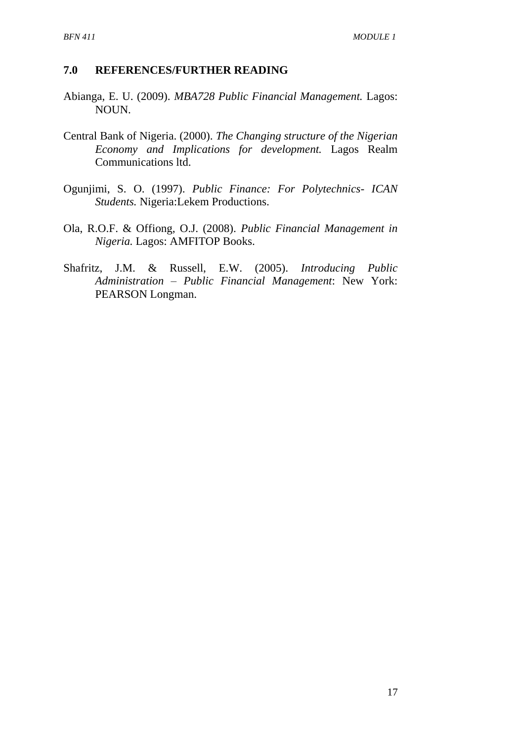#### **7.0 REFERENCES/FURTHER READING**

- Abianga, E. U. (2009). *MBA728 Public Financial Management.* Lagos: NOUN.
- Central Bank of Nigeria. (2000). *The Changing structure of the Nigerian Economy and Implications for development.* Lagos Realm Communications ltd.
- Ogunjimi, S. O. (1997). *Public Finance: For Polytechnics- ICAN Students.* Nigeria:Lekem Productions.
- Ola, R.O.F. & Offiong, O.J. (2008). *Public Financial Management in Nigeria.* Lagos: AMFITOP Books.
- Shafritz, J.M. & Russell, E.W. (2005). *Introducing Public Administration – Public Financial Management*: New York: PEARSON Longman.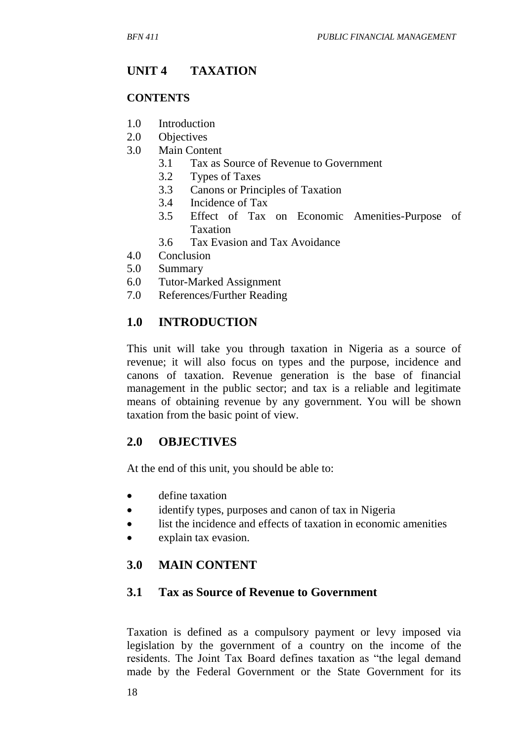# **UNIT 4 TAXATION**

#### **CONTENTS**

- 1.0 Introduction
- 2.0 Objectives
- 3.0 Main Content
	- 3.1 Tax as Source of Revenue to Government
	- 3.2 Types of Taxes
	- 3.3 Canons or Principles of Taxation
	- 3.4 Incidence of Tax
	- 3.5 Effect of Tax on Economic Amenities-Purpose of Taxation
	- 3.6 Tax Evasion and Tax Avoidance
- 4.0 Conclusion
- 5.0 Summary
- 6.0 Tutor-Marked Assignment
- 7.0 References/Further Reading

## **1.0 INTRODUCTION**

This unit will take you through taxation in Nigeria as a source of revenue; it will also focus on types and the purpose, incidence and canons of taxation. Revenue generation is the base of financial management in the public sector; and tax is a reliable and legitimate means of obtaining revenue by any government. You will be shown taxation from the basic point of view.

### **2.0 OBJECTIVES**

At the end of this unit, you should be able to:

- define taxation
- identify types, purposes and canon of tax in Nigeria
- list the incidence and effects of taxation in economic amenities
- explain tax evasion.

## **3.0 MAIN CONTENT**

### **3.1 Tax as Source of Revenue to Government**

Taxation is defined as a compulsory payment or levy imposed via legislation by the government of a country on the income of the residents. The Joint Tax Board defines taxation as "the legal demand made by the Federal Government or the State Government for its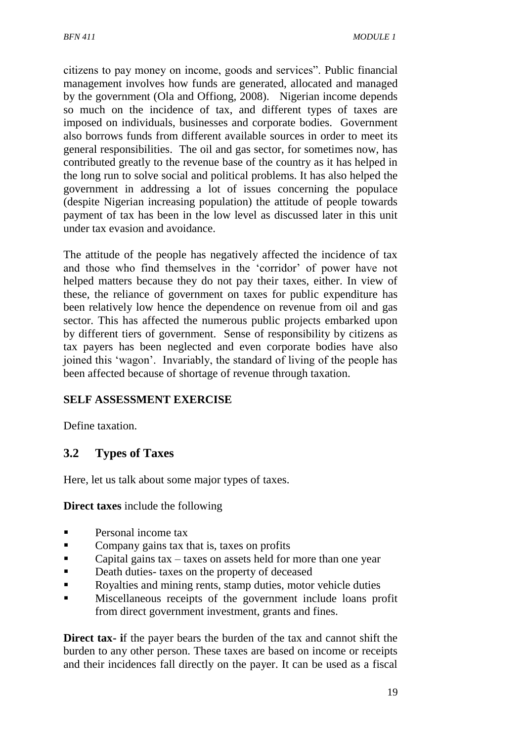citizens to pay money on income, goods and services". Public financial management involves how funds are generated, allocated and managed by the government (Ola and Offiong, 2008). Nigerian income depends so much on the incidence of tax, and different types of taxes are imposed on individuals, businesses and corporate bodies. Government also borrows funds from different available sources in order to meet its general responsibilities. The oil and gas sector, for sometimes now, has contributed greatly to the revenue base of the country as it has helped in the long run to solve social and political problems. It has also helped the government in addressing a lot of issues concerning the populace (despite Nigerian increasing population) the attitude of people towards payment of tax has been in the low level as discussed later in this unit under tax evasion and avoidance.

The attitude of the people has negatively affected the incidence of tax and those who find themselves in the 'corridor' of power have not helped matters because they do not pay their taxes, either. In view of these, the reliance of government on taxes for public expenditure has been relatively low hence the dependence on revenue from oil and gas sector. This has affected the numerous public projects embarked upon by different tiers of government. Sense of responsibility by citizens as tax payers has been neglected and even corporate bodies have also joined this 'wagon'. Invariably, the standard of living of the people has been affected because of shortage of revenue through taxation.

### **SELF ASSESSMENT EXERCISE**

Define taxation.

## **3.2 Types of Taxes**

Here, let us talk about some major types of taxes.

**Direct taxes** include the following

- **Personal income tax**
- Company gains tax that is, taxes on profits
- Capital gains  $tax taxes$  on assets held for more than one year
- Death duties- taxes on the property of deceased
- Royalties and mining rents, stamp duties, motor vehicle duties
- Miscellaneous receipts of the government include loans profit from direct government investment, grants and fines.

**Direct tax-** if the payer bears the burden of the tax and cannot shift the burden to any other person. These taxes are based on income or receipts and their incidences fall directly on the payer. It can be used as a fiscal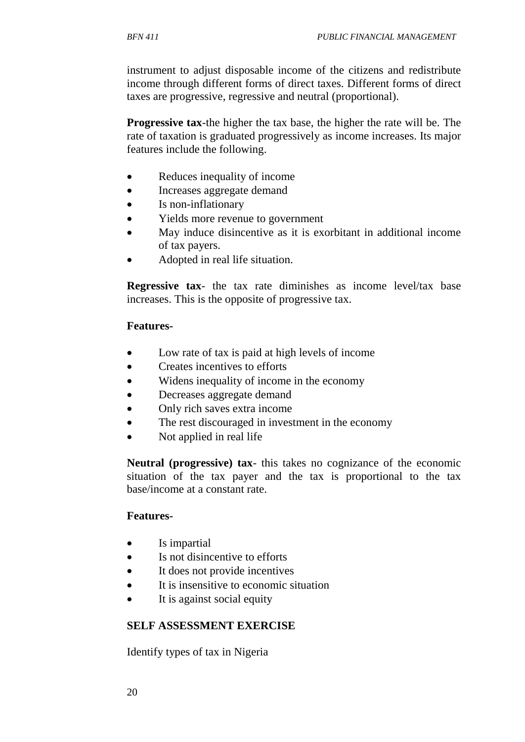instrument to adjust disposable income of the citizens and redistribute income through different forms of direct taxes. Different forms of direct taxes are progressive, regressive and neutral (proportional).

**Progressive tax**-the higher the tax base, the higher the rate will be. The rate of taxation is graduated progressively as income increases. Its major features include the following.

- Reduces inequality of income
- Increases aggregate demand
- Is non-inflationary
- Yields more revenue to government
- May induce disincentive as it is exorbitant in additional income of tax payers.
- Adopted in real life situation.

**Regressive tax**- the tax rate diminishes as income level/tax base increases. This is the opposite of progressive tax.

#### **Features-**

- Low rate of tax is paid at high levels of income
- Creates incentives to efforts
- Widens inequality of income in the economy
- Decreases aggregate demand
- Only rich saves extra income
- The rest discouraged in investment in the economy
- Not applied in real life

**Neutral (progressive) tax**- this takes no cognizance of the economic situation of the tax payer and the tax is proportional to the tax base/income at a constant rate.

#### **Features-**

- Is impartial
- Is not disincentive to efforts
- It does not provide incentives
- It is insensitive to economic situation
- It is against social equity

#### **SELF ASSESSMENT EXERCISE**

Identify types of tax in Nigeria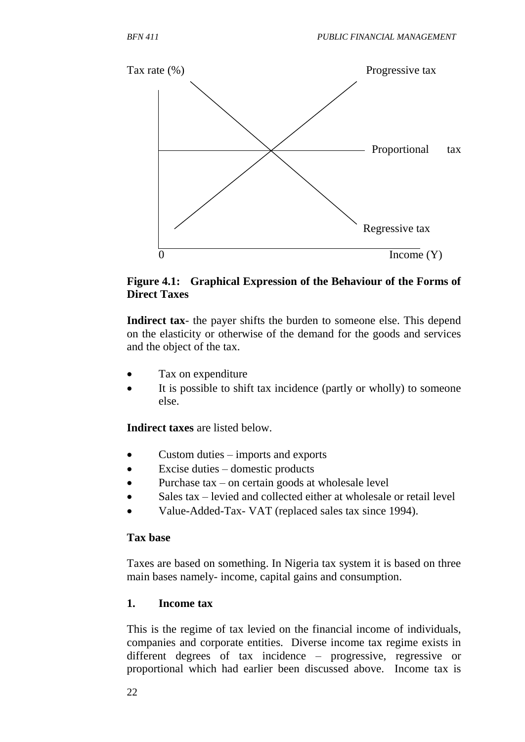

#### **Figure 4.1: Graphical Expression of the Behaviour of the Forms of Direct Taxes**

**Indirect tax**- the payer shifts the burden to someone else. This depend on the elasticity or otherwise of the demand for the goods and services and the object of the tax.

- Tax on expenditure
- It is possible to shift tax incidence (partly or wholly) to someone else.

**Indirect taxes** are listed below.

- Custom duties imports and exports
- Excise duties domestic products
- Purchase tax on certain goods at wholesale level
- Sales tax levied and collected either at wholesale or retail level
- Value-Added-Tax- VAT (replaced sales tax since 1994).

#### **Tax base**

Taxes are based on something. In Nigeria tax system it is based on three main bases namely- income, capital gains and consumption.

### **1. Income tax**

This is the regime of tax levied on the financial income of individuals, companies and corporate entities. Diverse income tax regime exists in different degrees of tax incidence – progressive, regressive or proportional which had earlier been discussed above. Income tax is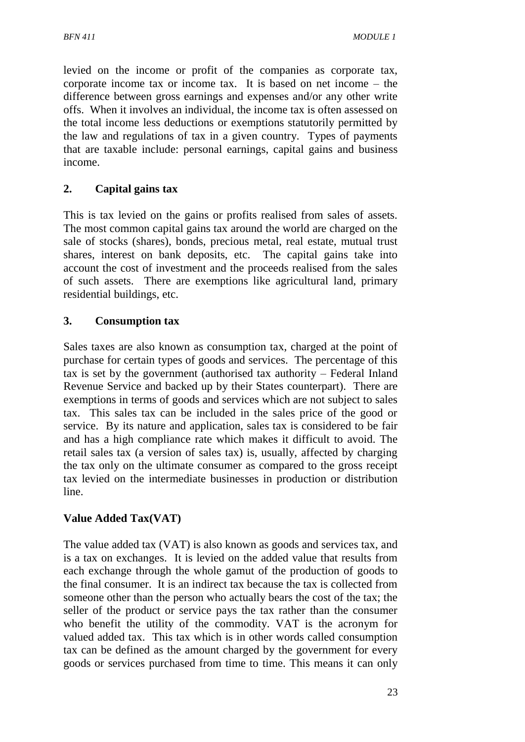levied on the income or profit of the companies as corporate tax, corporate income tax or income tax. It is based on net income – the difference between gross earnings and expenses and/or any other write offs. When it involves an individual, the income tax is often assessed on the total income less deductions or exemptions statutorily permitted by the law and regulations of tax in a given country. Types of payments that are taxable include: personal earnings, capital gains and business income.

### **2. Capital gains tax**

This is tax levied on the gains or profits realised from sales of assets. The most common capital gains tax around the world are charged on the sale of stocks (shares), bonds, precious metal, real estate, mutual trust shares, interest on bank deposits, etc. The capital gains take into account the cost of investment and the proceeds realised from the sales of such assets. There are exemptions like agricultural land, primary residential buildings, etc.

### **3. Consumption tax**

Sales taxes are also known as consumption tax, charged at the point of purchase for certain types of goods and services. The percentage of this tax is set by the government (authorised tax authority – Federal Inland Revenue Service and backed up by their States counterpart). There are exemptions in terms of goods and services which are not subject to sales tax. This sales tax can be included in the sales price of the good or service. By its nature and application, sales tax is considered to be fair and has a high compliance rate which makes it difficult to avoid. The retail sales tax (a version of sales tax) is, usually, affected by charging the tax only on the ultimate consumer as compared to the gross receipt tax levied on the intermediate businesses in production or distribution line.

### **Value Added Tax(VAT)**

The value added tax (VAT) is also known as goods and services tax, and is a tax on exchanges. It is levied on the added value that results from each exchange through the whole gamut of the production of goods to the final consumer. It is an indirect tax because the tax is collected from someone other than the person who actually bears the cost of the tax; the seller of the product or service pays the tax rather than the consumer who benefit the utility of the commodity. VAT is the acronym for valued added tax. This tax which is in other words called consumption tax can be defined as the amount charged by the government for every goods or services purchased from time to time. This means it can only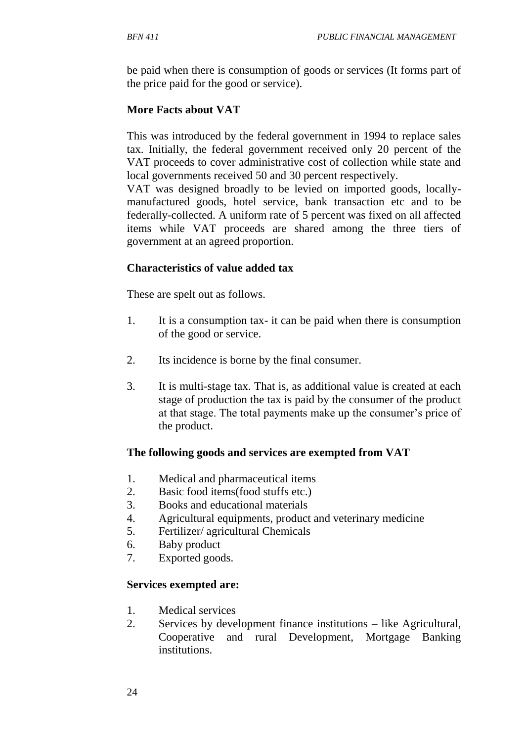be paid when there is consumption of goods or services (It forms part of the price paid for the good or service).

### **More Facts about VAT**

This was introduced by the federal government in 1994 to replace sales tax. Initially, the federal government received only 20 percent of the VAT proceeds to cover administrative cost of collection while state and local governments received 50 and 30 percent respectively.

VAT was designed broadly to be levied on imported goods, locallymanufactured goods, hotel service, bank transaction etc and to be federally-collected. A uniform rate of 5 percent was fixed on all affected items while VAT proceeds are shared among the three tiers of government at an agreed proportion.

### **Characteristics of value added tax**

These are spelt out as follows.

- 1. It is a consumption tax- it can be paid when there is consumption of the good or service.
- 2. Its incidence is borne by the final consumer.
- 3. It is multi-stage tax. That is, as additional value is created at each stage of production the tax is paid by the consumer of the product at that stage. The total payments make up the consumer's price of the product.

### **The following goods and services are exempted from VAT**

- 1. Medical and pharmaceutical items
- 2. Basic food items(food stuffs etc.)
- 3. Books and educational materials
- 4. Agricultural equipments, product and veterinary medicine
- 5. Fertilizer/ agricultural Chemicals
- 6. Baby product
- 7. Exported goods.

### **Services exempted are:**

- 1. Medical services
- 2. Services by development finance institutions like Agricultural, Cooperative and rural Development, Mortgage Banking institutions.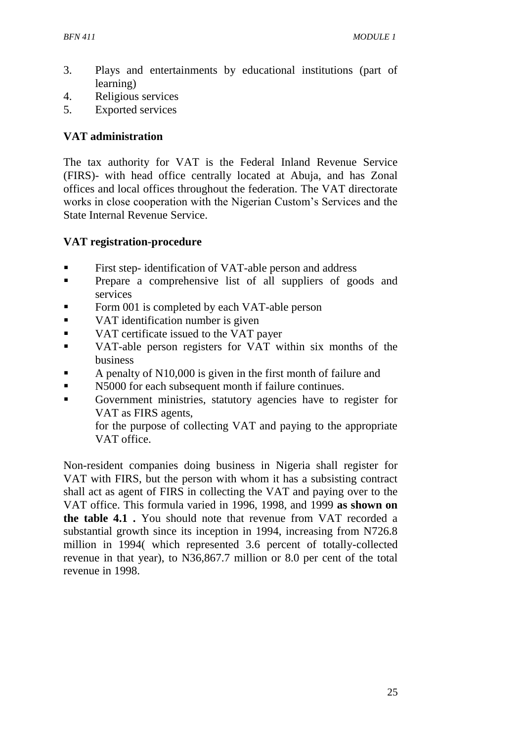- 3. Plays and entertainments by educational institutions (part of learning)
- 4. Religious services
- 5. Exported services

#### **VAT administration**

The tax authority for VAT is the Federal Inland Revenue Service (FIRS)- with head office centrally located at Abuja, and has Zonal offices and local offices throughout the federation. The VAT directorate works in close cooperation with the Nigerian Custom's Services and the State Internal Revenue Service.

### **VAT registration-procedure**

- First step- identification of VAT-able person and address
- **•** Prepare a comprehensive list of all suppliers of goods and services
- Form 001 is completed by each VAT-able person
- VAT identification number is given
- VAT certificate issued to the VAT payer
- VAT-able person registers for VAT within six months of the business
- A penalty of N10,000 is given in the first month of failure and
- N5000 for each subsequent month if failure continues.
- Government ministries, statutory agencies have to register for VAT as FIRS agents,

for the purpose of collecting VAT and paying to the appropriate VAT office.

Non-resident companies doing business in Nigeria shall register for VAT with FIRS, but the person with whom it has a subsisting contract shall act as agent of FIRS in collecting the VAT and paying over to the VAT office. This formula varied in 1996, 1998, and 1999 **as shown on the table 4.1 .** You should note that revenue from VAT recorded a substantial growth since its inception in 1994, increasing from N726.8 million in 1994( which represented 3.6 percent of totally-collected revenue in that year), to N36,867.7 million or 8.0 per cent of the total revenue in 1998.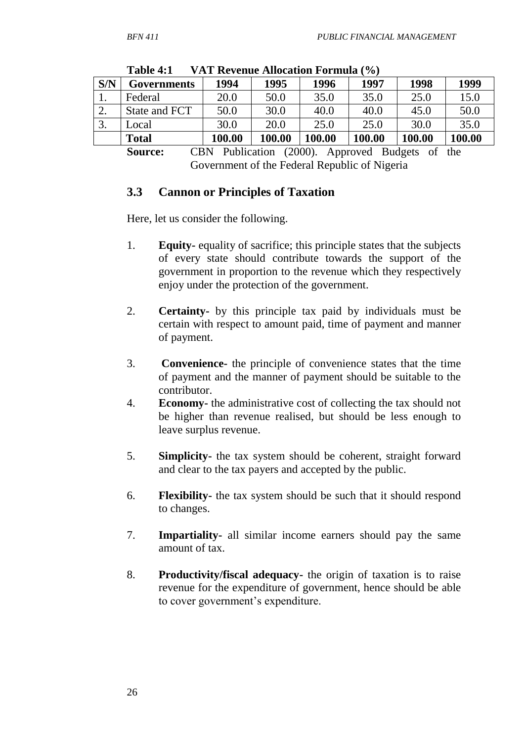| S/N                                                                                                                                                  | <b>Governments</b> | 1994   | 1995   | 1996   | 1997   | 1998   | 1999   |
|------------------------------------------------------------------------------------------------------------------------------------------------------|--------------------|--------|--------|--------|--------|--------|--------|
| 1.                                                                                                                                                   | Federal            | 20.0   | 50.0   | 35.0   | 35.0   | 25.0   | 15.0   |
| ۷.                                                                                                                                                   | State and FCT      | 50.0   | 30.0   | 40.0   | 40.0   | 45.0   | 50.0   |
| 3.                                                                                                                                                   | Local              | 30.0   | 20.0   | 25.0   | 25.0   | 30.0   | 35.0   |
|                                                                                                                                                      | <b>Total</b>       | 100.00 | 100.00 | 100.00 | 100.00 | 100.00 | 100.00 |
| $CDM$ $D-11$ $L=1$ $(2000)$<br>$\mathbf{C}$ $\sim$ $\sim$ $\sim$ $\sim$ $\sim$<br>A non-example D and $\mathbf{L}$ and $\mathbf{L}$ and $\mathbf{L}$ |                    |        |        |        |        |        |        |

**Table 4:1 VAT Revenue Allocation Formula (%)** 

**Source:** CBN Publication (2000). Approved Budgets of the Government of the Federal Republic of Nigeria

#### **3.3 Cannon or Principles of Taxation**

Here, let us consider the following.

- 1. **Equity-** equality of sacrifice; this principle states that the subjects of every state should contribute towards the support of the government in proportion to the revenue which they respectively enjoy under the protection of the government.
- 2. **Certainty-** by this principle tax paid by individuals must be certain with respect to amount paid, time of payment and manner of payment.
- 3. **Convenience-** the principle of convenience states that the time of payment and the manner of payment should be suitable to the contributor.
- 4. **Economy-** the administrative cost of collecting the tax should not be higher than revenue realised, but should be less enough to leave surplus revenue.
- 5. **Simplicity-** the tax system should be coherent, straight forward and clear to the tax payers and accepted by the public.
- 6. **Flexibility-** the tax system should be such that it should respond to changes.
- 7. **Impartiality-** all similar income earners should pay the same amount of tax.
- 8. **Productivity/fiscal adequacy-** the origin of taxation is to raise revenue for the expenditure of government, hence should be able to cover government's expenditure.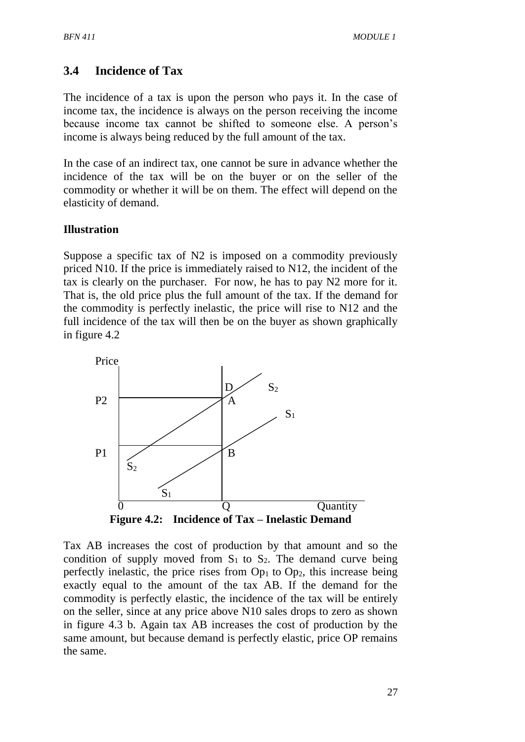## **3.4 Incidence of Tax**

The incidence of a tax is upon the person who pays it. In the case of income tax, the incidence is always on the person receiving the income because income tax cannot be shifted to someone else. A person's income is always being reduced by the full amount of the tax.

In the case of an indirect tax, one cannot be sure in advance whether the incidence of the tax will be on the buyer or on the seller of the commodity or whether it will be on them. The effect will depend on the elasticity of demand.

#### **Illustration**

Suppose a specific tax of N2 is imposed on a commodity previously priced N10. If the price is immediately raised to N12, the incident of the tax is clearly on the purchaser. For now, he has to pay N2 more for it. That is, the old price plus the full amount of the tax. If the demand for the commodity is perfectly inelastic, the price will rise to N12 and the full incidence of the tax will then be on the buyer as shown graphically in figure 4.2



Tax AB increases the cost of production by that amount and so the condition of supply moved from  $S_1$  to  $S_2$ . The demand curve being perfectly inelastic, the price rises from  $Op<sub>1</sub>$  to  $Op<sub>2</sub>$ , this increase being exactly equal to the amount of the tax AB. If the demand for the commodity is perfectly elastic, the incidence of the tax will be entirely on the seller, since at any price above N10 sales drops to zero as shown in figure 4.3 b. Again tax AB increases the cost of production by the same amount, but because demand is perfectly elastic, price OP remains the same.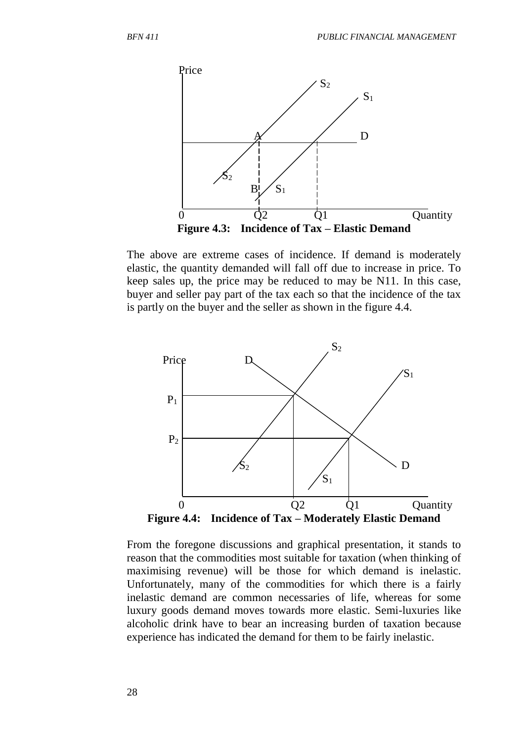

The above are extreme cases of incidence. If demand is moderately elastic, the quantity demanded will fall off due to increase in price. To keep sales up, the price may be reduced to may be N11. In this case, buyer and seller pay part of the tax each so that the incidence of the tax is partly on the buyer and the seller as shown in the figure 4.4.



From the foregone discussions and graphical presentation, it stands to reason that the commodities most suitable for taxation (when thinking of maximising revenue) will be those for which demand is inelastic. Unfortunately, many of the commodities for which there is a fairly inelastic demand are common necessaries of life, whereas for some luxury goods demand moves towards more elastic. Semi-luxuries like alcoholic drink have to bear an increasing burden of taxation because experience has indicated the demand for them to be fairly inelastic.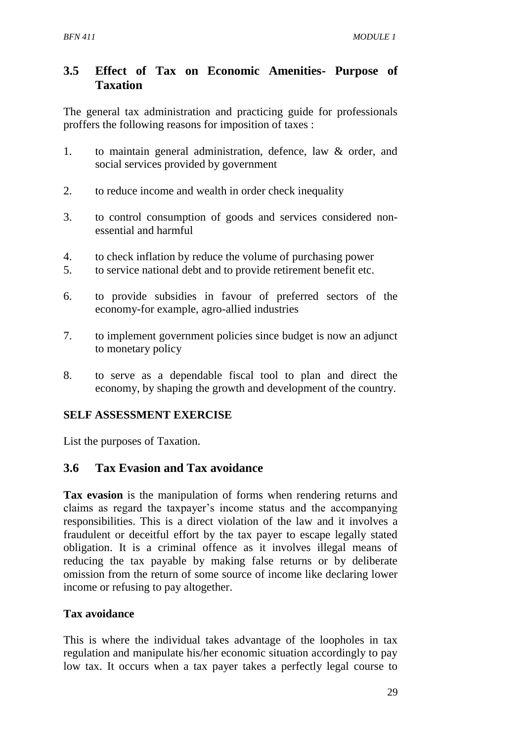## **3.5 Effect of Tax on Economic Amenities- Purpose of Taxation**

The general tax administration and practicing guide for professionals proffers the following reasons for imposition of taxes :

- 1. to maintain general administration, defence, law & order, and social services provided by government
- 2. to reduce income and wealth in order check inequality
- 3. to control consumption of goods and services considered nonessential and harmful
- 4. to check inflation by reduce the volume of purchasing power
- 5. to service national debt and to provide retirement benefit etc.
- 6. to provide subsidies in favour of preferred sectors of the economy-for example, agro-allied industries
- 7. to implement government policies since budget is now an adjunct to monetary policy
- 8. to serve as a dependable fiscal tool to plan and direct the economy, by shaping the growth and development of the country.

## **SELF ASSESSMENT EXERCISE**

List the purposes of Taxation.

## **3.6 Tax Evasion and Tax avoidance**

**Tax evasion** is the manipulation of forms when rendering returns and claims as regard the taxpayer's income status and the accompanying responsibilities. This is a direct violation of the law and it involves a fraudulent or deceitful effort by the tax payer to escape legally stated obligation. It is a criminal offence as it involves illegal means of reducing the tax payable by making false returns or by deliberate omission from the return of some source of income like declaring lower income or refusing to pay altogether.

### **Tax avoidance**

This is where the individual takes advantage of the loopholes in tax regulation and manipulate his/her economic situation accordingly to pay low tax. It occurs when a tax payer takes a perfectly legal course to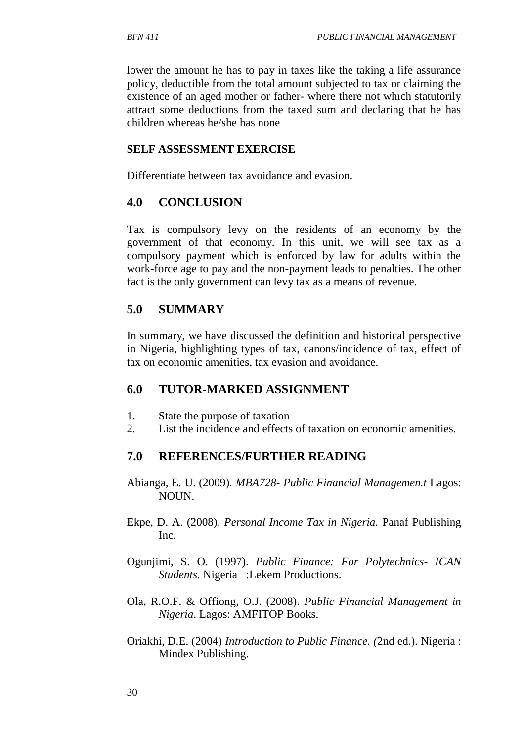lower the amount he has to pay in taxes like the taking a life assurance policy, deductible from the total amount subjected to tax or claiming the existence of an aged mother or father- where there not which statutorily attract some deductions from the taxed sum and declaring that he has children whereas he/she has none

#### **SELF ASSESSMENT EXERCISE**

Differentiate between tax avoidance and evasion.

### **4.0 CONCLUSION**

Tax is compulsory levy on the residents of an economy by the government of that economy. In this unit, we will see tax as a compulsory payment which is enforced by law for adults within the work-force age to pay and the non-payment leads to penalties. The other fact is the only government can levy tax as a means of revenue.

### **5.0 SUMMARY**

In summary, we have discussed the definition and historical perspective in Nigeria, highlighting types of tax, canons/incidence of tax, effect of tax on economic amenities, tax evasion and avoidance.

### **6.0 TUTOR-MARKED ASSIGNMENT**

- 1. State the purpose of taxation
- 2. List the incidence and effects of taxation on economic amenities.

### **7.0 REFERENCES/FURTHER READING**

- Abianga, E. U. (2009). *MBA728- Public Financial Managemen.t* Lagos: NOUN.
- Ekpe, D. A. (2008). *Personal Income Tax in Nigeria.* Panaf Publishing Inc.
- Ogunjimi, S. O. (1997). *Public Finance: For Polytechnics- ICAN Students.* Nigeria :Lekem Productions.
- Ola, R.O.F. & Offiong, O.J. (2008). *Public Financial Management in Nigeria*. Lagos: AMFITOP Books.
- Oriakhi, D.E. (2004) *Introduction to Public Finance. (*2nd ed.). Nigeria : Mindex Publishing.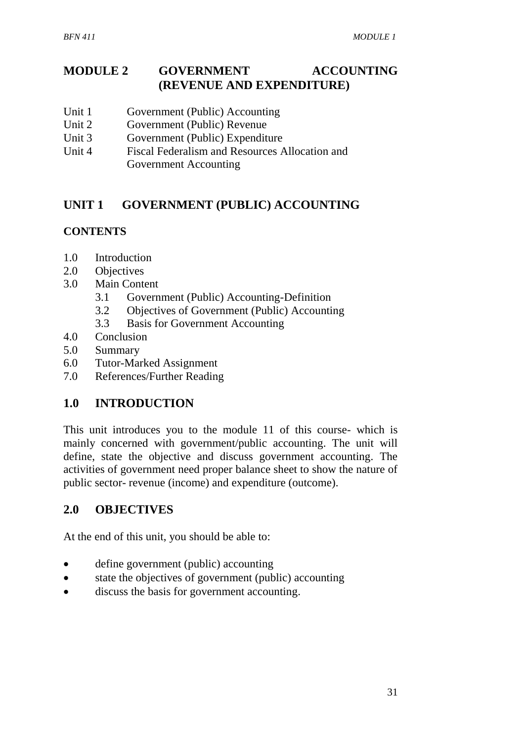## **MODULE 2 GOVERNMENT ACCOUNTING (REVENUE AND EXPENDITURE)**

- Unit 1 Government (Public) Accounting
- Unit 2 Government (Public) Revenue
- Unit 3 Government (Public) Expenditure
- Unit 4 Fiscal Federalism and Resources Allocation and Government Accounting

# **UNIT 1 GOVERNMENT (PUBLIC) ACCOUNTING**

### **CONTENTS**

- 1.0 Introduction
- 2.0 Objectives
- 3.0 Main Content
	- 3.1 Government (Public) Accounting-Definition
	- 3.2 Objectives of Government (Public) Accounting
	- 3.3 Basis for Government Accounting
- 4.0 Conclusion
- 5.0 Summary
- 6.0 Tutor-Marked Assignment
- 7.0 References/Further Reading

## **1.0 INTRODUCTION**

This unit introduces you to the module 11 of this course- which is mainly concerned with government/public accounting. The unit will define, state the objective and discuss government accounting. The activities of government need proper balance sheet to show the nature of public sector- revenue (income) and expenditure (outcome).

## **2.0 OBJECTIVES**

At the end of this unit, you should be able to:

- define government (public) accounting
- state the objectives of government (public) accounting
- discuss the basis for government accounting.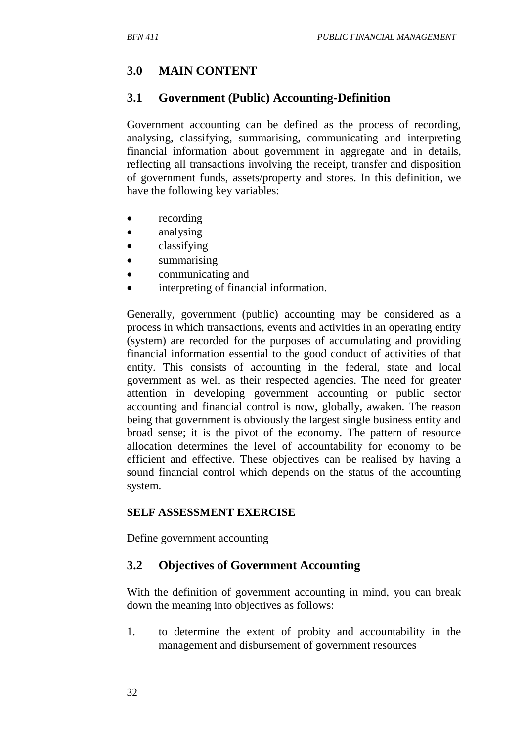# **3.0 MAIN CONTENT**

### **3.1 Government (Public) Accounting-Definition**

Government accounting can be defined as the process of recording, analysing, classifying, summarising, communicating and interpreting financial information about government in aggregate and in details, reflecting all transactions involving the receipt, transfer and disposition of government funds, assets/property and stores. In this definition, we have the following key variables:

- recording
- analysing
- classifying
- summarising
- communicating and
- interpreting of financial information.

Generally, government (public) accounting may be considered as a process in which transactions, events and activities in an operating entity (system) are recorded for the purposes of accumulating and providing financial information essential to the good conduct of activities of that entity. This consists of accounting in the federal, state and local government as well as their respected agencies. The need for greater attention in developing government accounting or public sector accounting and financial control is now, globally, awaken. The reason being that government is obviously the largest single business entity and broad sense; it is the pivot of the economy. The pattern of resource allocation determines the level of accountability for economy to be efficient and effective. These objectives can be realised by having a sound financial control which depends on the status of the accounting system.

#### **SELF ASSESSMENT EXERCISE**

Define government accounting

### **3.2 Objectives of Government Accounting**

With the definition of government accounting in mind, you can break down the meaning into objectives as follows:

1. to determine the extent of probity and accountability in the management and disbursement of government resources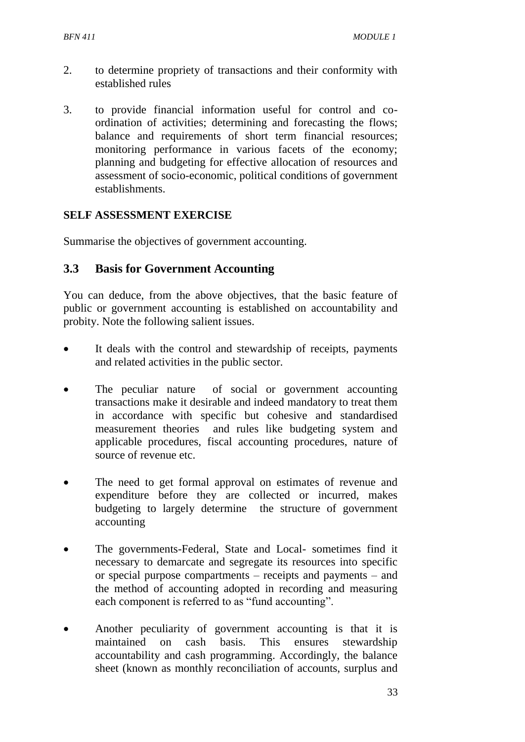- 2. to determine propriety of transactions and their conformity with established rules
- 3. to provide financial information useful for control and coordination of activities; determining and forecasting the flows; balance and requirements of short term financial resources; monitoring performance in various facets of the economy; planning and budgeting for effective allocation of resources and assessment of socio-economic, political conditions of government establishments.

### **SELF ASSESSMENT EXERCISE**

Summarise the objectives of government accounting.

### **3.3 Basis for Government Accounting**

You can deduce, from the above objectives, that the basic feature of public or government accounting is established on accountability and probity. Note the following salient issues.

- It deals with the control and stewardship of receipts, payments and related activities in the public sector.
- The peculiar nature of social or government accounting transactions make it desirable and indeed mandatory to treat them in accordance with specific but cohesive and standardised measurement theories and rules like budgeting system and applicable procedures, fiscal accounting procedures, nature of source of revenue etc.
- The need to get formal approval on estimates of revenue and expenditure before they are collected or incurred, makes budgeting to largely determine the structure of government accounting
- The governments-Federal, State and Local- sometimes find it necessary to demarcate and segregate its resources into specific or special purpose compartments – receipts and payments – and the method of accounting adopted in recording and measuring each component is referred to as "fund accounting".
- Another peculiarity of government accounting is that it is maintained on cash basis. This ensures stewardship accountability and cash programming. Accordingly, the balance sheet (known as monthly reconciliation of accounts, surplus and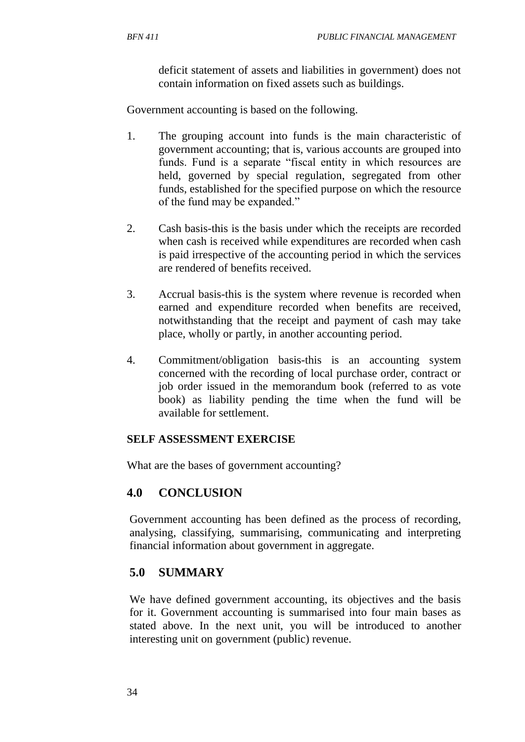deficit statement of assets and liabilities in government) does not contain information on fixed assets such as buildings.

Government accounting is based on the following.

- 1. The grouping account into funds is the main characteristic of government accounting; that is, various accounts are grouped into funds. Fund is a separate "fiscal entity in which resources are held, governed by special regulation, segregated from other funds, established for the specified purpose on which the resource of the fund may be expanded."
- 2. Cash basis-this is the basis under which the receipts are recorded when cash is received while expenditures are recorded when cash is paid irrespective of the accounting period in which the services are rendered of benefits received.
- 3. Accrual basis-this is the system where revenue is recorded when earned and expenditure recorded when benefits are received, notwithstanding that the receipt and payment of cash may take place, wholly or partly, in another accounting period.
- 4. Commitment/obligation basis-this is an accounting system concerned with the recording of local purchase order, contract or job order issued in the memorandum book (referred to as vote book) as liability pending the time when the fund will be available for settlement.

### **SELF ASSESSMENT EXERCISE**

What are the bases of government accounting?

## **4.0 CONCLUSION**

Government accounting has been defined as the process of recording, analysing, classifying, summarising, communicating and interpreting financial information about government in aggregate.

## **5.0 SUMMARY**

We have defined government accounting, its objectives and the basis for it. Government accounting is summarised into four main bases as stated above. In the next unit, you will be introduced to another interesting unit on government (public) revenue.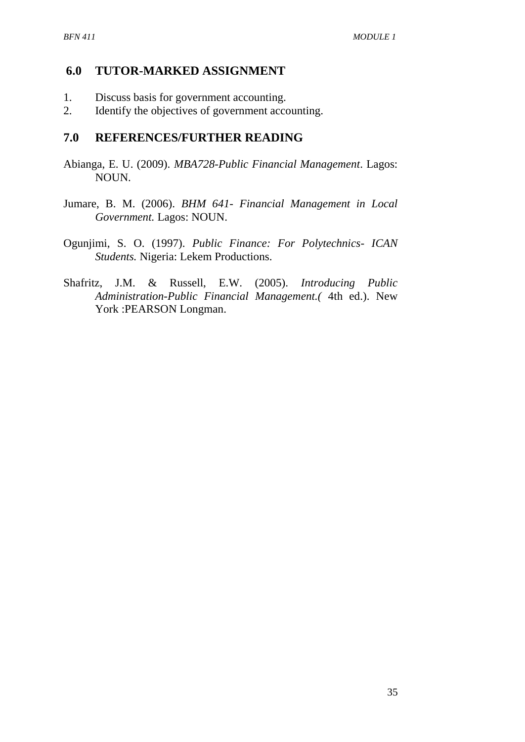#### **6.0 TUTOR-MARKED ASSIGNMENT**

- 1. Discuss basis for government accounting.
- 2. Identify the objectives of government accounting.

#### **7.0 REFERENCES/FURTHER READING**

- Abianga, E. U. (2009). *MBA728-Public Financial Management*. Lagos: NOUN.
- Jumare, B. M. (2006). *BHM 641- Financial Management in Local Government.* Lagos: NOUN.
- Ogunjimi, S. O. (1997). *Public Finance: For Polytechnics- ICAN Students.* Nigeria: Lekem Productions.
- Shafritz, J.M. & Russell, E.W. (2005). *Introducing Public Administration-Public Financial Management.(* 4th ed.). New York :PEARSON Longman.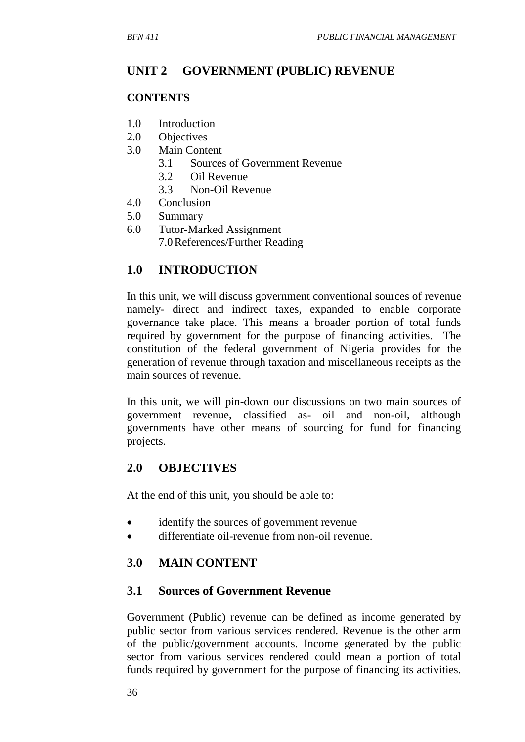## **UNIT 2 GOVERNMENT (PUBLIC) REVENUE**

#### **CONTENTS**

- 1.0 Introduction
- 2.0 Objectives
- 3.0 Main Content
	- 3.1 Sources of Government Revenue
	- 3.2 Oil Revenue
	- 3.3 Non-Oil Revenue
- 4.0 Conclusion
- 5.0 Summary
- 6.0 Tutor-Marked Assignment 7.0References/Further Reading

### **1.0 INTRODUCTION**

In this unit, we will discuss government conventional sources of revenue namely- direct and indirect taxes, expanded to enable corporate governance take place. This means a broader portion of total funds required by government for the purpose of financing activities. The constitution of the federal government of Nigeria provides for the generation of revenue through taxation and miscellaneous receipts as the main sources of revenue.

In this unit, we will pin-down our discussions on two main sources of government revenue, classified as- oil and non-oil, although governments have other means of sourcing for fund for financing projects.

### **2.0 OBJECTIVES**

At the end of this unit, you should be able to:

- identify the sources of government revenue
- differentiate oil-revenue from non-oil revenue.

### **3.0 MAIN CONTENT**

#### **3.1 Sources of Government Revenue**

Government (Public) revenue can be defined as income generated by public sector from various services rendered. Revenue is the other arm of the public/government accounts. Income generated by the public sector from various services rendered could mean a portion of total funds required by government for the purpose of financing its activities.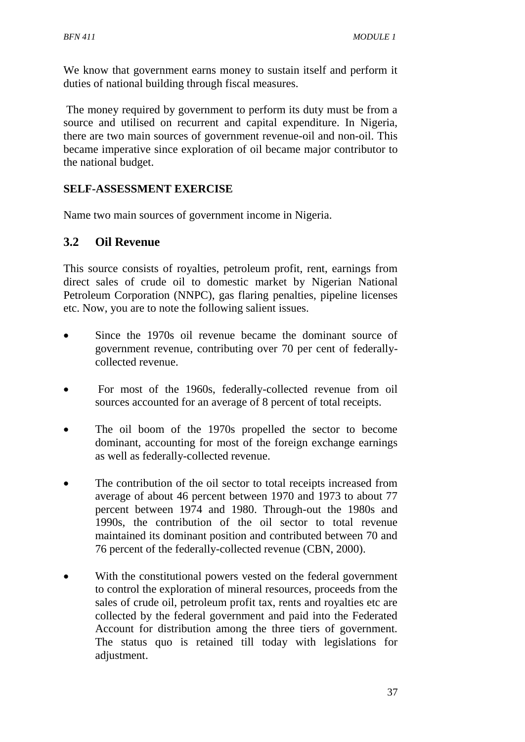We know that government earns money to sustain itself and perform it duties of national building through fiscal measures.

The money required by government to perform its duty must be from a source and utilised on recurrent and capital expenditure. In Nigeria, there are two main sources of government revenue-oil and non-oil. This became imperative since exploration of oil became major contributor to the national budget.

## **SELF-ASSESSMENT EXERCISE**

Name two main sources of government income in Nigeria.

## **3.2 Oil Revenue**

This source consists of royalties, petroleum profit, rent, earnings from direct sales of crude oil to domestic market by Nigerian National Petroleum Corporation (NNPC), gas flaring penalties, pipeline licenses etc. Now, you are to note the following salient issues.

- Since the 1970s oil revenue became the dominant source of government revenue, contributing over 70 per cent of federallycollected revenue.
- For most of the 1960s, federally-collected revenue from oil sources accounted for an average of 8 percent of total receipts.
- The oil boom of the 1970s propelled the sector to become dominant, accounting for most of the foreign exchange earnings as well as federally-collected revenue.
- The contribution of the oil sector to total receipts increased from average of about 46 percent between 1970 and 1973 to about 77 percent between 1974 and 1980. Through-out the 1980s and 1990s, the contribution of the oil sector to total revenue maintained its dominant position and contributed between 70 and 76 percent of the federally-collected revenue (CBN, 2000).
- With the constitutional powers vested on the federal government to control the exploration of mineral resources, proceeds from the sales of crude oil, petroleum profit tax, rents and royalties etc are collected by the federal government and paid into the Federated Account for distribution among the three tiers of government. The status quo is retained till today with legislations for adjustment.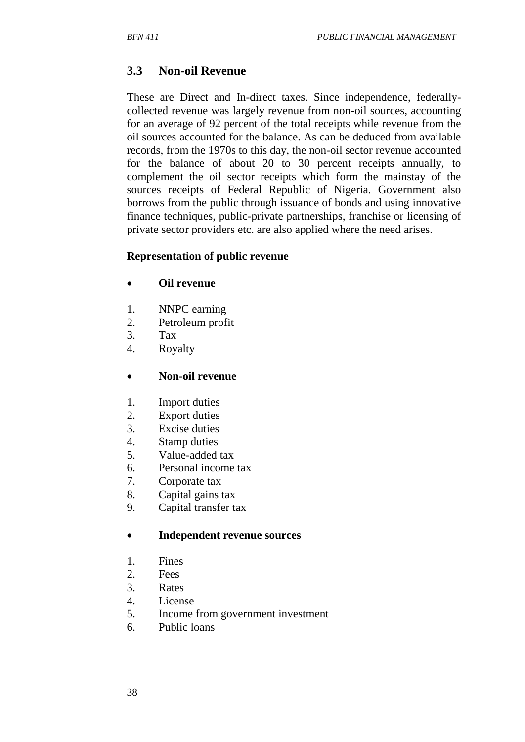# **3.3 Non-oil Revenue**

These are Direct and In-direct taxes. Since independence, federallycollected revenue was largely revenue from non-oil sources, accounting for an average of 92 percent of the total receipts while revenue from the oil sources accounted for the balance. As can be deduced from available records, from the 1970s to this day, the non-oil sector revenue accounted for the balance of about 20 to 30 percent receipts annually, to complement the oil sector receipts which form the mainstay of the sources receipts of Federal Republic of Nigeria. Government also borrows from the public through issuance of bonds and using innovative finance techniques, public-private partnerships, franchise or licensing of private sector providers etc. are also applied where the need arises.

#### **Representation of public revenue**

- **Oil revenue**
- 1. NNPC earning
- 2. Petroleum profit
- 3. Tax
- 4. Royalty

#### **Non-oil revenue**

- 1. Import duties
- 2. Export duties
- 3. Excise duties
- 4. Stamp duties
- 5. Value-added tax
- 6. Personal income tax
- 7. Corporate tax
- 8. Capital gains tax
- 9. Capital transfer tax

#### **Independent revenue sources**

- 1. Fines
- 2. Fees
- 3. Rates
- 4. License
- 5. Income from government investment
- 6. Public loans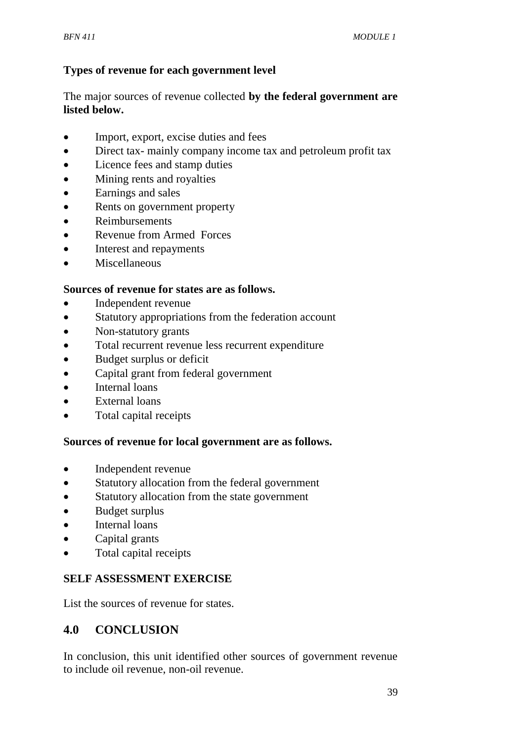# **Types of revenue for each government level**

The major sources of revenue collected **by the federal government are listed below.**

- Import, export, excise duties and fees
- Direct tax-mainly company income tax and petroleum profit tax
- Licence fees and stamp duties
- Mining rents and royalties
- Earnings and sales
- Rents on government property
- Reimbursements
- Revenue from Armed Forces
- Interest and repayments
- Miscellaneous

### **Sources of revenue for states are as follows.**

- Independent revenue
- Statutory appropriations from the federation account
- Non-statutory grants
- Total recurrent revenue less recurrent expenditure
- Budget surplus or deficit
- Capital grant from federal government
- Internal loans
- External loans
- Total capital receipts

#### **Sources of revenue for local government are as follows.**

- Independent revenue
- Statutory allocation from the federal government
- Statutory allocation from the state government
- Budget surplus
- Internal loans
- Capital grants
- Total capital receipts

## **SELF ASSESSMENT EXERCISE**

List the sources of revenue for states.

## **4.0 CONCLUSION**

In conclusion, this unit identified other sources of government revenue to include oil revenue, non-oil revenue.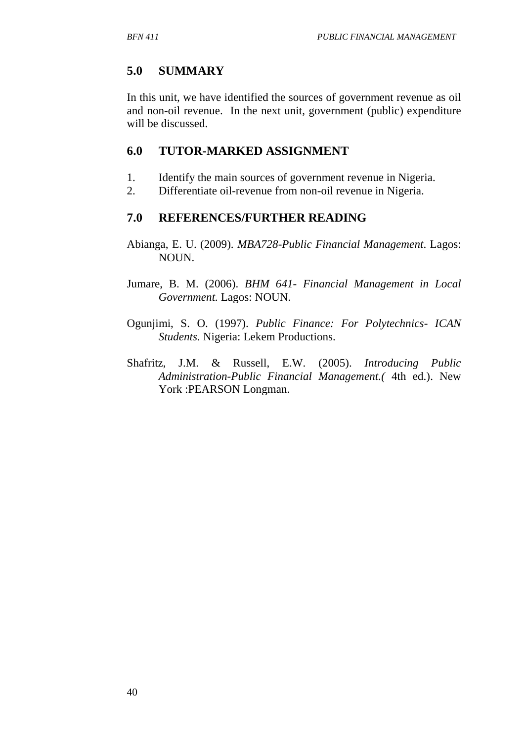# **5.0 SUMMARY**

In this unit, we have identified the sources of government revenue as oil and non-oil revenue. In the next unit, government (public) expenditure will be discussed.

# **6.0 TUTOR-MARKED ASSIGNMENT**

- 1. Identify the main sources of government revenue in Nigeria.
- 2. Differentiate oil-revenue from non-oil revenue in Nigeria.

# **7.0 REFERENCES/FURTHER READING**

- Abianga, E. U. (2009). *MBA728-Public Financial Management*. Lagos: NOUN.
- Jumare, B. M. (2006). *BHM 641- Financial Management in Local Government.* Lagos: NOUN.
- Ogunjimi, S. O. (1997). *Public Finance: For Polytechnics- ICAN Students.* Nigeria: Lekem Productions.
- Shafritz, J.M. & Russell, E.W. (2005). *Introducing Public Administration-Public Financial Management.(* 4th ed.). New York :PEARSON Longman.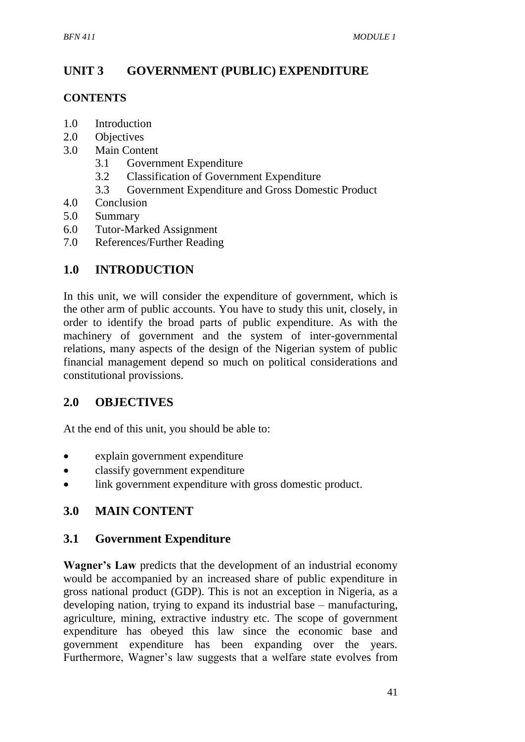# **UNIT 3 GOVERNMENT (PUBLIC) EXPENDITURE**

## **CONTENTS**

- 1.0 Introduction
- 2.0 Objectives
- 3.0 Main Content
	- 3.1 Government Expenditure
	- 3.2 Classification of Government Expenditure
	- 3.3 Government Expenditure and Gross Domestic Product
- 4.0 Conclusion
- 5.0 Summary
- 6.0 Tutor-Marked Assignment
- 7.0 References/Further Reading

# **1.0 INTRODUCTION**

In this unit, we will consider the expenditure of government, which is the other arm of public accounts. You have to study this unit, closely, in order to identify the broad parts of public expenditure. As with the machinery of government and the system of inter-governmental relations, many aspects of the design of the Nigerian system of public financial management depend so much on political considerations and constitutional provissions.

# **2.0 OBJECTIVES**

At the end of this unit, you should be able to:

- explain government expenditure
- classify government expenditure
- link government expenditure with gross domestic product.

# **3.0 MAIN CONTENT**

## **3.1 Government Expenditure**

**Wagner's Law** predicts that the development of an industrial economy would be accompanied by an increased share of public expenditure in gross national product (GDP). This is not an exception in Nigeria, as a developing nation, trying to expand its industrial base – manufacturing, agriculture, mining, extractive industry etc. The scope of government expenditure has obeyed this law since the economic base and government expenditure has been expanding over the years. Furthermore, Wagner's law suggests that a welfare state evolves from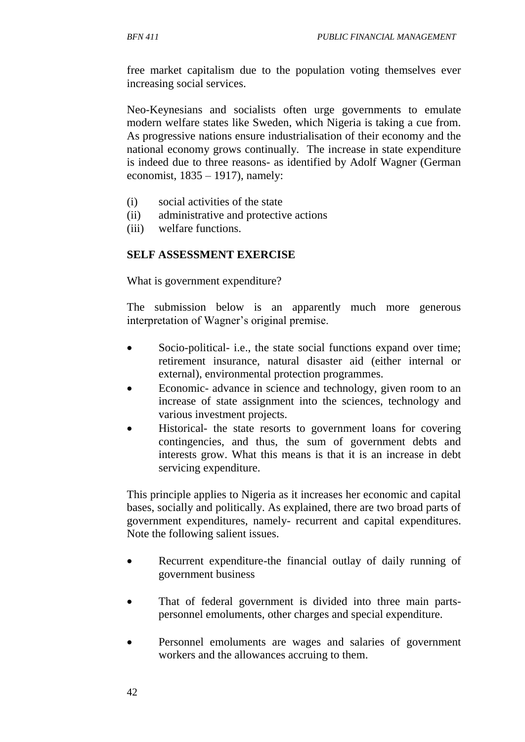free market capitalism due to the population voting themselves ever increasing social services.

Neo-Keynesians and socialists often urge governments to emulate modern welfare states like Sweden, which Nigeria is taking a cue from. As progressive nations ensure industrialisation of their economy and the national economy grows continually. The increase in state expenditure is indeed due to three reasons- as identified by Adolf Wagner (German economist,  $1835 - 1917$ ), namely:

- (i) social activities of the state
- (ii) administrative and protective actions
- (iii) welfare functions.

#### **SELF ASSESSMENT EXERCISE**

What is government expenditure?

The submission below is an apparently much more generous interpretation of Wagner's original premise.

- Socio-political- i.e., the state social functions expand over time; retirement insurance, natural disaster aid (either internal or external), environmental protection programmes.
- Economic- advance in science and technology, given room to an increase of state assignment into the sciences, technology and various investment projects.
- Historical- the state resorts to government loans for covering contingencies, and thus, the sum of government debts and interests grow. What this means is that it is an increase in debt servicing expenditure.

This principle applies to Nigeria as it increases her economic and capital bases, socially and politically. As explained, there are two broad parts of government expenditures, namely- recurrent and capital expenditures. Note the following salient issues.

- Recurrent expenditure-the financial outlay of daily running of government business
- That of federal government is divided into three main partspersonnel emoluments, other charges and special expenditure.
- Personnel emoluments are wages and salaries of government workers and the allowances accruing to them.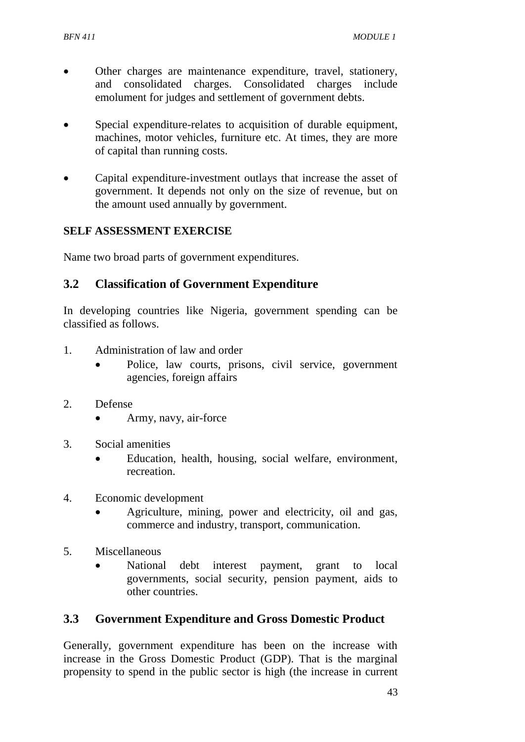- Other charges are maintenance expenditure, travel, stationery, and consolidated charges. Consolidated charges include emolument for judges and settlement of government debts.
- Special expenditure-relates to acquisition of durable equipment, machines, motor vehicles, furniture etc. At times, they are more of capital than running costs.
- Capital expenditure-investment outlays that increase the asset of government. It depends not only on the size of revenue, but on the amount used annually by government.

### **SELF ASSESSMENT EXERCISE**

Name two broad parts of government expenditures.

### **3.2 Classification of Government Expenditure**

In developing countries like Nigeria, government spending can be classified as follows.

- 1. Administration of law and order
	- Police, law courts, prisons, civil service, government agencies, foreign affairs
- 2. Defense
	- Army, navy, air-force
- 3. Social amenities
	- Education, health, housing, social welfare, environment, recreation.
- 4. Economic development
	- Agriculture, mining, power and electricity, oil and gas, commerce and industry, transport, communication.
- 5. Miscellaneous
	- National debt interest payment, grant to local governments, social security, pension payment, aids to other countries.

#### **3.3 Government Expenditure and Gross Domestic Product**

Generally, government expenditure has been on the increase with increase in the Gross Domestic Product (GDP). That is the marginal propensity to spend in the public sector is high (the increase in current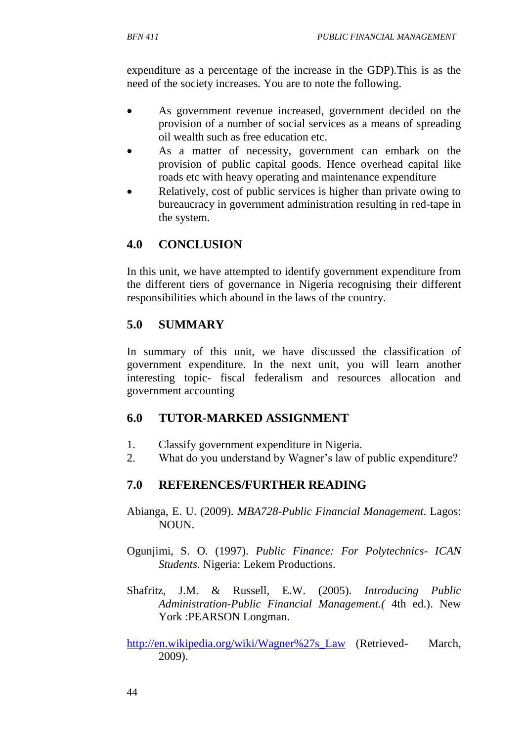expenditure as a percentage of the increase in the GDP).This is as the need of the society increases. You are to note the following.

- As government revenue increased, government decided on the provision of a number of social services as a means of spreading oil wealth such as free education etc.
- As a matter of necessity, government can embark on the provision of public capital goods. Hence overhead capital like roads etc with heavy operating and maintenance expenditure
- Relatively, cost of public services is higher than private owing to bureaucracy in government administration resulting in red-tape in the system.

# **4.0 CONCLUSION**

In this unit, we have attempted to identify government expenditure from the different tiers of governance in Nigeria recognising their different responsibilities which abound in the laws of the country.

# **5.0 SUMMARY**

In summary of this unit, we have discussed the classification of government expenditure. In the next unit, you will learn another interesting topic- fiscal federalism and resources allocation and government accounting

# **6.0 TUTOR-MARKED ASSIGNMENT**

- 1. Classify government expenditure in Nigeria.
- 2. What do you understand by Wagner's law of public expenditure?

# **7.0 REFERENCES/FURTHER READING**

- Abianga, E. U. (2009). *MBA728-Public Financial Management*. Lagos: NOUN.
- Ogunjimi, S. O. (1997). *Public Finance: For Polytechnics- ICAN Students.* Nigeria: Lekem Productions.
- Shafritz, J.M. & Russell, E.W. (2005). *Introducing Public Administration-Public Financial Management.(* 4th ed.). New York :PEARSON Longman.

[http://en.wikipedia.org/wiki/Wagner%27s\\_Law](http://en.wikipedia.org/wiki/Wagner%27s_Law) (Retrieved- March, 2009).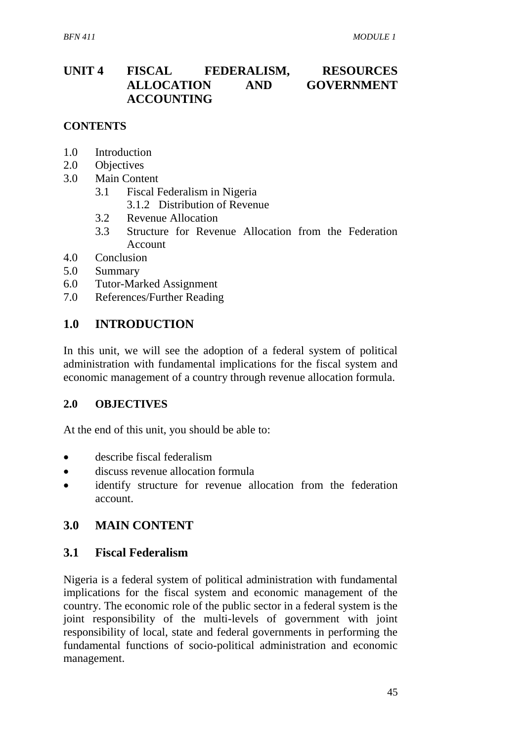# **UNIT 4 FISCAL FEDERALISM, RESOURCES ALLOCATION AND GOVERNMENT ACCOUNTING**

#### **CONTENTS**

- 1.0 Introduction
- 2.0 Objectives
- 3.0 Main Content
	- 3.1 Fiscal Federalism in Nigeria
		- 3.1.2 Distribution of Revenue
	- 3.2 Revenue Allocation
	- 3.3 Structure for Revenue Allocation from the Federation Account
- 4.0 Conclusion
- 5.0 Summary
- 6.0 Tutor-Marked Assignment
- 7.0 References/Further Reading

### **1.0 INTRODUCTION**

In this unit, we will see the adoption of a federal system of political administration with fundamental implications for the fiscal system and economic management of a country through revenue allocation formula.

#### **2.0 OBJECTIVES**

At the end of this unit, you should be able to:

- describe fiscal federalism
- discuss revenue allocation formula
- identify structure for revenue allocation from the federation account.

#### **3.0 MAIN CONTENT**

#### **3.1 Fiscal Federalism**

Nigeria is a federal system of political administration with fundamental implications for the fiscal system and economic management of the country. The economic role of the public sector in a federal system is the joint responsibility of the multi-levels of government with joint responsibility of local, state and federal governments in performing the fundamental functions of socio-political administration and economic management.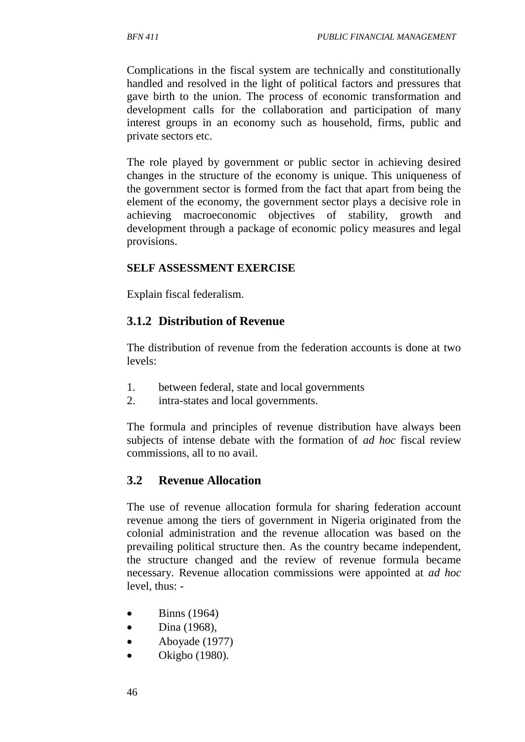Complications in the fiscal system are technically and constitutionally handled and resolved in the light of political factors and pressures that gave birth to the union. The process of economic transformation and development calls for the collaboration and participation of many interest groups in an economy such as household, firms, public and private sectors etc.

The role played by government or public sector in achieving desired changes in the structure of the economy is unique. This uniqueness of the government sector is formed from the fact that apart from being the element of the economy, the government sector plays a decisive role in achieving macroeconomic objectives of stability, growth and development through a package of economic policy measures and legal provisions.

### **SELF ASSESSMENT EXERCISE**

Explain fiscal federalism.

# **3.1.2 Distribution of Revenue**

The distribution of revenue from the federation accounts is done at two levels:

- 1. between federal, state and local governments
- 2. intra-states and local governments.

The formula and principles of revenue distribution have always been subjects of intense debate with the formation of *ad hoc* fiscal review commissions, all to no avail.

## **3.2 Revenue Allocation**

The use of revenue allocation formula for sharing federation account revenue among the tiers of government in Nigeria originated from the colonial administration and the revenue allocation was based on the prevailing political structure then. As the country became independent, the structure changed and the review of revenue formula became necessary. Revenue allocation commissions were appointed at *ad hoc* level, thus: -

- $\bullet$  Binns (1964)
- $\bullet$  Dina (1968),
- Aboyade (1977)
- Okigbo (1980).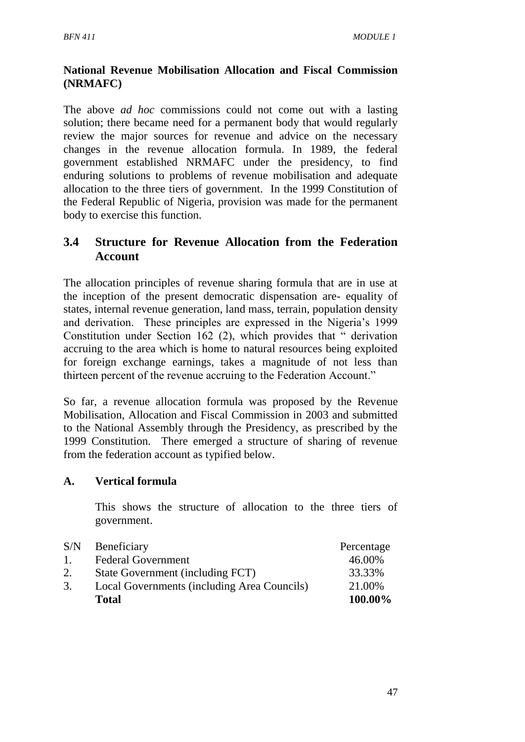## **National Revenue Mobilisation Allocation and Fiscal Commission (NRMAFC)**

The above *ad hoc* commissions could not come out with a lasting solution; there became need for a permanent body that would regularly review the major sources for revenue and advice on the necessary changes in the revenue allocation formula. In 1989, the federal government established NRMAFC under the presidency, to find enduring solutions to problems of revenue mobilisation and adequate allocation to the three tiers of government. In the 1999 Constitution of the Federal Republic of Nigeria, provision was made for the permanent body to exercise this function.

# **3.4 Structure for Revenue Allocation from the Federation Account**

The allocation principles of revenue sharing formula that are in use at the inception of the present democratic dispensation are- equality of states, internal revenue generation, land mass, terrain, population density and derivation. These principles are expressed in the Nigeria's 1999 Constitution under Section 162 (2), which provides that " derivation accruing to the area which is home to natural resources being exploited for foreign exchange earnings, takes a magnitude of not less than thirteen percent of the revenue accruing to the Federation Account."

So far, a revenue allocation formula was proposed by the Revenue Mobilisation, Allocation and Fiscal Commission in 2003 and submitted to the National Assembly through the Presidency, as prescribed by the 1999 Constitution. There emerged a structure of sharing of revenue from the federation account as typified below.

## **A. Vertical formula**

This shows the structure of allocation to the three tiers of government.

|                | <b>Total</b>                                | 100.00%    |
|----------------|---------------------------------------------|------------|
| 3.             | Local Governments (including Area Councils) | 21.00%     |
| 2.             | State Government (including FCT)            | 33.33%     |
| $\mathbf{1}$ . | <b>Federal Government</b>                   | 46.00%     |
| S/N            | Beneficiary                                 | Percentage |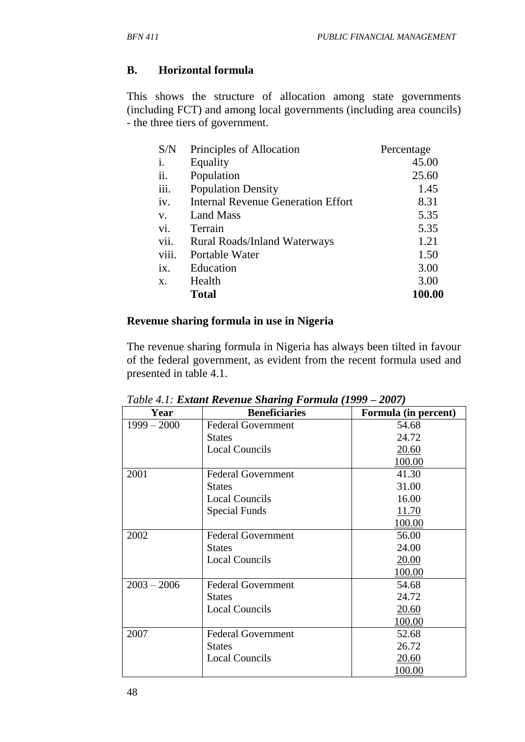### **B. Horizontal formula**

This shows the structure of allocation among state governments (including FCT) and among local governments (including area councils) - the three tiers of government.

| S/N   | Principles of Allocation                  | Percentage |
|-------|-------------------------------------------|------------|
| i.    | Equality                                  | 45.00      |
| ii.   | Population                                | 25.60      |
| iii.  | <b>Population Density</b>                 | 1.45       |
| iv.   | <b>Internal Revenue Generation Effort</b> | 8.31       |
| V.    | <b>Land Mass</b>                          | 5.35       |
| vi.   | Terrain                                   | 5.35       |
| vii.  | <b>Rural Roads/Inland Waterways</b>       | 1.21       |
| viii. | Portable Water                            | 1.50       |
| ix.   | Education                                 | 3.00       |
| X.    | Health                                    | 3.00       |
|       | Total                                     | 100.00     |

### **Revenue sharing formula in use in Nigeria**

The revenue sharing formula in Nigeria has always been tilted in favour of the federal government, as evident from the recent formula used and presented in table 4.1.

| Year          | <b>Beneficiaries</b>      | Formula (in percent) |
|---------------|---------------------------|----------------------|
| $1999 - 2000$ | <b>Federal Government</b> | 54.68                |
|               | <b>States</b>             | 24.72                |
|               | <b>Local Councils</b>     | 20.60                |
|               |                           | 100.00               |
| 2001          | <b>Federal Government</b> | 41.30                |
|               | <b>States</b>             | 31.00                |
|               | <b>Local Councils</b>     | 16.00                |
|               | Special Funds             | 11.70                |
|               |                           | 100.00               |
| 2002          | <b>Federal Government</b> | 56.00                |
|               | <b>States</b>             | 24.00                |
|               | <b>Local Councils</b>     | 20.00                |
|               |                           | 100.00               |
| $2003 - 2006$ | <b>Federal Government</b> | 54.68                |
|               | <b>States</b>             | 24.72                |
|               | <b>Local Councils</b>     | 20.60                |
|               |                           | 100.00               |
| 2007          | <b>Federal Government</b> | 52.68                |
|               | <b>States</b>             | 26.72                |
|               | <b>Local Councils</b>     | 20.60                |
|               |                           | 100.00               |

*Table 4.1: Extant Revenue Sharing Formula (1999 – 2007)*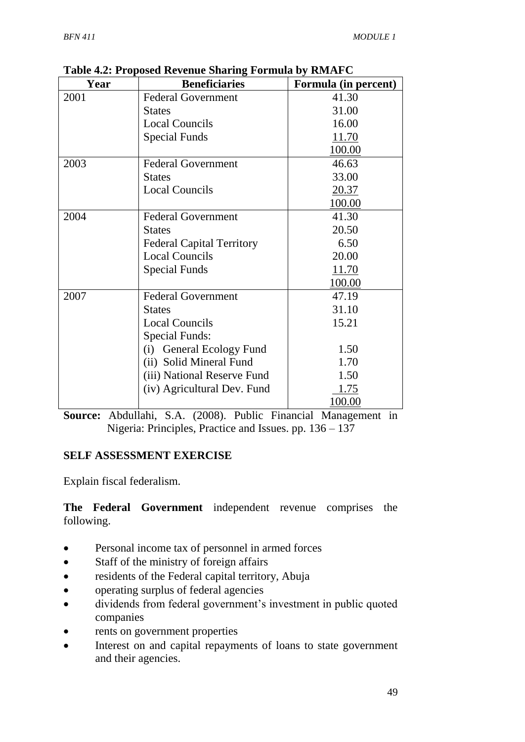| Year | <b>Beneficiaries</b>               | Formula (in percent) |
|------|------------------------------------|----------------------|
| 2001 | <b>Federal Government</b>          | 41.30                |
|      | <b>States</b>                      | 31.00                |
|      | <b>Local Councils</b>              | 16.00                |
|      | <b>Special Funds</b>               | 11.70                |
|      |                                    | 100.00               |
| 2003 | <b>Federal Government</b>          | 46.63                |
|      | <b>States</b>                      | 33.00                |
|      | <b>Local Councils</b>              | 20.37                |
|      |                                    | 100.00               |
| 2004 | <b>Federal Government</b>          | 41.30                |
|      | <b>States</b>                      | 20.50                |
|      | <b>Federal Capital Territory</b>   | 6.50                 |
|      | <b>Local Councils</b>              | 20.00                |
|      | <b>Special Funds</b>               | 11.70                |
|      |                                    | 100.00               |
| 2007 | <b>Federal Government</b>          | 47.19                |
|      | <b>States</b>                      | 31.10                |
|      | <b>Local Councils</b>              | 15.21                |
|      | <b>Special Funds:</b>              |                      |
|      | <b>General Ecology Fund</b><br>(i) | 1.50                 |
|      | (ii) Solid Mineral Fund            | 1.70                 |
|      | (iii) National Reserve Fund        | 1.50                 |
|      | (iv) Agricultural Dev. Fund        | 1.75                 |
|      |                                    | 100.00               |

**Table 4.2: Proposed Revenue Sharing Formula by RMAFC**

**Source:** Abdullahi, S.A. (2008). Public Financial Management in Nigeria: Principles, Practice and Issues. pp. 136 – 137

## **SELF ASSESSMENT EXERCISE**

Explain fiscal federalism.

**The Federal Government** independent revenue comprises the following.

- Personal income tax of personnel in armed forces
- Staff of the ministry of foreign affairs
- residents of the Federal capital territory, Abuja
- operating surplus of federal agencies
- dividends from federal government's investment in public quoted companies
- rents on government properties
- Interest on and capital repayments of loans to state government and their agencies.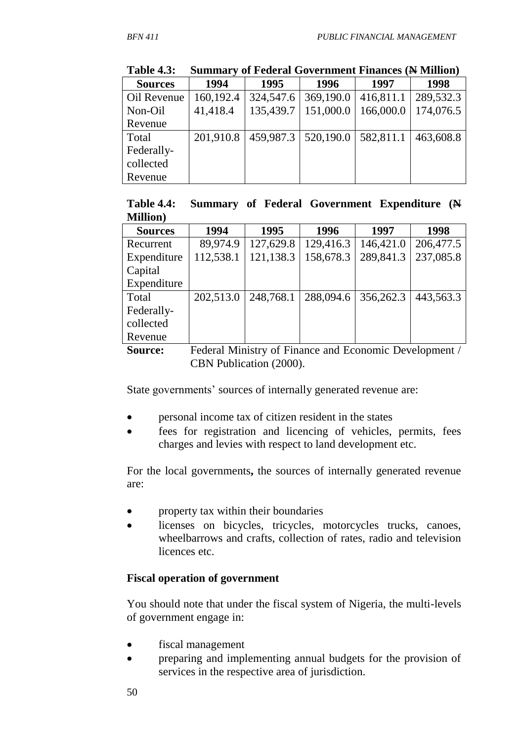| <b>Sources</b> | 1994      | 1995      | 1996      | 1997      | 1998      |
|----------------|-----------|-----------|-----------|-----------|-----------|
| Oil Revenue    | 160,192.4 | 324,547.6 | 369,190.0 | 416,811.1 | 289,532.3 |
| Non-Oil        | 41,418.4  | 135,439.7 | 151,000.0 | 166,000.0 | 174,076.5 |
| Revenue        |           |           |           |           |           |
| Total          | 201,910.8 | 459,987.3 | 520,190.0 | 582,811.1 | 463,608.8 |
| Federally-     |           |           |           |           |           |
| collected      |           |           |           |           |           |
| Revenue        |           |           |           |           |           |

**Table 4.3: Summary of Federal Government Finances (N Million)**

|                  |  | Table 4.4: Summary of Federal Government Expenditure (N |  |
|------------------|--|---------------------------------------------------------|--|
| <b>Million</b> ) |  |                                                         |  |

| <b>Sources</b> | 1994      | 1995      | 1996      | 1997                     | 1998      |
|----------------|-----------|-----------|-----------|--------------------------|-----------|
| Recurrent      | 89,974.9  | 127,629.8 | 129,416.3 | 146,421.0                | 206,477.5 |
| Expenditure    | 112,538.1 | 121,138.3 | 158,678.3 | 289,841.3                | 237,085.8 |
| Capital        |           |           |           |                          |           |
| Expenditure    |           |           |           |                          |           |
| Total          | 202,513.0 | 248,768.1 | 288,094.6 | 356,262.3                | 443,563.3 |
| Federally-     |           |           |           |                          |           |
| collected      |           |           |           |                          |           |
| Revenue        |           |           |           |                          |           |
| $\sim$         | .<br>−    |           |           | $\overline{\phantom{a}}$ |           |

**Source:** Federal Ministry of Finance and Economic Development / CBN Publication (2000).

State governments' sources of internally generated revenue are:

- personal income tax of citizen resident in the states
- fees for registration and licencing of vehicles, permits, fees charges and levies with respect to land development etc.

For the local governments**,** the sources of internally generated revenue are:

- property tax within their boundaries
- licenses on bicycles, tricycles, motorcycles trucks, canoes, wheelbarrows and crafts, collection of rates, radio and television licences etc.

## **Fiscal operation of government**

You should note that under the fiscal system of Nigeria, the multi-levels of government engage in:

- fiscal management
- preparing and implementing annual budgets for the provision of services in the respective area of jurisdiction.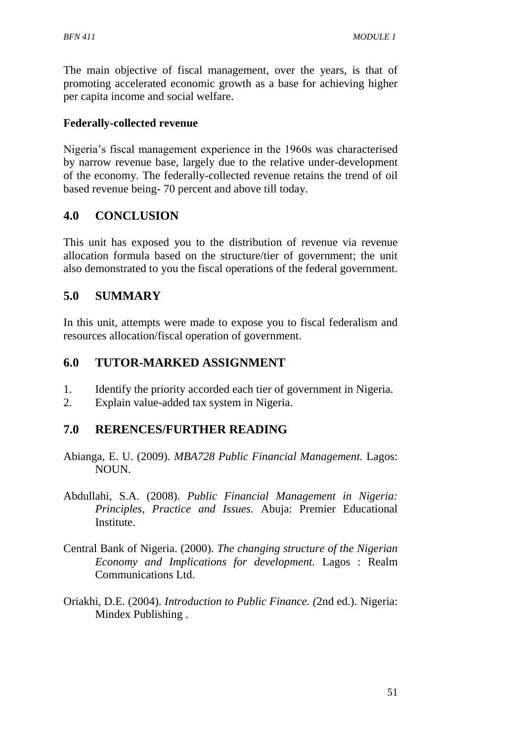The main objective of fiscal management, over the years, is that of promoting accelerated economic growth as a base for achieving higher per capita income and social welfare.

#### **Federally-collected revenue**

Nigeria's fiscal management experience in the 1960s was characterised by narrow revenue base, largely due to the relative under-development of the economy. The federally-collected revenue retains the trend of oil based revenue being- 70 percent and above till today.

# **4.0 CONCLUSION**

This unit has exposed you to the distribution of revenue via revenue allocation formula based on the structure/tier of government; the unit also demonstrated to you the fiscal operations of the federal government.

# **5.0 SUMMARY**

In this unit, attempts were made to expose you to fiscal federalism and resources allocation/fiscal operation of government.

# **6.0 TUTOR-MARKED ASSIGNMENT**

- 1. Identify the priority accorded each tier of government in Nigeria.
- 2. Explain value-added tax system in Nigeria.

# **7.0 RERENCES/FURTHER READING**

- Abianga, E. U. (2009). *MBA728 Public Financial Management.* Lagos: NOUN.
- Abdullahi, S.A. (2008). *Public Financial Management in Nigeria: Principles, Practice and Issues.* Abuja: Premier Educational Institute.
- Central Bank of Nigeria. (2000). *The changing structure of the Nigerian Economy and Implications for development.* Lagos : Realm Communications Ltd.
- Oriakhi, D.E. (2004). *Introduction to Public Finance. (*2nd ed.). Nigeria: Mindex Publishing .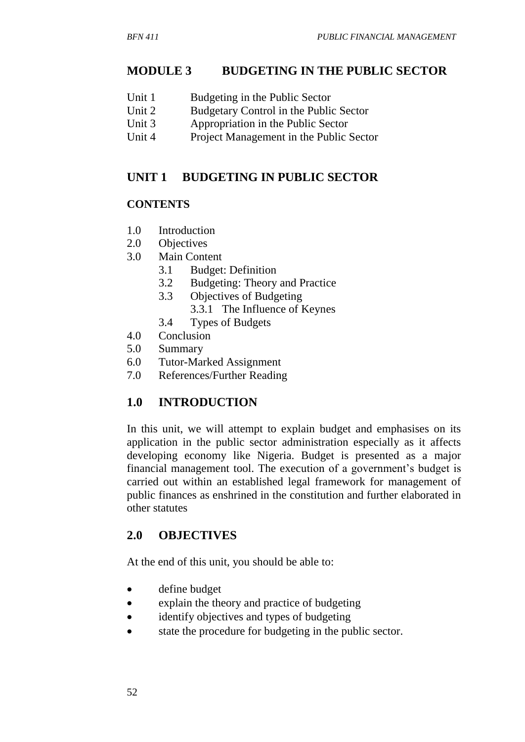# **MODULE 3 BUDGETING IN THE PUBLIC SECTOR**

- Unit 1 Budgeting in the Public Sector
- Unit 2 Budgetary Control in the Public Sector
- Unit 3 Appropriation in the Public Sector
- Unit 4 Project Management in the Public Sector

# **UNIT 1 BUDGETING IN PUBLIC SECTOR**

### **CONTENTS**

- 1.0 Introduction
- 2.0 Objectives
- 3.0 Main Content
	- 3.1 Budget: Definition
	- 3.2 Budgeting: Theory and Practice
	- 3.3 Objectives of Budgeting
		- 3.3.1 The Influence of Keynes
	- 3.4 Types of Budgets
- 4.0 Conclusion
- 5.0 Summary
- 6.0 Tutor-Marked Assignment
- 7.0 References/Further Reading

# **1.0 INTRODUCTION**

In this unit, we will attempt to explain budget and emphasises on its application in the public sector administration especially as it affects developing economy like Nigeria. Budget is presented as a major financial management tool. The execution of a government's budget is carried out within an established legal framework for management of public finances as enshrined in the constitution and further elaborated in other statutes

# **2.0 OBJECTIVES**

At the end of this unit, you should be able to:

- define budget
- explain the theory and practice of budgeting
- identify objectives and types of budgeting
- state the procedure for budgeting in the public sector.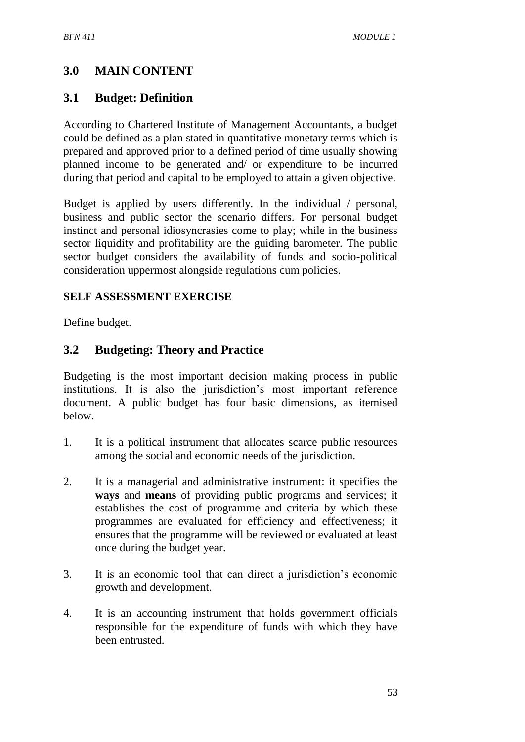# **3.0 MAIN CONTENT**

# **3.1 Budget: Definition**

According to Chartered Institute of Management Accountants, a budget could be defined as a plan stated in quantitative monetary terms which is prepared and approved prior to a defined period of time usually showing planned income to be generated and/ or expenditure to be incurred during that period and capital to be employed to attain a given objective.

Budget is applied by users differently. In the individual / personal, business and public sector the scenario differs. For personal budget instinct and personal idiosyncrasies come to play; while in the business sector liquidity and profitability are the guiding barometer. The public sector budget considers the availability of funds and socio-political consideration uppermost alongside regulations cum policies.

## **SELF ASSESSMENT EXERCISE**

Define budget.

# **3.2 Budgeting: Theory and Practice**

Budgeting is the most important decision making process in public institutions. It is also the jurisdiction's most important reference document. A public budget has four basic dimensions, as itemised below.

- 1. It is a political instrument that allocates scarce public resources among the social and economic needs of the jurisdiction.
- 2. It is a managerial and administrative instrument: it specifies the **ways** and **means** of providing public programs and services; it establishes the cost of programme and criteria by which these programmes are evaluated for efficiency and effectiveness; it ensures that the programme will be reviewed or evaluated at least once during the budget year.
- 3. It is an economic tool that can direct a jurisdiction's economic growth and development.
- 4. It is an accounting instrument that holds government officials responsible for the expenditure of funds with which they have been entrusted.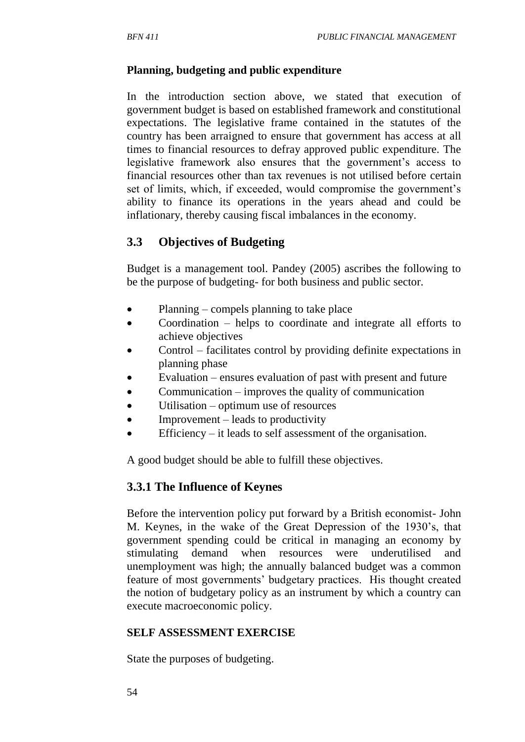#### **Planning, budgeting and public expenditure**

In the introduction section above, we stated that execution of government budget is based on established framework and constitutional expectations. The legislative frame contained in the statutes of the country has been arraigned to ensure that government has access at all times to financial resources to defray approved public expenditure. The legislative framework also ensures that the government's access to financial resources other than tax revenues is not utilised before certain set of limits, which, if exceeded, would compromise the government's ability to finance its operations in the years ahead and could be inflationary, thereby causing fiscal imbalances in the economy.

# **3.3 Objectives of Budgeting**

Budget is a management tool. Pandey (2005) ascribes the following to be the purpose of budgeting- for both business and public sector.

- Planning compels planning to take place
- Coordination helps to coordinate and integrate all efforts to achieve objectives
- Control facilitates control by providing definite expectations in planning phase
- Evaluation ensures evaluation of past with present and future
- Communication improves the quality of communication
- Utilisation optimum use of resources
- $\bullet$  Improvement leads to productivity
- Efficiency it leads to self assessment of the organisation.

A good budget should be able to fulfill these objectives.

## **3.3.1 The Influence of Keynes**

Before the intervention policy put forward by a British economist- John M. Keynes, in the wake of the Great Depression of the 1930's, that government spending could be critical in managing an economy by stimulating demand when resources were underutilised and unemployment was high; the annually balanced budget was a common feature of most governments' budgetary practices. His thought created the notion of budgetary policy as an instrument by which a country can execute macroeconomic policy.

#### **SELF ASSESSMENT EXERCISE**

State the purposes of budgeting.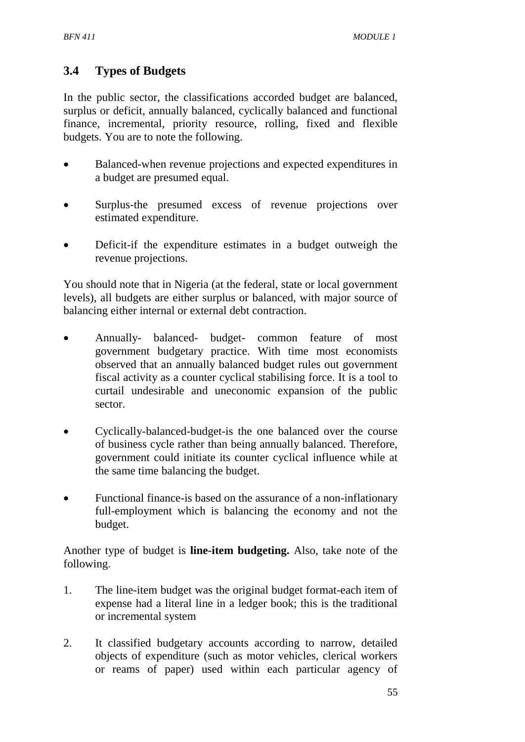# **3.4 Types of Budgets**

In the public sector, the classifications accorded budget are balanced, surplus or deficit, annually balanced, cyclically balanced and functional finance, incremental, priority resource, rolling, fixed and flexible budgets. You are to note the following.

- Balanced-when revenue projections and expected expenditures in a budget are presumed equal.
- Surplus-the presumed excess of revenue projections over estimated expenditure.
- Deficit-if the expenditure estimates in a budget outweigh the revenue projections.

You should note that in Nigeria (at the federal, state or local government levels), all budgets are either surplus or balanced, with major source of balancing either internal or external debt contraction.

- Annually- balanced- budget- common feature of most government budgetary practice. With time most economists observed that an annually balanced budget rules out government fiscal activity as a counter cyclical stabilising force. It is a tool to curtail undesirable and uneconomic expansion of the public sector.
- Cyclically-balanced-budget-is the one balanced over the course of business cycle rather than being annually balanced. Therefore, government could initiate its counter cyclical influence while at the same time balancing the budget.
- Functional finance-is based on the assurance of a non-inflationary full-employment which is balancing the economy and not the budget.

Another type of budget is **line-item budgeting.** Also, take note of the following.

- 1. The line-item budget was the original budget format-each item of expense had a literal line in a ledger book; this is the traditional or incremental system
- 2. It classified budgetary accounts according to narrow, detailed objects of expenditure (such as motor vehicles, clerical workers or reams of paper) used within each particular agency of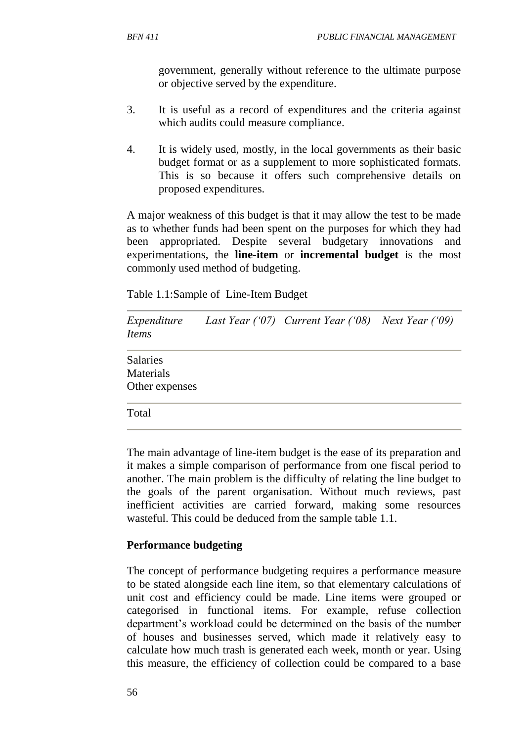government, generally without reference to the ultimate purpose or objective served by the expenditure.

- 3. It is useful as a record of expenditures and the criteria against which audits could measure compliance.
- 4. It is widely used, mostly, in the local governments as their basic budget format or as a supplement to more sophisticated formats. This is so because it offers such comprehensive details on proposed expenditures.

A major weakness of this budget is that it may allow the test to be made as to whether funds had been spent on the purposes for which they had been appropriated. Despite several budgetary innovations and experimentations, the **line-item** or **incremental budget** is the most commonly used method of budgeting.

Table 1.1:Sample of Line-Item Budget

| Expenditure<br><i>Items</i>             | Last Year $(07)$ Current Year $(08)$ Next Year $(09)$ |  |
|-----------------------------------------|-------------------------------------------------------|--|
| Salaries<br>Materials<br>Other expenses |                                                       |  |
| Total                                   |                                                       |  |

The main advantage of line-item budget is the ease of its preparation and it makes a simple comparison of performance from one fiscal period to another. The main problem is the difficulty of relating the line budget to the goals of the parent organisation. Without much reviews, past inefficient activities are carried forward, making some resources wasteful. This could be deduced from the sample table 1.1.

#### **Performance budgeting**

The concept of performance budgeting requires a performance measure to be stated alongside each line item, so that elementary calculations of unit cost and efficiency could be made. Line items were grouped or categorised in functional items. For example, refuse collection department's workload could be determined on the basis of the number of houses and businesses served, which made it relatively easy to calculate how much trash is generated each week, month or year. Using this measure, the efficiency of collection could be compared to a base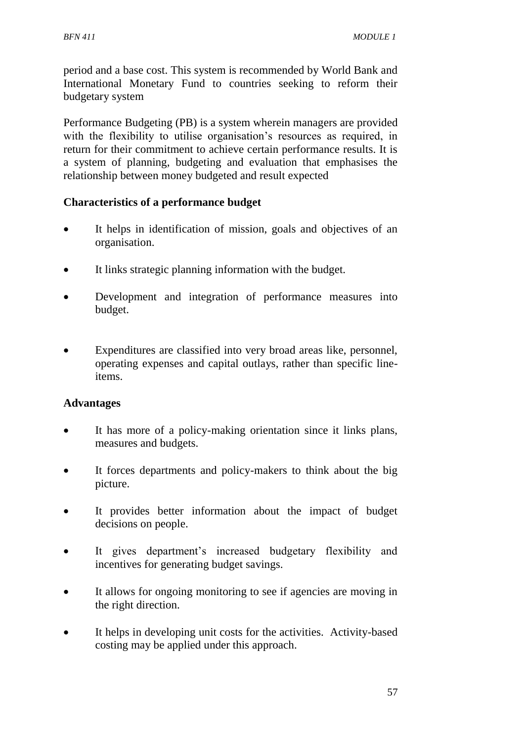period and a base cost. This system is recommended by World Bank and International Monetary Fund to countries seeking to reform their budgetary system

Performance Budgeting (PB) is a system wherein managers are provided with the flexibility to utilise organisation's resources as required, in return for their commitment to achieve certain performance results. It is a system of planning, budgeting and evaluation that emphasises the relationship between money budgeted and result expected

### **Characteristics of a performance budget**

- It helps in identification of mission, goals and objectives of an organisation.
- It links strategic planning information with the budget.
- Development and integration of performance measures into budget.
- Expenditures are classified into very broad areas like, personnel, operating expenses and capital outlays, rather than specific lineitems.

#### **Advantages**

- It has more of a policy-making orientation since it links plans, measures and budgets.
- It forces departments and policy-makers to think about the big picture.
- It provides better information about the impact of budget decisions on people.
- It gives department's increased budgetary flexibility and incentives for generating budget savings.
- It allows for ongoing monitoring to see if agencies are moving in the right direction.
- It helps in developing unit costs for the activities. Activity-based costing may be applied under this approach.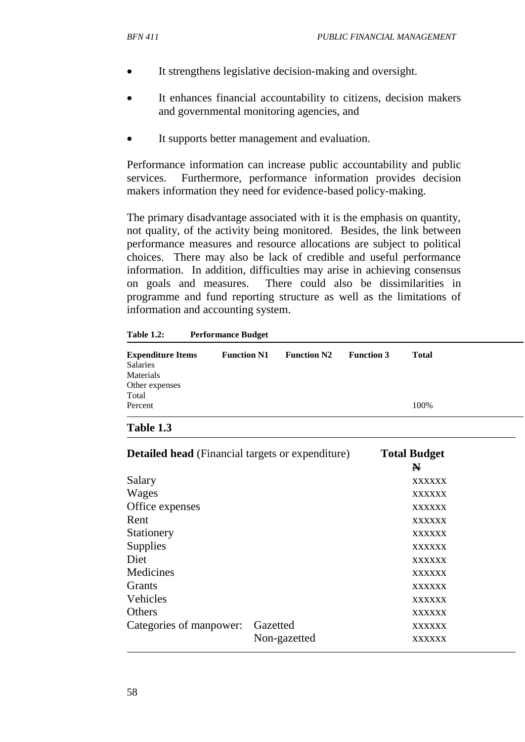- It strengthens legislative decision-making and oversight.
- It enhances financial accountability to citizens, decision makers and governmental monitoring agencies, and
- It supports better management and evaluation.

Performance information can increase public accountability and public services. Furthermore, performance information provides decision makers information they need for evidence-based policy-making.

The primary disadvantage associated with it is the emphasis on quantity, not quality, of the activity being monitored. Besides, the link between performance measures and resource allocations are subject to political choices. There may also be lack of credible and useful performance information. In addition, difficulties may arise in achieving consensus on goals and measures. There could also be dissimilarities in programme and fund reporting structure as well as the limitations of information and accounting system.

**Table 1.2: Performance Budget**

| <b>Expenditure Items</b><br>Salaries | <b>Function N1</b> | <b>Function N2</b> | <b>Function 3</b> | Total |
|--------------------------------------|--------------------|--------------------|-------------------|-------|
| Materials                            |                    |                    |                   |       |
| Other expenses                       |                    |                    |                   |       |
| Total                                |                    |                    |                   |       |
| Percent                              |                    |                    |                   | 100%  |
|                                      |                    |                    |                   |       |

#### **Table 1.3**

| <b>Detailed head</b> (Financial targets or expenditure) | <b>Total Budget</b><br>N |               |
|---------------------------------------------------------|--------------------------|---------------|
| Salary                                                  |                          | <b>XXXXXX</b> |
| Wages                                                   |                          | <b>XXXXXX</b> |
| Office expenses                                         |                          | <b>XXXXXX</b> |
| Rent                                                    |                          | <b>XXXXXX</b> |
| Stationery                                              |                          | <b>XXXXXX</b> |
| Supplies                                                |                          | <b>XXXXXX</b> |
| Diet                                                    |                          | <b>XXXXXX</b> |
| Medicines                                               |                          | <b>XXXXXX</b> |
| <b>Grants</b>                                           |                          | <b>XXXXXX</b> |
| Vehicles                                                |                          | <b>XXXXXX</b> |
| <b>Others</b>                                           |                          | <b>XXXXXX</b> |
| Categories of manpower:                                 | Gazetted                 | <b>XXXXXX</b> |
|                                                         | Non-gazetted             | <b>XXXXXX</b> |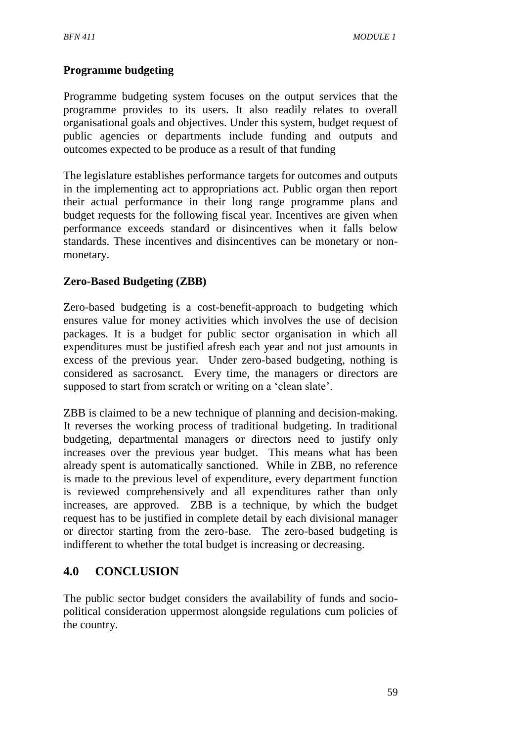# **Programme budgeting**

Programme budgeting system focuses on the output services that the programme provides to its users. It also readily relates to overall organisational goals and objectives. Under this system, budget request of public agencies or departments include funding and outputs and outcomes expected to be produce as a result of that funding

The legislature establishes performance targets for outcomes and outputs in the implementing act to appropriations act. Public organ then report their actual performance in their long range programme plans and budget requests for the following fiscal year. Incentives are given when performance exceeds standard or disincentives when it falls below standards. These incentives and disincentives can be monetary or nonmonetary.

## **Zero-Based Budgeting (ZBB)**

Zero-based budgeting is a cost-benefit-approach to budgeting which ensures value for money activities which involves the use of decision packages. It is a budget for public sector organisation in which all expenditures must be justified afresh each year and not just amounts in excess of the previous year. Under zero-based budgeting, nothing is considered as sacrosanct. Every time, the managers or directors are supposed to start from scratch or writing on a 'clean slate'.

ZBB is claimed to be a new technique of planning and decision-making. It reverses the working process of traditional budgeting. In traditional budgeting, departmental managers or directors need to justify only increases over the previous year budget. This means what has been already spent is automatically sanctioned. While in ZBB, no reference is made to the previous level of expenditure, every department function is reviewed comprehensively and all expenditures rather than only increases, are approved. ZBB is a technique, by which the budget request has to be justified in complete detail by each divisional manager or director starting from the zero-base. The zero-based budgeting is indifferent to whether the total budget is increasing or decreasing.

## **4.0 CONCLUSION**

The public sector budget considers the availability of funds and sociopolitical consideration uppermost alongside regulations cum policies of the country.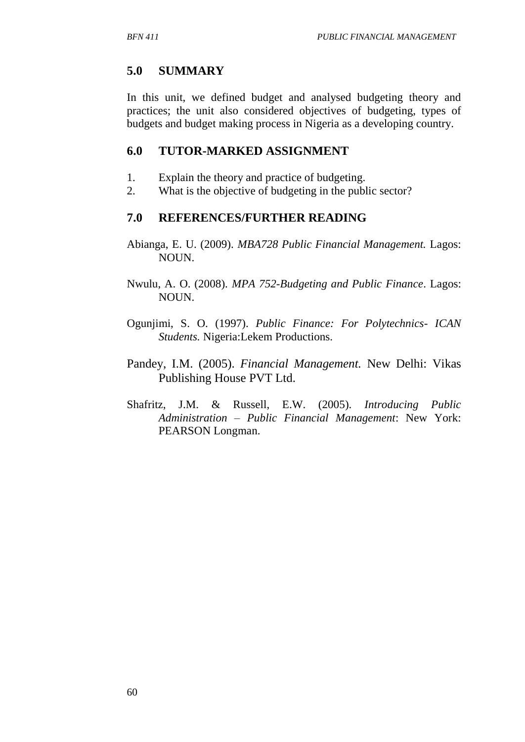# **5.0 SUMMARY**

In this unit, we defined budget and analysed budgeting theory and practices; the unit also considered objectives of budgeting, types of budgets and budget making process in Nigeria as a developing country.

# **6.0 TUTOR-MARKED ASSIGNMENT**

- 1. Explain the theory and practice of budgeting.
- 2. What is the objective of budgeting in the public sector?

# **7.0 REFERENCES/FURTHER READING**

- Abianga, E. U. (2009). *MBA728 Public Financial Management.* Lagos: NOUN.
- Nwulu, A. O. (2008). *MPA 752-Budgeting and Public Finance*. Lagos: NOUN.
- Ogunjimi, S. O. (1997). *Public Finance: For Polytechnics- ICAN Students.* Nigeria:Lekem Productions.
- Pandey, I.M. (2005). *Financial Management.* New Delhi: Vikas Publishing House PVT Ltd.
- Shafritz, J.M. & Russell, E.W. (2005). *Introducing Public Administration – Public Financial Management*: New York: PEARSON Longman.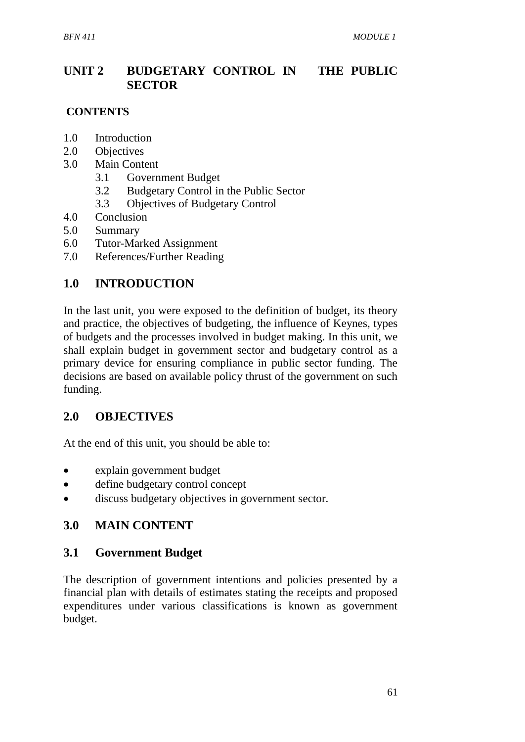# **UNIT 2 BUDGETARY CONTROL IN THE PUBLIC SECTOR**

#### **CONTENTS**

- 1.0 Introduction
- 2.0 Objectives
- 3.0 Main Content
	- 3.1 Government Budget
	- 3.2 Budgetary Control in the Public Sector
	- 3.3 Objectives of Budgetary Control
- 4.0 Conclusion
- 5.0 Summary
- 6.0 Tutor-Marked Assignment
- 7.0 References/Further Reading

# **1.0 INTRODUCTION**

In the last unit, you were exposed to the definition of budget, its theory and practice, the objectives of budgeting, the influence of Keynes, types of budgets and the processes involved in budget making. In this unit, we shall explain budget in government sector and budgetary control as a primary device for ensuring compliance in public sector funding. The decisions are based on available policy thrust of the government on such funding.

## **2.0 OBJECTIVES**

At the end of this unit, you should be able to:

- explain government budget
- define budgetary control concept
- discuss budgetary objectives in government sector.

## **3.0 MAIN CONTENT**

#### **3.1 Government Budget**

The description of government intentions and policies presented by a financial plan with details of estimates stating the receipts and proposed expenditures under various classifications is known as government budget.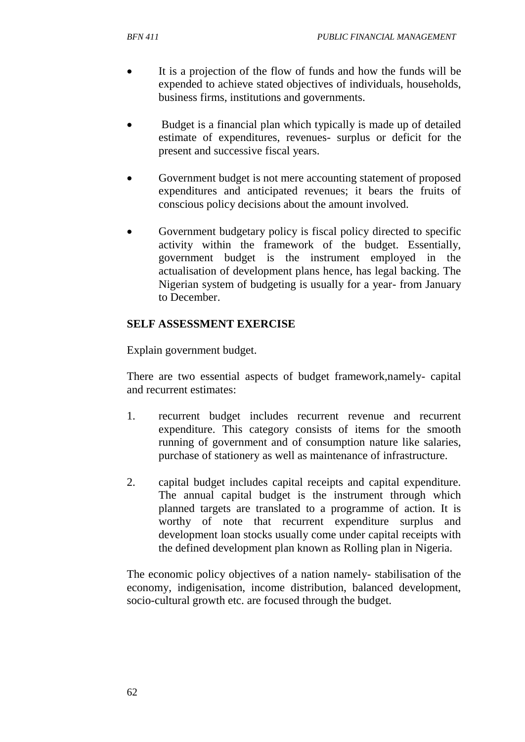- It is a projection of the flow of funds and how the funds will be expended to achieve stated objectives of individuals, households, business firms, institutions and governments.
- Budget is a financial plan which typically is made up of detailed estimate of expenditures, revenues- surplus or deficit for the present and successive fiscal years.
- Government budget is not mere accounting statement of proposed expenditures and anticipated revenues; it bears the fruits of conscious policy decisions about the amount involved.
- Government budgetary policy is fiscal policy directed to specific activity within the framework of the budget. Essentially, government budget is the instrument employed in the actualisation of development plans hence, has legal backing. The Nigerian system of budgeting is usually for a year- from January to December.

### **SELF ASSESSMENT EXERCISE**

Explain government budget.

There are two essential aspects of budget framework,namely- capital and recurrent estimates:

- 1. recurrent budget includes recurrent revenue and recurrent expenditure. This category consists of items for the smooth running of government and of consumption nature like salaries, purchase of stationery as well as maintenance of infrastructure.
- 2. capital budget includes capital receipts and capital expenditure. The annual capital budget is the instrument through which planned targets are translated to a programme of action. It is worthy of note that recurrent expenditure surplus and development loan stocks usually come under capital receipts with the defined development plan known as Rolling plan in Nigeria.

The economic policy objectives of a nation namely- stabilisation of the economy, indigenisation, income distribution, balanced development, socio-cultural growth etc. are focused through the budget.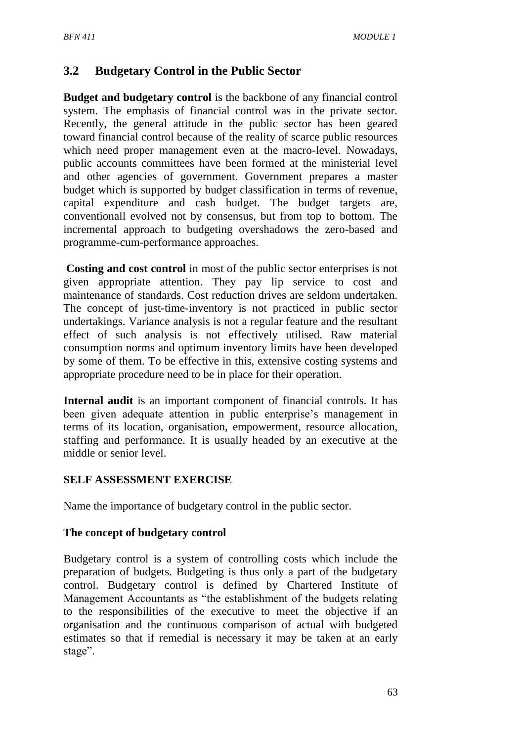## **3.2 Budgetary Control in the Public Sector**

**Budget and budgetary control** is the backbone of any financial control system. The emphasis of financial control was in the private sector. Recently, the general attitude in the public sector has been geared toward financial control because of the reality of scarce public resources which need proper management even at the macro-level. Nowadays, public accounts committees have been formed at the ministerial level and other agencies of government. Government prepares a master budget which is supported by budget classification in terms of revenue, capital expenditure and cash budget. The budget targets are, conventionall evolved not by consensus, but from top to bottom. The incremental approach to budgeting overshadows the zero-based and programme-cum-performance approaches.

**Costing and cost control** in most of the public sector enterprises is not given appropriate attention. They pay lip service to cost and maintenance of standards. Cost reduction drives are seldom undertaken. The concept of just-time-inventory is not practiced in public sector undertakings. Variance analysis is not a regular feature and the resultant effect of such analysis is not effectively utilised. Raw material consumption norms and optimum inventory limits have been developed by some of them. To be effective in this, extensive costing systems and appropriate procedure need to be in place for their operation.

**Internal audit** is an important component of financial controls. It has been given adequate attention in public enterprise's management in terms of its location, organisation, empowerment, resource allocation, staffing and performance. It is usually headed by an executive at the middle or senior level.

#### **SELF ASSESSMENT EXERCISE**

Name the importance of budgetary control in the public sector.

#### **The concept of budgetary control**

Budgetary control is a system of controlling costs which include the preparation of budgets. Budgeting is thus only a part of the budgetary control. Budgetary control is defined by Chartered Institute of Management Accountants as "the establishment of the budgets relating to the responsibilities of the executive to meet the objective if an organisation and the continuous comparison of actual with budgeted estimates so that if remedial is necessary it may be taken at an early stage".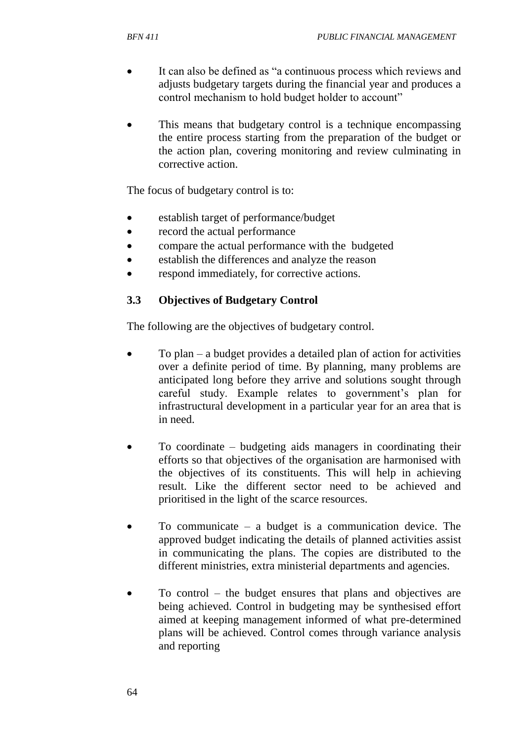- It can also be defined as "a continuous process which reviews and adjusts budgetary targets during the financial year and produces a control mechanism to hold budget holder to account"
- This means that budgetary control is a technique encompassing the entire process starting from the preparation of the budget or the action plan, covering monitoring and review culminating in corrective action.

The focus of budgetary control is to:

- establish target of performance/budget
- record the actual performance
- compare the actual performance with the budgeted
- establish the differences and analyze the reason
- respond immediately, for corrective actions.

### **3.3 Objectives of Budgetary Control**

The following are the objectives of budgetary control.

- To plan a budget provides a detailed plan of action for activities over a definite period of time. By planning, many problems are anticipated long before they arrive and solutions sought through careful study. Example relates to government's plan for infrastructural development in a particular year for an area that is in need.
- To coordinate budgeting aids managers in coordinating their efforts so that objectives of the organisation are harmonised with the objectives of its constituents. This will help in achieving result. Like the different sector need to be achieved and prioritised in the light of the scarce resources.
- To communicate a budget is a communication device. The approved budget indicating the details of planned activities assist in communicating the plans. The copies are distributed to the different ministries, extra ministerial departments and agencies.
- To control the budget ensures that plans and objectives are being achieved. Control in budgeting may be synthesised effort aimed at keeping management informed of what pre-determined plans will be achieved. Control comes through variance analysis and reporting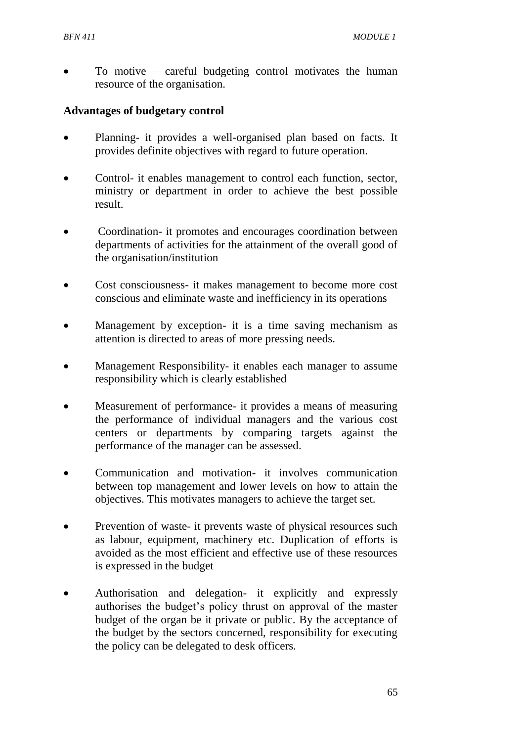To motive – careful budgeting control motivates the human resource of the organisation.

#### **Advantages of budgetary control**

- Planning- it provides a well-organised plan based on facts. It provides definite objectives with regard to future operation.
- Control- it enables management to control each function, sector, ministry or department in order to achieve the best possible result.
- Coordination- it promotes and encourages coordination between departments of activities for the attainment of the overall good of the organisation/institution
- Cost consciousness- it makes management to become more cost conscious and eliminate waste and inefficiency in its operations
- Management by exception- it is a time saving mechanism as attention is directed to areas of more pressing needs.
- Management Responsibility- it enables each manager to assume responsibility which is clearly established
- Measurement of performance- it provides a means of measuring the performance of individual managers and the various cost centers or departments by comparing targets against the performance of the manager can be assessed.
- Communication and motivation- it involves communication between top management and lower levels on how to attain the objectives. This motivates managers to achieve the target set.
- Prevention of waste- it prevents waste of physical resources such as labour, equipment, machinery etc. Duplication of efforts is avoided as the most efficient and effective use of these resources is expressed in the budget
- Authorisation and delegation- it explicitly and expressly authorises the budget's policy thrust on approval of the master budget of the organ be it private or public. By the acceptance of the budget by the sectors concerned, responsibility for executing the policy can be delegated to desk officers.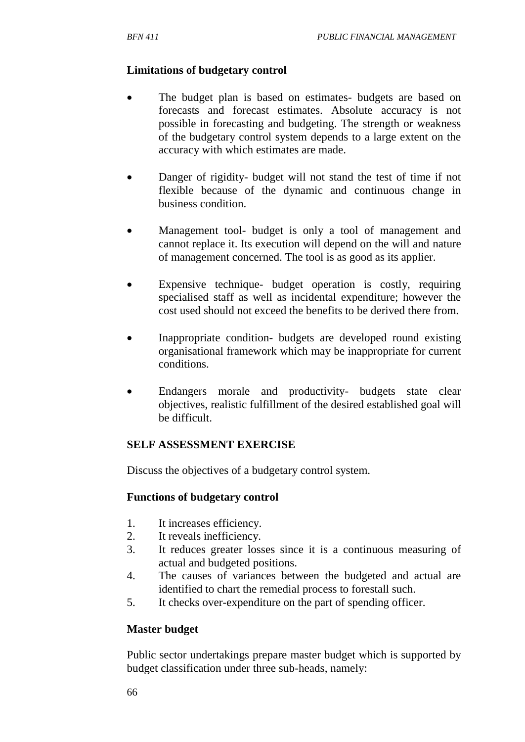### **Limitations of budgetary control**

- The budget plan is based on estimates- budgets are based on forecasts and forecast estimates. Absolute accuracy is not possible in forecasting and budgeting. The strength or weakness of the budgetary control system depends to a large extent on the accuracy with which estimates are made.
- Danger of rigidity- budget will not stand the test of time if not flexible because of the dynamic and continuous change in business condition.
- Management tool- budget is only a tool of management and cannot replace it. Its execution will depend on the will and nature of management concerned. The tool is as good as its applier.
- Expensive technique- budget operation is costly, requiring specialised staff as well as incidental expenditure; however the cost used should not exceed the benefits to be derived there from.
- Inappropriate condition- budgets are developed round existing organisational framework which may be inappropriate for current conditions.
- Endangers morale and productivity- budgets state clear objectives, realistic fulfillment of the desired established goal will be difficult.

#### **SELF ASSESSMENT EXERCISE**

Discuss the objectives of a budgetary control system.

#### **Functions of budgetary control**

- 1. It increases efficiency.
- 2. It reveals inefficiency.
- 3. It reduces greater losses since it is a continuous measuring of actual and budgeted positions.
- 4. The causes of variances between the budgeted and actual are identified to chart the remedial process to forestall such.
- 5. It checks over-expenditure on the part of spending officer.

## **Master budget**

Public sector undertakings prepare master budget which is supported by budget classification under three sub-heads, namely: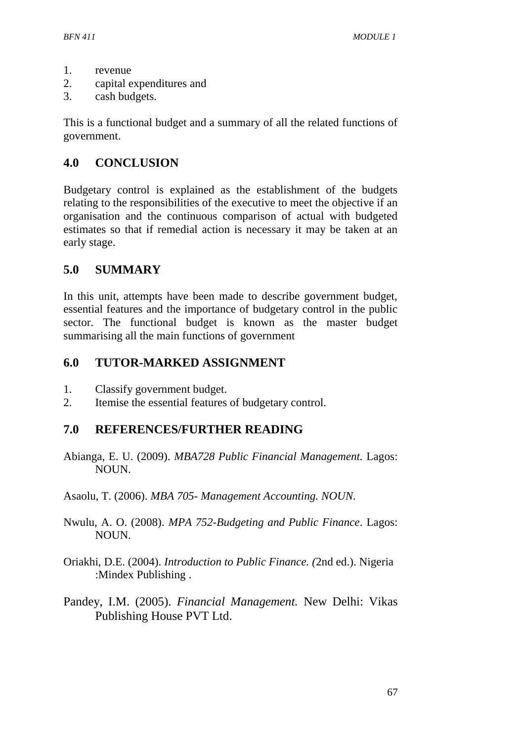- 1. revenue
- 2. capital expenditures and
- 3. cash budgets.

This is a functional budget and a summary of all the related functions of government.

# **4.0 CONCLUSION**

Budgetary control is explained as the establishment of the budgets relating to the responsibilities of the executive to meet the objective if an organisation and the continuous comparison of actual with budgeted estimates so that if remedial action is necessary it may be taken at an early stage.

## **5.0 SUMMARY**

In this unit, attempts have been made to describe government budget, essential features and the importance of budgetary control in the public sector. The functional budget is known as the master budget summarising all the main functions of government

# **6.0 TUTOR-MARKED ASSIGNMENT**

- 1. Classify government budget.
- 2. Itemise the essential features of budgetary control.

## **7.0 REFERENCES/FURTHER READING**

- Abianga, E. U. (2009). *MBA728 Public Financial Management.* Lagos: NOUN.
- Asaolu, T. (2006). *MBA 705- Management Accounting. NOUN.*
- Nwulu, A. O. (2008). *MPA 752*-*Budgeting and Public Finance*. Lagos: NOUN.
- Oriakhi, D.E. (2004). *Introduction to Public Finance. (*2nd ed.). Nigeria :Mindex Publishing .
- Pandey, I.M. (2005). *Financial Management.* New Delhi: Vikas Publishing House PVT Ltd.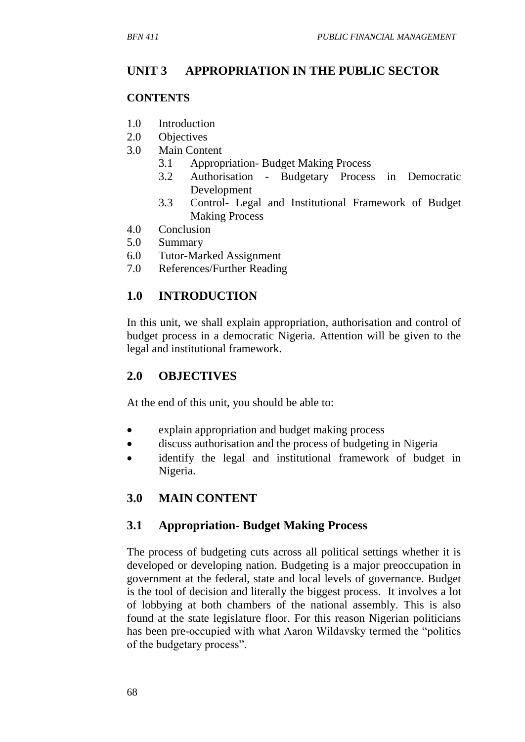# **UNIT 3 APPROPRIATION IN THE PUBLIC SECTOR**

#### **CONTENTS**

- 1.0 Introduction
- 2.0 Objectives
- 3.0 Main Content
	- 3.1 Appropriation- Budget Making Process
	- 3.2 Authorisation Budgetary Process in Democratic Development
	- 3.3 Control- Legal and Institutional Framework of Budget Making Process
- 4.0 Conclusion
- 5.0 Summary
- 6.0 Tutor-Marked Assignment
- 7.0 References/Further Reading

# **1.0 INTRODUCTION**

In this unit, we shall explain appropriation, authorisation and control of budget process in a democratic Nigeria. Attention will be given to the legal and institutional framework.

# **2.0 OBJECTIVES**

At the end of this unit, you should be able to:

- explain appropriation and budget making process
- discuss authorisation and the process of budgeting in Nigeria
- identify the legal and institutional framework of budget in Nigeria.

# **3.0 MAIN CONTENT**

## **3.1 Appropriation- Budget Making Process**

The process of budgeting cuts across all political settings whether it is developed or developing nation. Budgeting is a major preoccupation in government at the federal, state and local levels of governance. Budget is the tool of decision and literally the biggest process. It involves a lot of lobbying at both chambers of the national assembly. This is also found at the state legislature floor. For this reason Nigerian politicians has been pre-occupied with what Aaron Wildavsky termed the "politics of the budgetary process".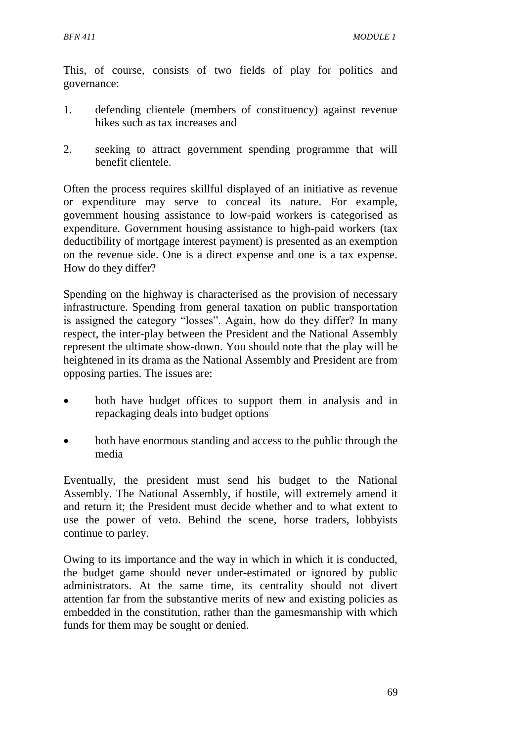This, of course, consists of two fields of play for politics and governance:

- 1. defending clientele (members of constituency) against revenue hikes such as tax increases and
- 2. seeking to attract government spending programme that will benefit clientele.

Often the process requires skillful displayed of an initiative as revenue or expenditure may serve to conceal its nature. For example, government housing assistance to low-paid workers is categorised as expenditure. Government housing assistance to high-paid workers (tax deductibility of mortgage interest payment) is presented as an exemption on the revenue side. One is a direct expense and one is a tax expense. How do they differ?

Spending on the highway is characterised as the provision of necessary infrastructure. Spending from general taxation on public transportation is assigned the category "losses". Again, how do they differ? In many respect, the inter-play between the President and the National Assembly represent the ultimate show-down. You should note that the play will be heightened in its drama as the National Assembly and President are from opposing parties. The issues are:

- both have budget offices to support them in analysis and in repackaging deals into budget options
- both have enormous standing and access to the public through the media

Eventually, the president must send his budget to the National Assembly. The National Assembly, if hostile, will extremely amend it and return it; the President must decide whether and to what extent to use the power of veto. Behind the scene, horse traders, lobbyists continue to parley.

Owing to its importance and the way in which in which it is conducted, the budget game should never under-estimated or ignored by public administrators. At the same time, its centrality should not divert attention far from the substantive merits of new and existing policies as embedded in the constitution, rather than the gamesmanship with which funds for them may be sought or denied.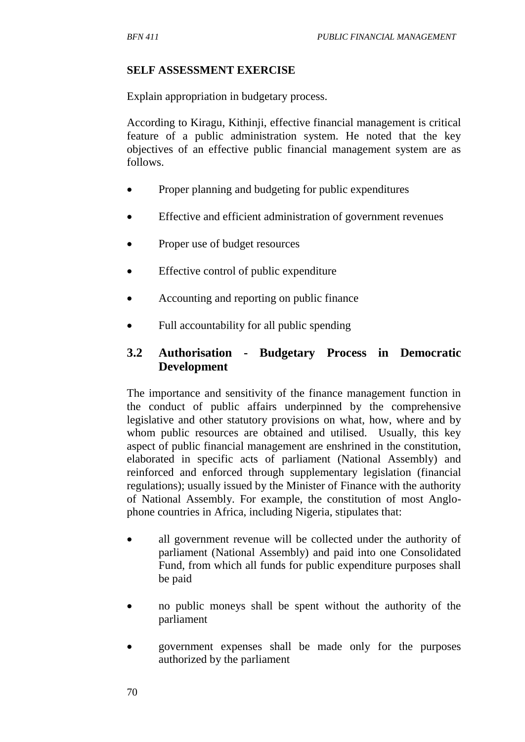#### **SELF ASSESSMENT EXERCISE**

Explain appropriation in budgetary process.

According to Kiragu, Kithinji, effective financial management is critical feature of a public administration system. He noted that the key objectives of an effective public financial management system are as follows.

- Proper planning and budgeting for public expenditures
- Effective and efficient administration of government revenues
- Proper use of budget resources
- Effective control of public expenditure
- Accounting and reporting on public finance
- Full accountability for all public spending

# **3.2 Authorisation - Budgetary Process in Democratic Development**

The importance and sensitivity of the finance management function in the conduct of public affairs underpinned by the comprehensive legislative and other statutory provisions on what, how, where and by whom public resources are obtained and utilised. Usually, this key aspect of public financial management are enshrined in the constitution, elaborated in specific acts of parliament (National Assembly) and reinforced and enforced through supplementary legislation (financial regulations); usually issued by the Minister of Finance with the authority of National Assembly. For example, the constitution of most Anglophone countries in Africa, including Nigeria, stipulates that:

- all government revenue will be collected under the authority of parliament (National Assembly) and paid into one Consolidated Fund, from which all funds for public expenditure purposes shall be paid
- no public moneys shall be spent without the authority of the parliament
- government expenses shall be made only for the purposes authorized by the parliament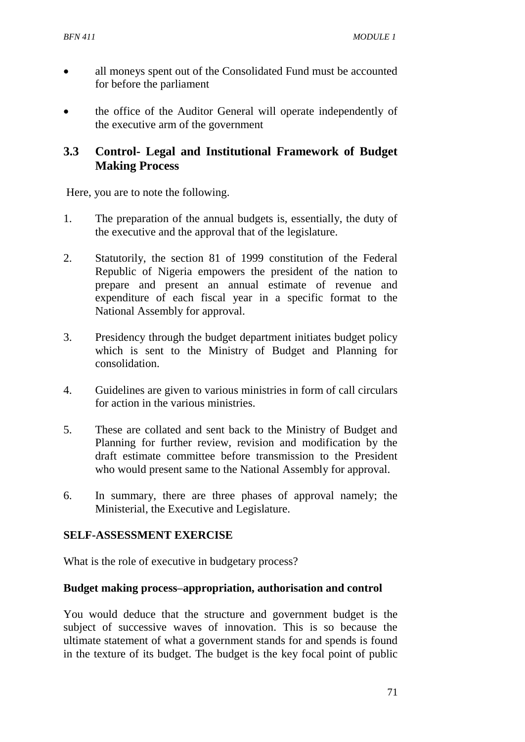- all moneys spent out of the Consolidated Fund must be accounted for before the parliament
- the office of the Auditor General will operate independently of the executive arm of the government

# **3.3 Control- Legal and Institutional Framework of Budget Making Process**

Here, you are to note the following.

- 1. The preparation of the annual budgets is, essentially, the duty of the executive and the approval that of the legislature.
- 2. Statutorily, the section 81 of 1999 constitution of the Federal Republic of Nigeria empowers the president of the nation to prepare and present an annual estimate of revenue and expenditure of each fiscal year in a specific format to the National Assembly for approval.
- 3. Presidency through the budget department initiates budget policy which is sent to the Ministry of Budget and Planning for consolidation.
- 4. Guidelines are given to various ministries in form of call circulars for action in the various ministries.
- 5. These are collated and sent back to the Ministry of Budget and Planning for further review, revision and modification by the draft estimate committee before transmission to the President who would present same to the National Assembly for approval.
- 6. In summary, there are three phases of approval namely; the Ministerial, the Executive and Legislature.

## **SELF-ASSESSMENT EXERCISE**

What is the role of executive in budgetary process?

#### **Budget making process–appropriation, authorisation and control**

You would deduce that the structure and government budget is the subject of successive waves of innovation. This is so because the ultimate statement of what a government stands for and spends is found in the texture of its budget. The budget is the key focal point of public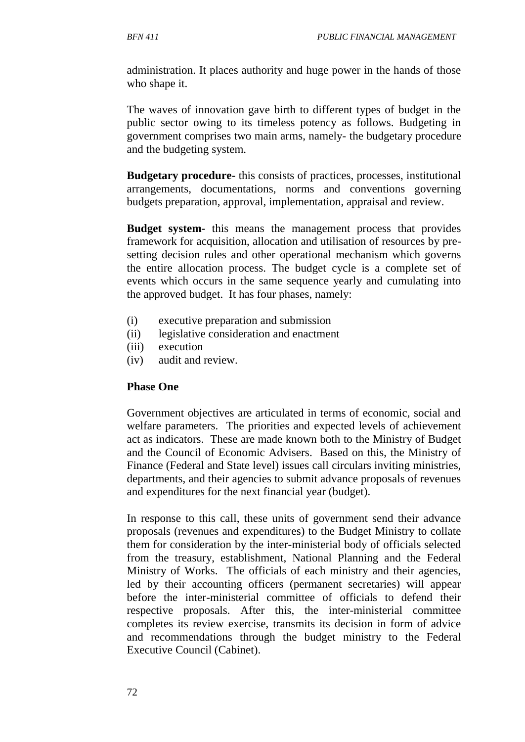administration. It places authority and huge power in the hands of those who shape it.

The waves of innovation gave birth to different types of budget in the public sector owing to its timeless potency as follows. Budgeting in government comprises two main arms, namely- the budgetary procedure and the budgeting system.

**Budgetary procedure-** this consists of practices, processes, institutional arrangements, documentations, norms and conventions governing budgets preparation, approval, implementation, appraisal and review.

**Budget system-** this means the management process that provides framework for acquisition, allocation and utilisation of resources by presetting decision rules and other operational mechanism which governs the entire allocation process. The budget cycle is a complete set of events which occurs in the same sequence yearly and cumulating into the approved budget. It has four phases, namely:

- (i) executive preparation and submission
- (ii) legislative consideration and enactment
- (iii) execution
- (iv) audit and review.

#### **Phase One**

Government objectives are articulated in terms of economic, social and welfare parameters. The priorities and expected levels of achievement act as indicators. These are made known both to the Ministry of Budget and the Council of Economic Advisers. Based on this, the Ministry of Finance (Federal and State level) issues call circulars inviting ministries, departments, and their agencies to submit advance proposals of revenues and expenditures for the next financial year (budget).

In response to this call, these units of government send their advance proposals (revenues and expenditures) to the Budget Ministry to collate them for consideration by the inter-ministerial body of officials selected from the treasury, establishment, National Planning and the Federal Ministry of Works. The officials of each ministry and their agencies, led by their accounting officers (permanent secretaries) will appear before the inter-ministerial committee of officials to defend their respective proposals. After this, the inter-ministerial committee completes its review exercise, transmits its decision in form of advice and recommendations through the budget ministry to the Federal Executive Council (Cabinet).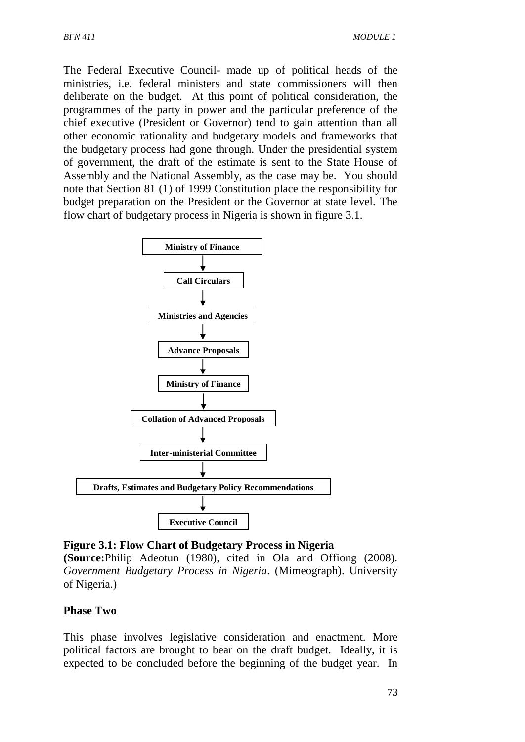The Federal Executive Council- made up of political heads of the ministries, i.e. federal ministers and state commissioners will then deliberate on the budget. At this point of political consideration, the programmes of the party in power and the particular preference of the chief executive (President or Governor) tend to gain attention than all other economic rationality and budgetary models and frameworks that the budgetary process had gone through. Under the presidential system of government, the draft of the estimate is sent to the State House of Assembly and the National Assembly, as the case may be. You should note that Section 81 (1) of 1999 Constitution place the responsibility for budget preparation on the President or the Governor at state level. The flow chart of budgetary process in Nigeria is shown in figure 3.1.



#### **Figure 3.1: Flow Chart of Budgetary Process in Nigeria**

**(Source:**Philip Adeotun (1980), cited in Ola and Offiong (2008). *Government Budgetary Process in Nigeria*. (Mimeograph). University of Nigeria.)

#### **Phase Two**

This phase involves legislative consideration and enactment. More political factors are brought to bear on the draft budget. Ideally, it is expected to be concluded before the beginning of the budget year. In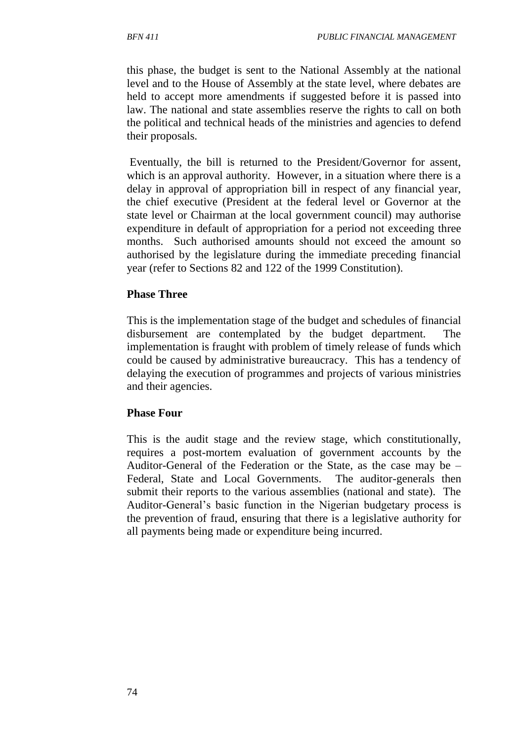this phase, the budget is sent to the National Assembly at the national level and to the House of Assembly at the state level, where debates are held to accept more amendments if suggested before it is passed into law. The national and state assemblies reserve the rights to call on both the political and technical heads of the ministries and agencies to defend their proposals.

Eventually, the bill is returned to the President/Governor for assent, which is an approval authority. However, in a situation where there is a delay in approval of appropriation bill in respect of any financial year, the chief executive (President at the federal level or Governor at the state level or Chairman at the local government council) may authorise expenditure in default of appropriation for a period not exceeding three months. Such authorised amounts should not exceed the amount so authorised by the legislature during the immediate preceding financial year (refer to Sections 82 and 122 of the 1999 Constitution).

#### **Phase Three**

This is the implementation stage of the budget and schedules of financial disbursement are contemplated by the budget department. The implementation is fraught with problem of timely release of funds which could be caused by administrative bureaucracy. This has a tendency of delaying the execution of programmes and projects of various ministries and their agencies.

#### **Phase Four**

This is the audit stage and the review stage, which constitutionally, requires a post-mortem evaluation of government accounts by the Auditor-General of the Federation or the State, as the case may be – Federal, State and Local Governments. The auditor-generals then submit their reports to the various assemblies (national and state). The Auditor-General's basic function in the Nigerian budgetary process is the prevention of fraud, ensuring that there is a legislative authority for all payments being made or expenditure being incurred.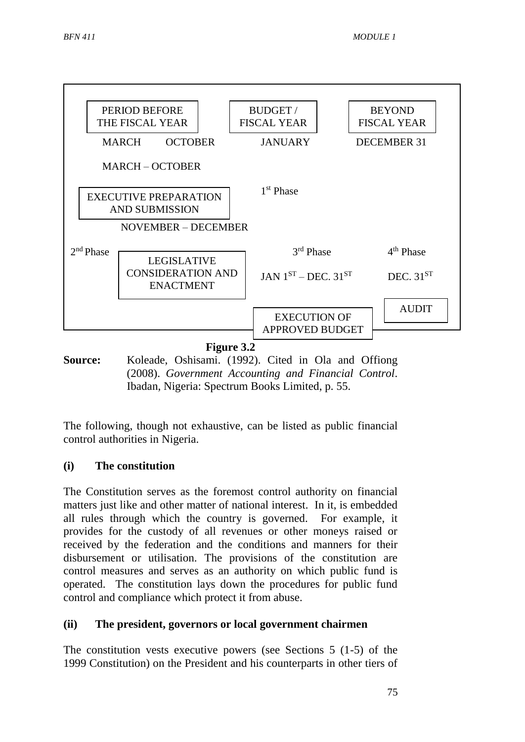

**Source:** Koleade, Oshisami. (1992). Cited in Ola and Offiong (2008). *Government Accounting and Financial Control*. Ibadan, Nigeria: Spectrum Books Limited, p. 55.

The following, though not exhaustive, can be listed as public financial control authorities in Nigeria.

### **(i) The constitution**

The Constitution serves as the foremost control authority on financial matters just like and other matter of national interest. In it, is embedded all rules through which the country is governed. For example, it provides for the custody of all revenues or other moneys raised or received by the federation and the conditions and manners for their disbursement or utilisation. The provisions of the constitution are control measures and serves as an authority on which public fund is operated. The constitution lays down the procedures for public fund control and compliance which protect it from abuse.

#### **(ii) The president, governors or local government chairmen**

The constitution vests executive powers (see Sections 5 (1-5) of the 1999 Constitution) on the President and his counterparts in other tiers of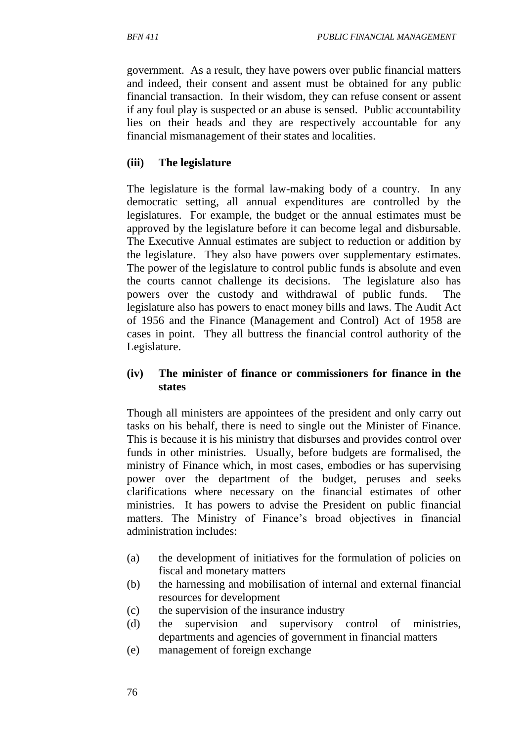government. As a result, they have powers over public financial matters and indeed, their consent and assent must be obtained for any public financial transaction. In their wisdom, they can refuse consent or assent if any foul play is suspected or an abuse is sensed. Public accountability lies on their heads and they are respectively accountable for any financial mismanagement of their states and localities.

### **(iii) The legislature**

The legislature is the formal law-making body of a country. In any democratic setting, all annual expenditures are controlled by the legislatures. For example, the budget or the annual estimates must be approved by the legislature before it can become legal and disbursable. The Executive Annual estimates are subject to reduction or addition by the legislature. They also have powers over supplementary estimates. The power of the legislature to control public funds is absolute and even the courts cannot challenge its decisions. The legislature also has powers over the custody and withdrawal of public funds. The legislature also has powers to enact money bills and laws. The Audit Act of 1956 and the Finance (Management and Control) Act of 1958 are cases in point. They all buttress the financial control authority of the Legislature.

#### **(iv) The minister of finance or commissioners for finance in the states**

Though all ministers are appointees of the president and only carry out tasks on his behalf, there is need to single out the Minister of Finance. This is because it is his ministry that disburses and provides control over funds in other ministries. Usually, before budgets are formalised, the ministry of Finance which, in most cases, embodies or has supervising power over the department of the budget, peruses and seeks clarifications where necessary on the financial estimates of other ministries. It has powers to advise the President on public financial matters. The Ministry of Finance's broad objectives in financial administration includes:

- (a) the development of initiatives for the formulation of policies on fiscal and monetary matters
- (b) the harnessing and mobilisation of internal and external financial resources for development
- (c) the supervision of the insurance industry
- (d) the supervision and supervisory control of ministries, departments and agencies of government in financial matters
- (e) management of foreign exchange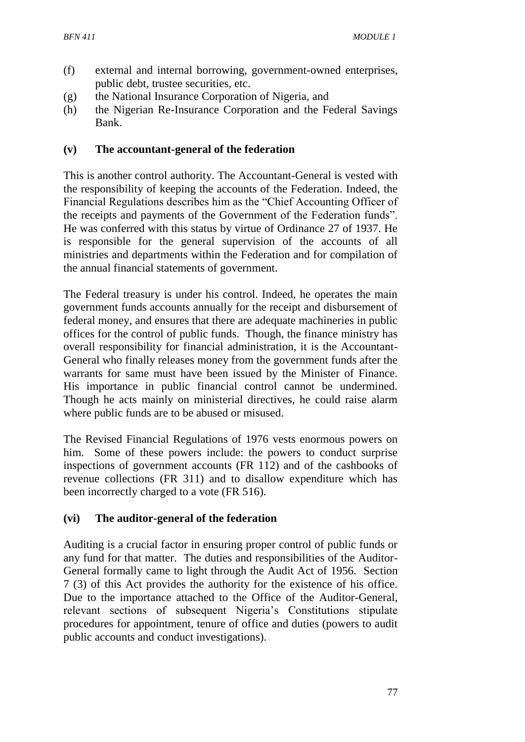- (f) external and internal borrowing, government-owned enterprises, public debt, trustee securities, etc.
- (g) the National Insurance Corporation of Nigeria, and
- (h) the Nigerian Re-Insurance Corporation and the Federal Savings Bank.

#### **(v) The accountant-general of the federation**

This is another control authority. The Accountant-General is vested with the responsibility of keeping the accounts of the Federation. Indeed, the Financial Regulations describes him as the "Chief Accounting Officer of the receipts and payments of the Government of the Federation funds". He was conferred with this status by virtue of Ordinance 27 of 1937. He is responsible for the general supervision of the accounts of all ministries and departments within the Federation and for compilation of the annual financial statements of government.

The Federal treasury is under his control. Indeed, he operates the main government funds accounts annually for the receipt and disbursement of federal money, and ensures that there are adequate machineries in public offices for the control of public funds. Though, the finance ministry has overall responsibility for financial administration, it is the Accountant-General who finally releases money from the government funds after the warrants for same must have been issued by the Minister of Finance. His importance in public financial control cannot be undermined. Though he acts mainly on ministerial directives, he could raise alarm where public funds are to be abused or misused.

The Revised Financial Regulations of 1976 vests enormous powers on him. Some of these powers include: the powers to conduct surprise inspections of government accounts (FR 112) and of the cashbooks of revenue collections (FR 311) and to disallow expenditure which has been incorrectly charged to a vote (FR 516).

### **(vi) The auditor-general of the federation**

Auditing is a crucial factor in ensuring proper control of public funds or any fund for that matter. The duties and responsibilities of the Auditor-General formally came to light through the Audit Act of 1956. Section 7 (3) of this Act provides the authority for the existence of his office. Due to the importance attached to the Office of the Auditor-General, relevant sections of subsequent Nigeria's Constitutions stipulate procedures for appointment, tenure of office and duties (powers to audit public accounts and conduct investigations).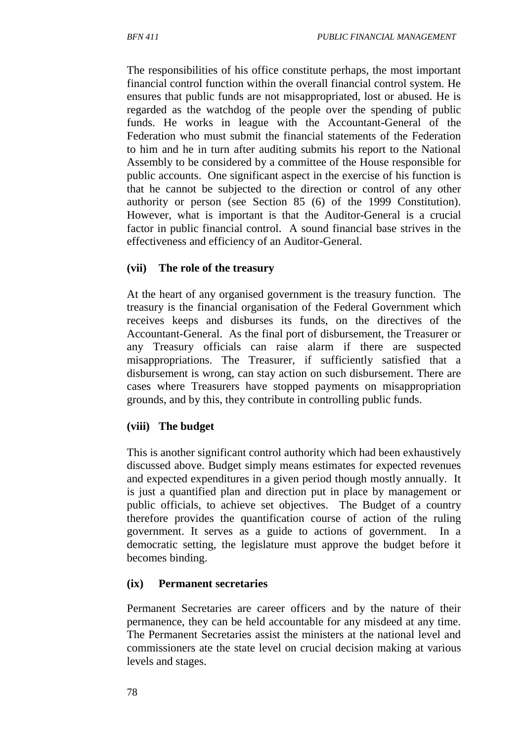The responsibilities of his office constitute perhaps, the most important financial control function within the overall financial control system. He ensures that public funds are not misappropriated, lost or abused. He is regarded as the watchdog of the people over the spending of public funds. He works in league with the Accountant-General of the Federation who must submit the financial statements of the Federation to him and he in turn after auditing submits his report to the National Assembly to be considered by a committee of the House responsible for public accounts. One significant aspect in the exercise of his function is that he cannot be subjected to the direction or control of any other authority or person (see Section 85 (6) of the 1999 Constitution). However, what is important is that the Auditor-General is a crucial factor in public financial control. A sound financial base strives in the effectiveness and efficiency of an Auditor-General.

#### **(vii) The role of the treasury**

At the heart of any organised government is the treasury function. The treasury is the financial organisation of the Federal Government which receives keeps and disburses its funds, on the directives of the Accountant-General. As the final port of disbursement, the Treasurer or any Treasury officials can raise alarm if there are suspected misappropriations. The Treasurer, if sufficiently satisfied that a disbursement is wrong, can stay action on such disbursement. There are cases where Treasurers have stopped payments on misappropriation grounds, and by this, they contribute in controlling public funds.

#### **(viii) The budget**

This is another significant control authority which had been exhaustively discussed above. Budget simply means estimates for expected revenues and expected expenditures in a given period though mostly annually. It is just a quantified plan and direction put in place by management or public officials, to achieve set objectives. The Budget of a country therefore provides the quantification course of action of the ruling government. It serves as a guide to actions of government. In a democratic setting, the legislature must approve the budget before it becomes binding.

#### **(ix) Permanent secretaries**

Permanent Secretaries are career officers and by the nature of their permanence, they can be held accountable for any misdeed at any time. The Permanent Secretaries assist the ministers at the national level and commissioners ate the state level on crucial decision making at various levels and stages.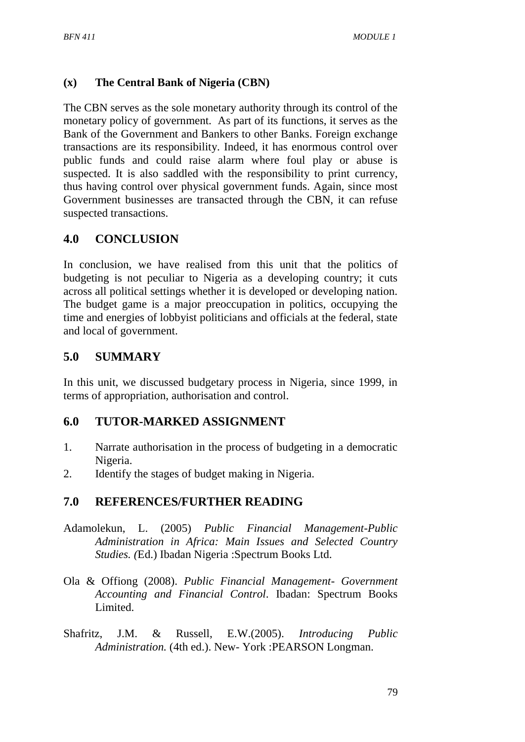#### **(x) The Central Bank of Nigeria (CBN)**

The CBN serves as the sole monetary authority through its control of the monetary policy of government. As part of its functions, it serves as the Bank of the Government and Bankers to other Banks. Foreign exchange transactions are its responsibility. Indeed, it has enormous control over public funds and could raise alarm where foul play or abuse is suspected. It is also saddled with the responsibility to print currency, thus having control over physical government funds. Again, since most Government businesses are transacted through the CBN, it can refuse suspected transactions.

#### **4.0 CONCLUSION**

In conclusion, we have realised from this unit that the politics of budgeting is not peculiar to Nigeria as a developing country; it cuts across all political settings whether it is developed or developing nation. The budget game is a major preoccupation in politics, occupying the time and energies of lobbyist politicians and officials at the federal, state and local of government.

#### **5.0 SUMMARY**

In this unit, we discussed budgetary process in Nigeria, since 1999, in terms of appropriation, authorisation and control.

### **6.0 TUTOR-MARKED ASSIGNMENT**

- 1. Narrate authorisation in the process of budgeting in a democratic Nigeria.
- 2. Identify the stages of budget making in Nigeria.

#### **7.0 REFERENCES/FURTHER READING**

- Adamolekun, L. (2005) *Public Financial Management-Public Administration in Africa: Main Issues and Selected Country Studies. (*Ed.) Ibadan Nigeria :Spectrum Books Ltd.
- Ola & Offiong (2008). *Public Financial Management- Government Accounting and Financial Control*. Ibadan: Spectrum Books Limited.
- Shafritz, J.M. & Russell, E.W.(2005). *Introducing Public Administration.* (4th ed.). New- York :PEARSON Longman.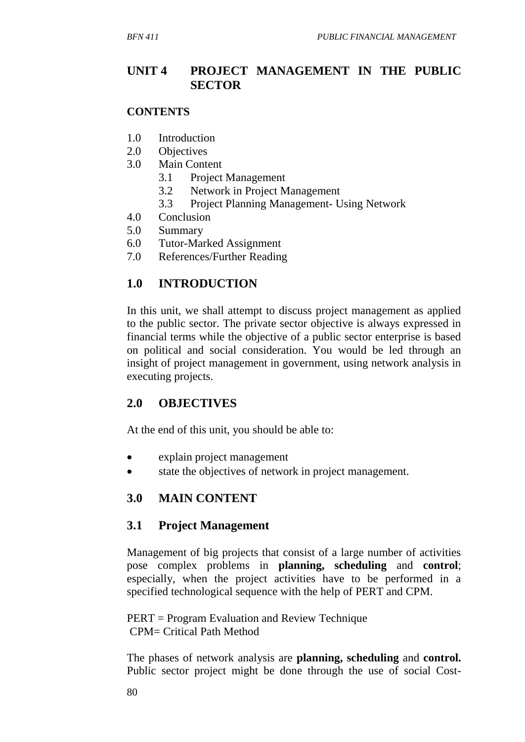## **UNIT 4 PROJECT MANAGEMENT IN THE PUBLIC SECTOR**

#### **CONTENTS**

- 1.0 Introduction
- 2.0 Objectives
- 3.0 Main Content
	- 3.1 Project Management
	- 3.2 Network in Project Management
	- 3.3 Project Planning Management- Using Network
- 4.0 Conclusion
- 5.0 Summary
- 6.0 Tutor-Marked Assignment
- 7.0 References/Further Reading

# **1.0 INTRODUCTION**

In this unit, we shall attempt to discuss project management as applied to the public sector. The private sector objective is always expressed in financial terms while the objective of a public sector enterprise is based on political and social consideration. You would be led through an insight of project management in government, using network analysis in executing projects.

### **2.0 OBJECTIVES**

At the end of this unit, you should be able to:

- explain project management
- state the objectives of network in project management.

# **3.0 MAIN CONTENT**

### **3.1 Project Management**

Management of big projects that consist of a large number of activities pose complex problems in **planning, scheduling** and **control**; especially, when the project activities have to be performed in a specified technological sequence with the help of PERT and CPM.

PERT = Program Evaluation and Review Technique CPM= Critical Path Method

The phases of network analysis are **planning, scheduling** and **control.** Public sector project might be done through the use of social Cost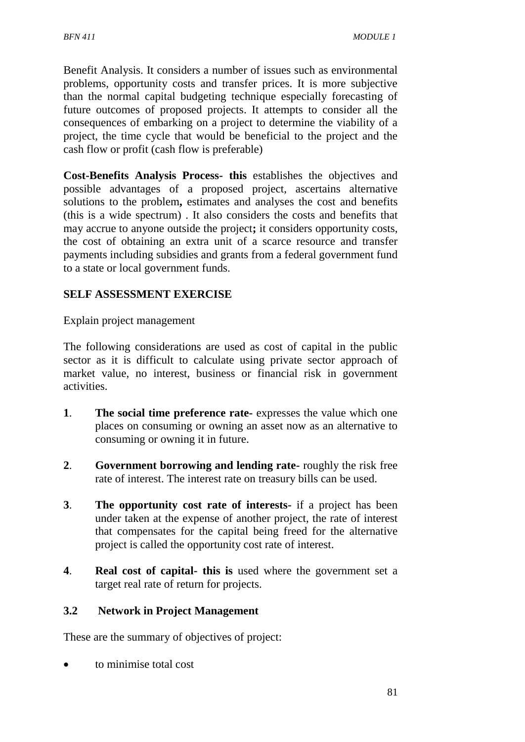Benefit Analysis. It considers a number of issues such as environmental problems, opportunity costs and transfer prices. It is more subjective than the normal capital budgeting technique especially forecasting of future outcomes of proposed projects. It attempts to consider all the consequences of embarking on a project to determine the viability of a project, the time cycle that would be beneficial to the project and the cash flow or profit (cash flow is preferable)

**Cost-Benefits Analysis Process- this** establishes the objectives and possible advantages of a proposed project, ascertains alternative solutions to the problem**,** estimates and analyses the cost and benefits (this is a wide spectrum) . It also considers the costs and benefits that may accrue to anyone outside the project**;** it considers opportunity costs, the cost of obtaining an extra unit of a scarce resource and transfer payments including subsidies and grants from a federal government fund to a state or local government funds.

## **SELF ASSESSMENT EXERCISE**

Explain project management

The following considerations are used as cost of capital in the public sector as it is difficult to calculate using private sector approach of market value, no interest, business or financial risk in government activities.

- **1**. **The social time preference rate-** expresses the value which one places on consuming or owning an asset now as an alternative to consuming or owning it in future.
- **2**. **Government borrowing and lending rate-** roughly the risk free rate of interest. The interest rate on treasury bills can be used.
- **3**. **The opportunity cost rate of interests-** if a project has been under taken at the expense of another project, the rate of interest that compensates for the capital being freed for the alternative project is called the opportunity cost rate of interest.
- **4**. **Real cost of capital- this is** used where the government set a target real rate of return for projects.

#### **3.2 Network in Project Management**

These are the summary of objectives of project:

to minimise total cost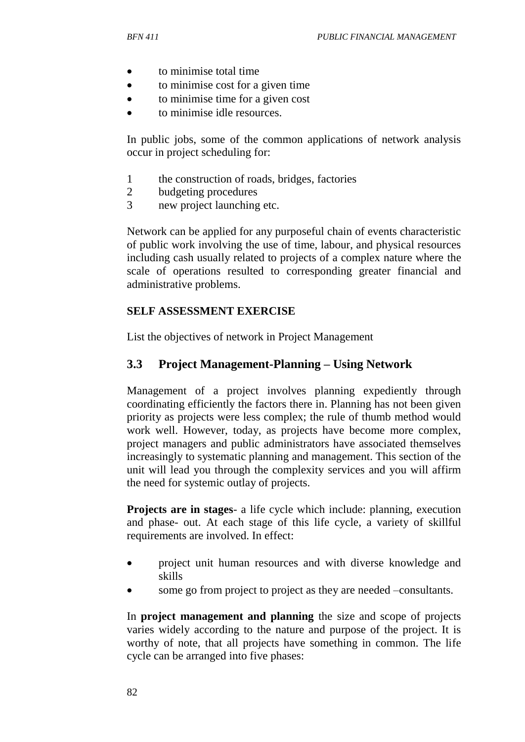- to minimise total time
- to minimise cost for a given time
- to minimise time for a given cost
- to minimise idle resources.

In public jobs, some of the common applications of network analysis occur in project scheduling for:

- 1 the construction of roads, bridges, factories
- 2 budgeting procedures
- 3 new project launching etc.

Network can be applied for any purposeful chain of events characteristic of public work involving the use of time, labour, and physical resources including cash usually related to projects of a complex nature where the scale of operations resulted to corresponding greater financial and administrative problems.

#### **SELF ASSESSMENT EXERCISE**

List the objectives of network in Project Management

#### **3.3 Project Management-Planning – Using Network**

Management of a project involves planning expediently through coordinating efficiently the factors there in. Planning has not been given priority as projects were less complex; the rule of thumb method would work well. However, today, as projects have become more complex, project managers and public administrators have associated themselves increasingly to systematic planning and management. This section of the unit will lead you through the complexity services and you will affirm the need for systemic outlay of projects.

**Projects are in stages**- a life cycle which include: planning, execution and phase- out. At each stage of this life cycle, a variety of skillful requirements are involved. In effect:

- project unit human resources and with diverse knowledge and skills
- some go from project to project as they are needed –consultants.

In **project management and planning** the size and scope of projects varies widely according to the nature and purpose of the project. It is worthy of note, that all projects have something in common. The life cycle can be arranged into five phases: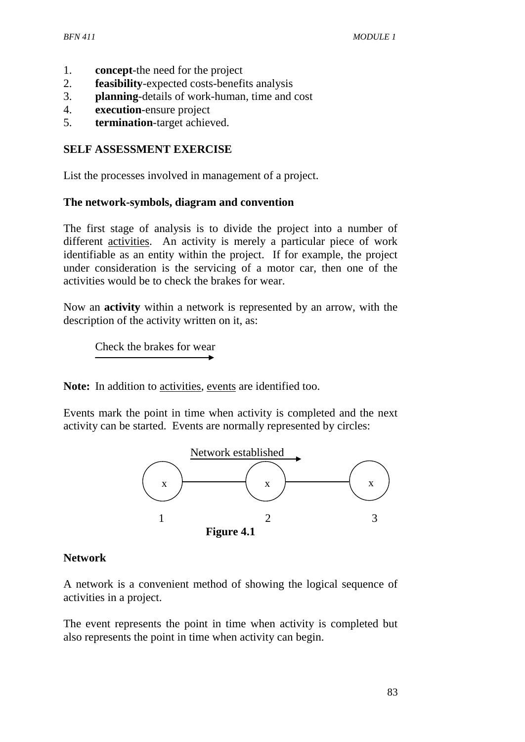- 1. **concept**-the need for the project
- 2. **feasibility**-expected costs-benefits analysis
- 3. **planning**-details of work-human, time and cost
- 4. **execution**-ensure project
- 5. **termination**-target achieved.

#### **SELF ASSESSMENT EXERCISE**

List the processes involved in management of a project.

#### **The network-symbols, diagram and convention**

The first stage of analysis is to divide the project into a number of different activities. An activity is merely a particular piece of work identifiable as an entity within the project. If for example, the project under consideration is the servicing of a motor car, then one of the activities would be to check the brakes for wear.

Now an **activity** within a network is represented by an arrow, with the description of the activity written on it, as:

Check the brakes for wear

**Note:** In addition to activities, events are identified too.

Events mark the point in time when activity is completed and the next activity can be started. Events are normally represented by circles:



#### **Network**

A network is a convenient method of showing the logical sequence of activities in a project.

The event represents the point in time when activity is completed but also represents the point in time when activity can begin.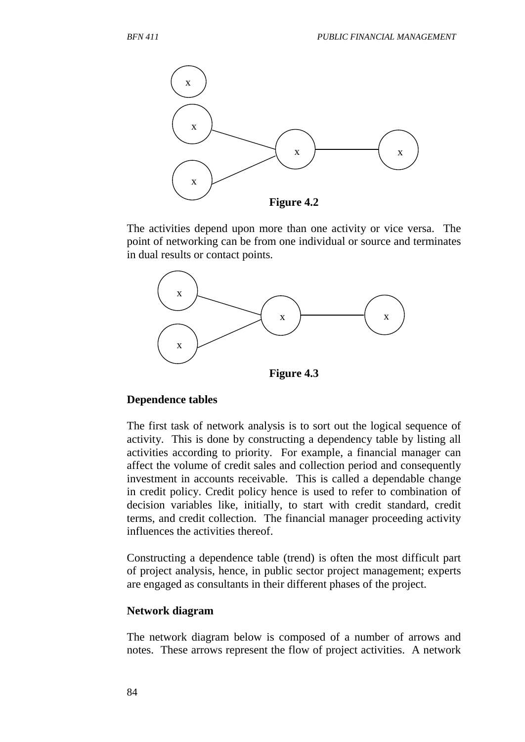

The activities depend upon more than one activity or vice versa. The point of networking can be from one individual or source and terminates in dual results or contact points.



**Figure 4.3**

#### **Dependence tables**

The first task of network analysis is to sort out the logical sequence of activity. This is done by constructing a dependency table by listing all activities according to priority. For example, a financial manager can affect the volume of credit sales and collection period and consequently investment in accounts receivable. This is called a dependable change in credit policy. Credit policy hence is used to refer to combination of decision variables like, initially, to start with credit standard, credit terms, and credit collection. The financial manager proceeding activity influences the activities thereof.

Constructing a dependence table (trend) is often the most difficult part of project analysis, hence, in public sector project management; experts are engaged as consultants in their different phases of the project.

#### **Network diagram**

The network diagram below is composed of a number of arrows and notes. These arrows represent the flow of project activities. A network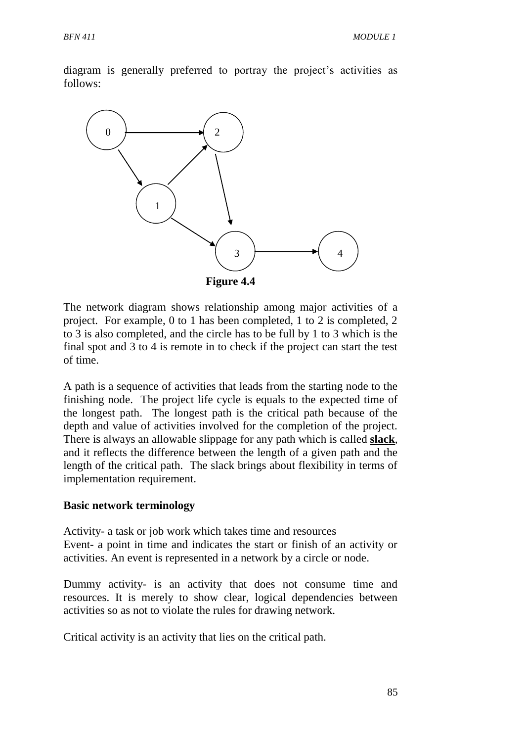diagram is generally preferred to portray the project's activities as follows:



The network diagram shows relationship among major activities of a project. For example, 0 to 1 has been completed, 1 to 2 is completed, 2 to 3 is also completed, and the circle has to be full by 1 to 3 which is the final spot and 3 to 4 is remote in to check if the project can start the test of time.

A path is a sequence of activities that leads from the starting node to the finishing node. The project life cycle is equals to the expected time of the longest path. The longest path is the critical path because of the depth and value of activities involved for the completion of the project. There is always an allowable slippage for any path which is called **slack**, and it reflects the difference between the length of a given path and the length of the critical path. The slack brings about flexibility in terms of implementation requirement.

#### **Basic network terminology**

Activity- a task or job work which takes time and resources Event- a point in time and indicates the start or finish of an activity or activities. An event is represented in a network by a circle or node.

Dummy activity- is an activity that does not consume time and resources. It is merely to show clear, logical dependencies between activities so as not to violate the rules for drawing network.

Critical activity is an activity that lies on the critical path.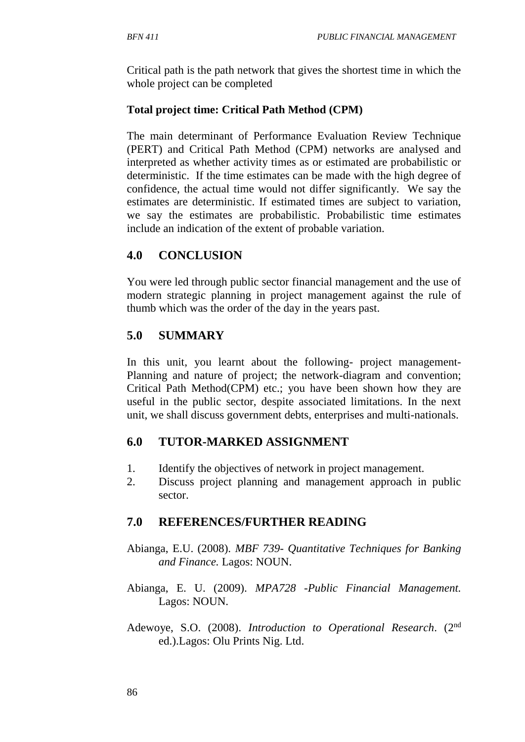Critical path is the path network that gives the shortest time in which the whole project can be completed

## **Total project time: Critical Path Method (CPM)**

The main determinant of Performance Evaluation Review Technique (PERT) and Critical Path Method (CPM) networks are analysed and interpreted as whether activity times as or estimated are probabilistic or deterministic. If the time estimates can be made with the high degree of confidence, the actual time would not differ significantly. We say the estimates are deterministic. If estimated times are subject to variation, we say the estimates are probabilistic. Probabilistic time estimates include an indication of the extent of probable variation.

# **4.0 CONCLUSION**

You were led through public sector financial management and the use of modern strategic planning in project management against the rule of thumb which was the order of the day in the years past.

## **5.0 SUMMARY**

In this unit, you learnt about the following- project management-Planning and nature of project; the network-diagram and convention; Critical Path Method(CPM) etc.; you have been shown how they are useful in the public sector, despite associated limitations. In the next unit, we shall discuss government debts, enterprises and multi-nationals.

### **6.0 TUTOR-MARKED ASSIGNMENT**

- 1. Identify the objectives of network in project management.
- 2. Discuss project planning and management approach in public sector.

# **7.0 REFERENCES/FURTHER READING**

- Abianga, E.U. (2008). *MBF 739- Quantitative Techniques for Banking and Finance.* Lagos: NOUN.
- Abianga, E. U. (2009). *MPA728* -*Public Financial Management.* Lagos: NOUN.
- Adewoye, S.O. (2008). *Introduction to Operational Research*. (2nd ed.).Lagos: Olu Prints Nig. Ltd.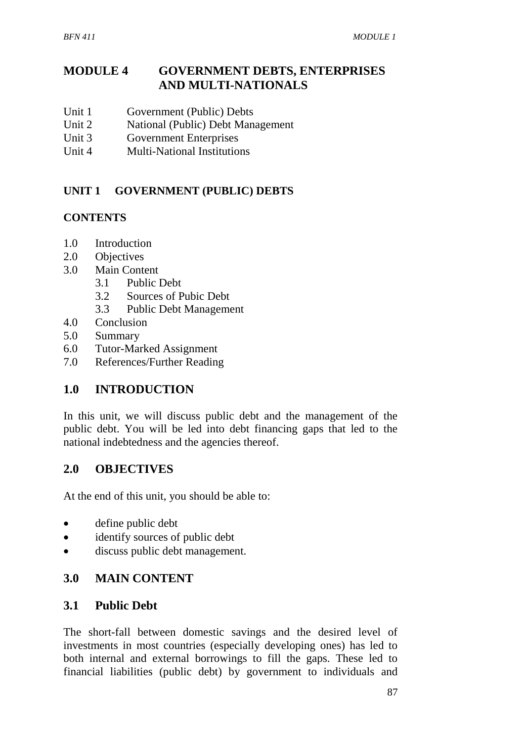# **MODULE 4 GOVERNMENT DEBTS, ENTERPRISES AND MULTI-NATIONALS**

- Unit 1 Government (Public) Debts
- Unit 2 National (Public) Debt Management
- Unit 3 Government Enterprises
- Unit 4 Multi-National Institutions

## **UNIT 1 GOVERNMENT (PUBLIC) DEBTS**

### **CONTENTS**

- 1.0 Introduction
- 2.0 Objectives
- 3.0 Main Content
	- 3.1 Public Debt
	- 3.2 Sources of Pubic Debt
	- 3.3 Public Debt Management
- 4.0 Conclusion
- 5.0 Summary
- 6.0 Tutor-Marked Assignment
- 7.0 References/Further Reading

# **1.0 INTRODUCTION**

In this unit, we will discuss public debt and the management of the public debt. You will be led into debt financing gaps that led to the national indebtedness and the agencies thereof.

# **2.0 OBJECTIVES**

At the end of this unit, you should be able to:

- define public debt
- identify sources of public debt
- discuss public debt management.

# **3.0 MAIN CONTENT**

## **3.1 Public Debt**

The short-fall between domestic savings and the desired level of investments in most countries (especially developing ones) has led to both internal and external borrowings to fill the gaps. These led to financial liabilities (public debt) by government to individuals and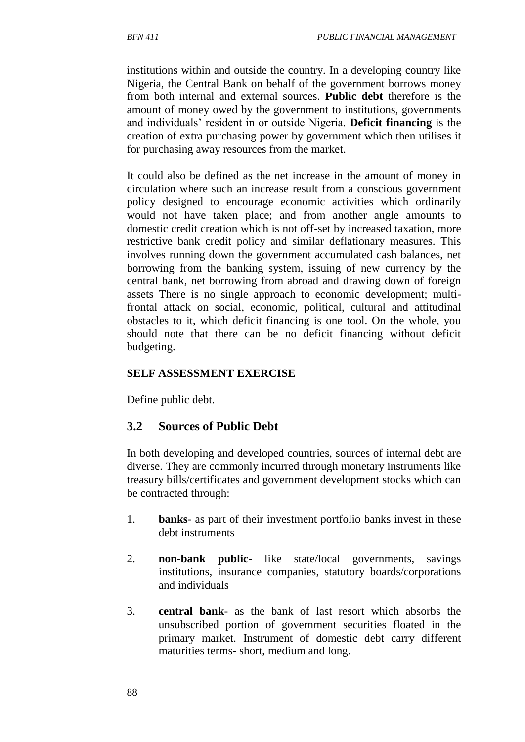institutions within and outside the country. In a developing country like Nigeria, the Central Bank on behalf of the government borrows money from both internal and external sources. **Public debt** therefore is the amount of money owed by the government to institutions, governments and individuals' resident in or outside Nigeria. **Deficit financing** is the creation of extra purchasing power by government which then utilises it for purchasing away resources from the market.

It could also be defined as the net increase in the amount of money in circulation where such an increase result from a conscious government policy designed to encourage economic activities which ordinarily would not have taken place; and from another angle amounts to domestic credit creation which is not off-set by increased taxation, more restrictive bank credit policy and similar deflationary measures. This involves running down the government accumulated cash balances, net borrowing from the banking system, issuing of new currency by the central bank, net borrowing from abroad and drawing down of foreign assets There is no single approach to economic development; multifrontal attack on social, economic, political, cultural and attitudinal obstacles to it, which deficit financing is one tool. On the whole, you should note that there can be no deficit financing without deficit budgeting.

#### **SELF ASSESSMENT EXERCISE**

Define public debt.

# **3.2 Sources of Public Debt**

In both developing and developed countries, sources of internal debt are diverse. They are commonly incurred through monetary instruments like treasury bills/certificates and government development stocks which can be contracted through:

- 1. **banks** as part of their investment portfolio banks invest in these debt instruments
- 2. **non-bank public** like state/local governments, savings institutions, insurance companies, statutory boards/corporations and individuals
- 3. **central bank** as the bank of last resort which absorbs the unsubscribed portion of government securities floated in the primary market. Instrument of domestic debt carry different maturities terms- short, medium and long.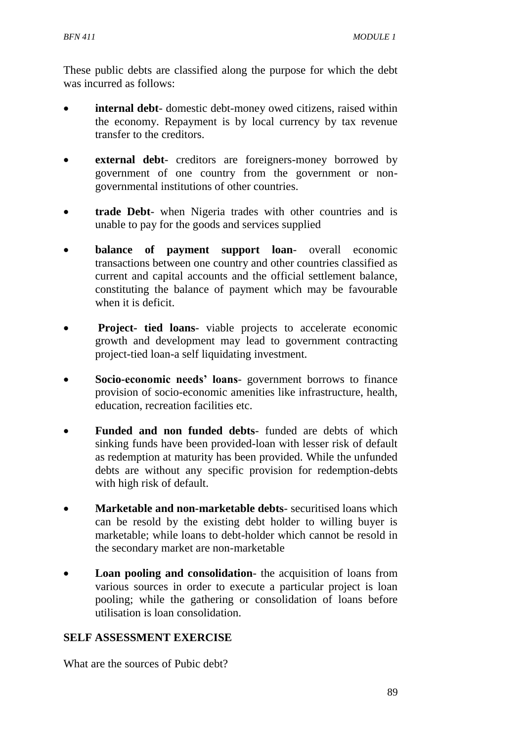These public debts are classified along the purpose for which the debt was incurred as follows:

- **internal debt** domestic debt-money owed citizens, raised within the economy. Repayment is by local currency by tax revenue transfer to the creditors.
- **external debt** creditors are foreigners-money borrowed by government of one country from the government or nongovernmental institutions of other countries.
- **trade Debt** when Nigeria trades with other countries and is unable to pay for the goods and services supplied
- **balance of payment support loan** overall economic transactions between one country and other countries classified as current and capital accounts and the official settlement balance, constituting the balance of payment which may be favourable when it is deficit.
- **Project- tied loans** viable projects to accelerate economic growth and development may lead to government contracting project-tied loan-a self liquidating investment.
- **Socio-economic needs' loans** government borrows to finance provision of socio-economic amenities like infrastructure, health, education, recreation facilities etc.
- **Funded and non funded debts** funded are debts of which sinking funds have been provided-loan with lesser risk of default as redemption at maturity has been provided. While the unfunded debts are without any specific provision for redemption-debts with high risk of default.
- **Marketable and non-marketable debts** securitised loans which can be resold by the existing debt holder to willing buyer is marketable; while loans to debt-holder which cannot be resold in the secondary market are non-marketable
- Loan pooling and consolidation- the acquisition of loans from various sources in order to execute a particular project is loan pooling; while the gathering or consolidation of loans before utilisation is loan consolidation.

#### **SELF ASSESSMENT EXERCISE**

What are the sources of Pubic debt?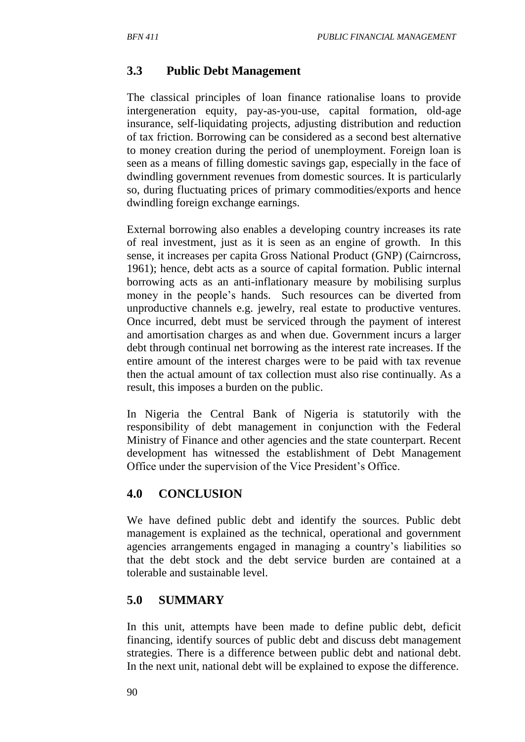# **3.3 Public Debt Management**

The classical principles of loan finance rationalise loans to provide intergeneration equity, pay-as-you-use, capital formation, old-age insurance, self-liquidating projects, adjusting distribution and reduction of tax friction. Borrowing can be considered as a second best alternative to money creation during the period of unemployment. Foreign loan is seen as a means of filling domestic savings gap, especially in the face of dwindling government revenues from domestic sources. It is particularly so, during fluctuating prices of primary commodities/exports and hence dwindling foreign exchange earnings.

External borrowing also enables a developing country increases its rate of real investment, just as it is seen as an engine of growth. In this sense, it increases per capita Gross National Product (GNP) (Cairncross, 1961); hence, debt acts as a source of capital formation. Public internal borrowing acts as an anti-inflationary measure by mobilising surplus money in the people's hands. Such resources can be diverted from unproductive channels e.g. jewelry, real estate to productive ventures. Once incurred, debt must be serviced through the payment of interest and amortisation charges as and when due. Government incurs a larger debt through continual net borrowing as the interest rate increases. If the entire amount of the interest charges were to be paid with tax revenue then the actual amount of tax collection must also rise continually. As a result, this imposes a burden on the public.

In Nigeria the Central Bank of Nigeria is statutorily with the responsibility of debt management in conjunction with the Federal Ministry of Finance and other agencies and the state counterpart. Recent development has witnessed the establishment of Debt Management Office under the supervision of the Vice President's Office.

### **4.0 CONCLUSION**

We have defined public debt and identify the sources. Public debt management is explained as the technical, operational and government agencies arrangements engaged in managing a country's liabilities so that the debt stock and the debt service burden are contained at a tolerable and sustainable level.

### **5.0 SUMMARY**

In this unit, attempts have been made to define public debt, deficit financing, identify sources of public debt and discuss debt management strategies. There is a difference between public debt and national debt. In the next unit, national debt will be explained to expose the difference.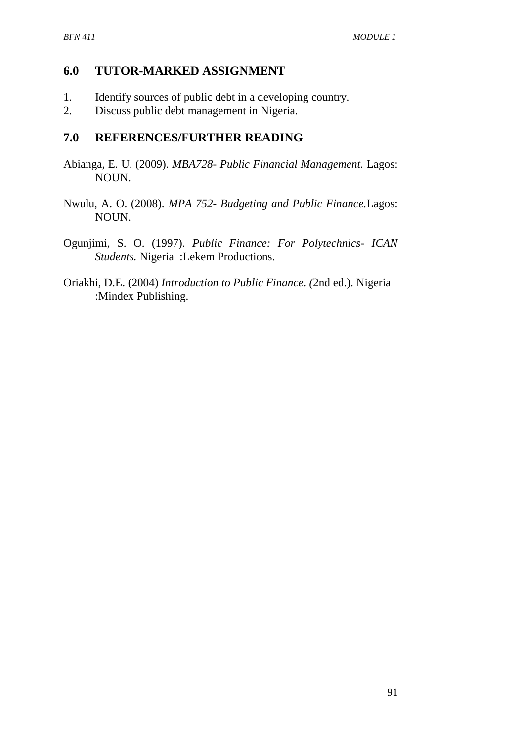#### **6.0 TUTOR-MARKED ASSIGNMENT**

- 1. Identify sources of public debt in a developing country.
- 2. Discuss public debt management in Nigeria.

#### **7.0 REFERENCES/FURTHER READING**

- Abianga, E. U. (2009). *MBA728- Public Financial Management.* Lagos: NOUN.
- Nwulu, A. O. (2008). *MPA 752- Budgeting and Public Finance.*Lagos: NOUN.
- Ogunjimi, S. O. (1997). *Public Finance: For Polytechnics- ICAN Students.* Nigeria :Lekem Productions.
- Oriakhi, D.E. (2004) *Introduction to Public Finance. (*2nd ed.). Nigeria :Mindex Publishing.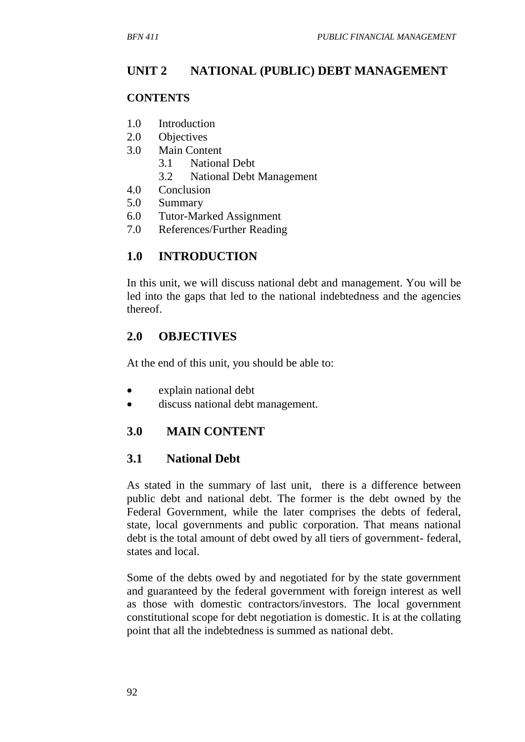# **UNIT 2 NATIONAL (PUBLIC) DEBT MANAGEMENT**

#### **CONTENTS**

- 1.0 Introduction
- 2.0 Objectives
- 3.0 Main Content
	- 3.1 National Debt
	- 3.2 National Debt Management
- 4.0 Conclusion
- 5.0 Summary
- 6.0 Tutor-Marked Assignment
- 7.0 References/Further Reading

# **1.0 INTRODUCTION**

In this unit, we will discuss national debt and management. You will be led into the gaps that led to the national indebtedness and the agencies thereof.

## **2.0 OBJECTIVES**

At the end of this unit, you should be able to:

- explain national debt
- discuss national debt management.

### **3.0 MAIN CONTENT**

### **3.1 National Debt**

As stated in the summary of last unit, there is a difference between public debt and national debt. The former is the debt owned by the Federal Government, while the later comprises the debts of federal, state, local governments and public corporation. That means national debt is the total amount of debt owed by all tiers of government- federal, states and local.

Some of the debts owed by and negotiated for by the state government and guaranteed by the federal government with foreign interest as well as those with domestic contractors/investors. The local government constitutional scope for debt negotiation is domestic. It is at the collating point that all the indebtedness is summed as national debt.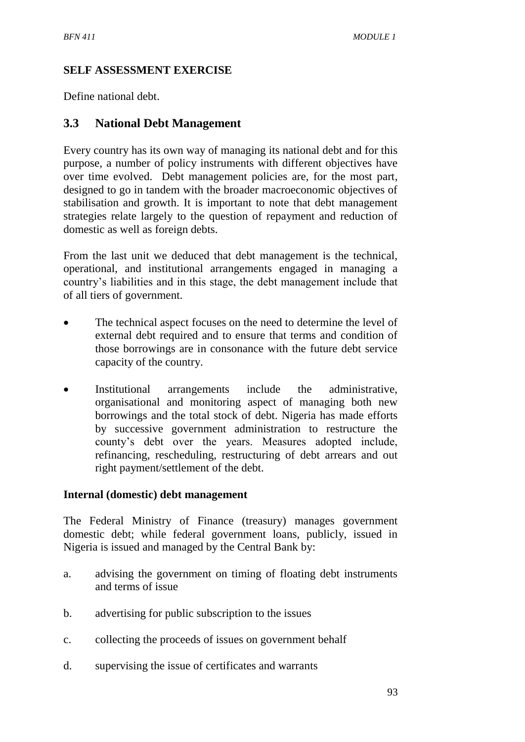### **SELF ASSESSMENT EXERCISE**

Define national debt.

## **3.3 National Debt Management**

Every country has its own way of managing its national debt and for this purpose, a number of policy instruments with different objectives have over time evolved. Debt management policies are, for the most part, designed to go in tandem with the broader macroeconomic objectives of stabilisation and growth. It is important to note that debt management strategies relate largely to the question of repayment and reduction of domestic as well as foreign debts.

From the last unit we deduced that debt management is the technical, operational, and institutional arrangements engaged in managing a country's liabilities and in this stage, the debt management include that of all tiers of government.

- The technical aspect focuses on the need to determine the level of external debt required and to ensure that terms and condition of those borrowings are in consonance with the future debt service capacity of the country.
- Institutional arrangements include the administrative, organisational and monitoring aspect of managing both new borrowings and the total stock of debt. Nigeria has made efforts by successive government administration to restructure the county's debt over the years. Measures adopted include, refinancing, rescheduling, restructuring of debt arrears and out right payment/settlement of the debt.

#### **Internal (domestic) debt management**

The Federal Ministry of Finance (treasury) manages government domestic debt; while federal government loans, publicly, issued in Nigeria is issued and managed by the Central Bank by:

- a. advising the government on timing of floating debt instruments and terms of issue
- b. advertising for public subscription to the issues
- c. collecting the proceeds of issues on government behalf
- d. supervising the issue of certificates and warrants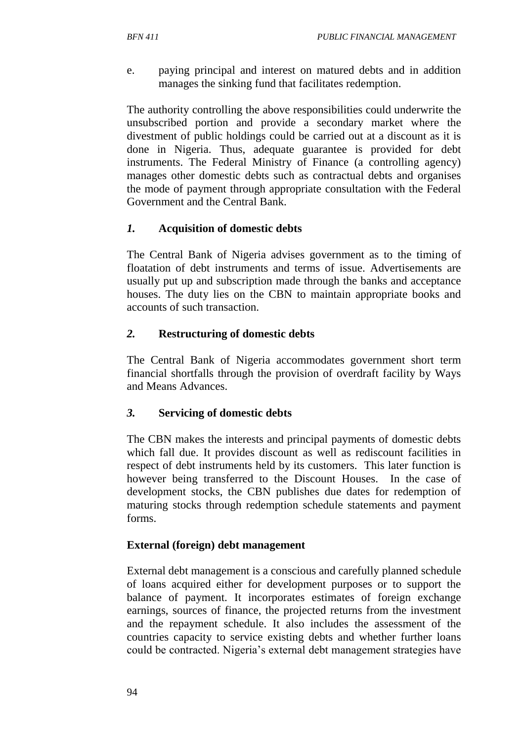e. paying principal and interest on matured debts and in addition manages the sinking fund that facilitates redemption.

The authority controlling the above responsibilities could underwrite the unsubscribed portion and provide a secondary market where the divestment of public holdings could be carried out at a discount as it is done in Nigeria. Thus, adequate guarantee is provided for debt instruments. The Federal Ministry of Finance (a controlling agency) manages other domestic debts such as contractual debts and organises the mode of payment through appropriate consultation with the Federal Government and the Central Bank.

#### *1.* **Acquisition of domestic debts**

The Central Bank of Nigeria advises government as to the timing of floatation of debt instruments and terms of issue. Advertisements are usually put up and subscription made through the banks and acceptance houses. The duty lies on the CBN to maintain appropriate books and accounts of such transaction.

#### *2.* **Restructuring of domestic debts**

The Central Bank of Nigeria accommodates government short term financial shortfalls through the provision of overdraft facility by Ways and Means Advances.

#### *3.* **Servicing of domestic debts**

The CBN makes the interests and principal payments of domestic debts which fall due. It provides discount as well as rediscount facilities in respect of debt instruments held by its customers. This later function is however being transferred to the Discount Houses. In the case of development stocks, the CBN publishes due dates for redemption of maturing stocks through redemption schedule statements and payment forms.

#### **External (foreign) debt management**

External debt management is a conscious and carefully planned schedule of loans acquired either for development purposes or to support the balance of payment. It incorporates estimates of foreign exchange earnings, sources of finance, the projected returns from the investment and the repayment schedule. It also includes the assessment of the countries capacity to service existing debts and whether further loans could be contracted. Nigeria's external debt management strategies have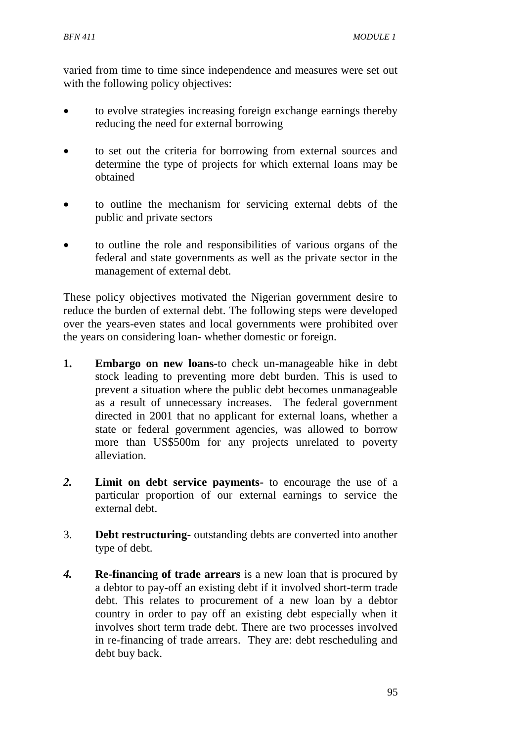varied from time to time since independence and measures were set out with the following policy objectives:

- to evolve strategies increasing foreign exchange earnings thereby reducing the need for external borrowing
- to set out the criteria for borrowing from external sources and determine the type of projects for which external loans may be obtained
- to outline the mechanism for servicing external debts of the public and private sectors
- to outline the role and responsibilities of various organs of the federal and state governments as well as the private sector in the management of external debt.

These policy objectives motivated the Nigerian government desire to reduce the burden of external debt. The following steps were developed over the years-even states and local governments were prohibited over the years on considering loan- whether domestic or foreign.

- **1. Embargo on new loans-**to check un-manageable hike in debt stock leading to preventing more debt burden. This is used to prevent a situation where the public debt becomes unmanageable as a result of unnecessary increases. The federal government directed in 2001 that no applicant for external loans, whether a state or federal government agencies, was allowed to borrow more than US\$500m for any projects unrelated to poverty alleviation.
- *2.* **Limit on debt service payments-** to encourage the use of a particular proportion of our external earnings to service the external debt.
- 3. **Debt restructuring** outstanding debts are converted into another type of debt.
- *4.* **Re-financing of trade arrears** is a new loan that is procured by a debtor to pay-off an existing debt if it involved short-term trade debt. This relates to procurement of a new loan by a debtor country in order to pay off an existing debt especially when it involves short term trade debt. There are two processes involved in re-financing of trade arrears. They are: debt rescheduling and debt buy back.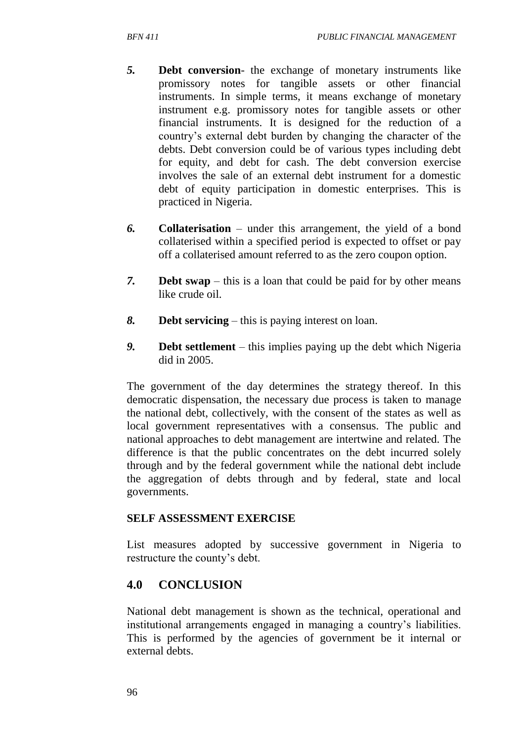- *5.* **Debt conversion** the exchange of monetary instruments like promissory notes for tangible assets or other financial instruments. In simple terms, it means exchange of monetary instrument e.g. promissory notes for tangible assets or other financial instruments. It is designed for the reduction of a country's external debt burden by changing the character of the debts. Debt conversion could be of various types including debt for equity, and debt for cash. The debt conversion exercise involves the sale of an external debt instrument for a domestic debt of equity participation in domestic enterprises. This is practiced in Nigeria.
- *6.* **Collaterisation** under this arrangement, the yield of a bond collaterised within a specified period is expected to offset or pay off a collaterised amount referred to as the zero coupon option.
- *7.* **Debt swap** this is a loan that could be paid for by other means like crude oil.
- *8.* **Debt servicing** this is paying interest on loan.
- *9.* **Debt settlement** this implies paying up the debt which Nigeria did in 2005.

The government of the day determines the strategy thereof. In this democratic dispensation, the necessary due process is taken to manage the national debt, collectively, with the consent of the states as well as local government representatives with a consensus. The public and national approaches to debt management are intertwine and related. The difference is that the public concentrates on the debt incurred solely through and by the federal government while the national debt include the aggregation of debts through and by federal, state and local governments.

### **SELF ASSESSMENT EXERCISE**

List measures adopted by successive government in Nigeria to restructure the county's debt.

# **4.0 CONCLUSION**

National debt management is shown as the technical, operational and institutional arrangements engaged in managing a country's liabilities. This is performed by the agencies of government be it internal or external debts.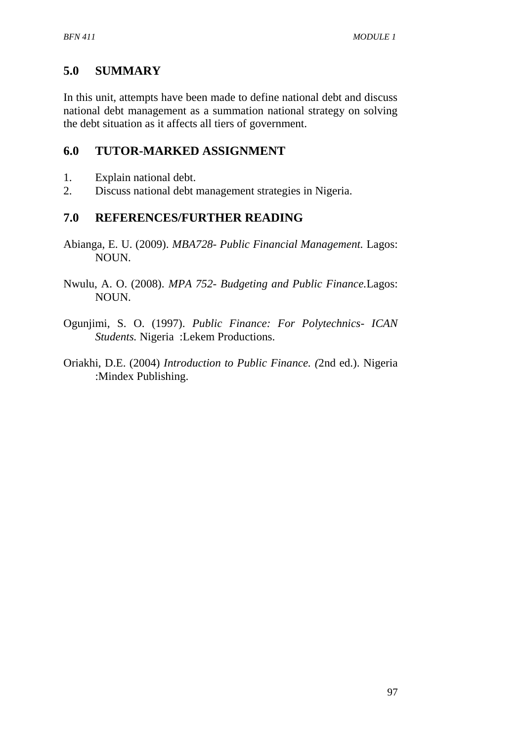# **5.0 SUMMARY**

In this unit, attempts have been made to define national debt and discuss national debt management as a summation national strategy on solving the debt situation as it affects all tiers of government.

# **6.0 TUTOR-MARKED ASSIGNMENT**

- 1. Explain national debt.
- 2. Discuss national debt management strategies in Nigeria.

# **7.0 REFERENCES/FURTHER READING**

- Abianga, E. U. (2009). *MBA728- Public Financial Management.* Lagos: NOUN.
- Nwulu, A. O. (2008). *MPA 752- Budgeting and Public Finance.*Lagos: NOUN.
- Ogunjimi, S. O. (1997). *Public Finance: For Polytechnics- ICAN Students.* Nigeria :Lekem Productions.
- Oriakhi, D.E. (2004) *Introduction to Public Finance. (*2nd ed.). Nigeria :Mindex Publishing.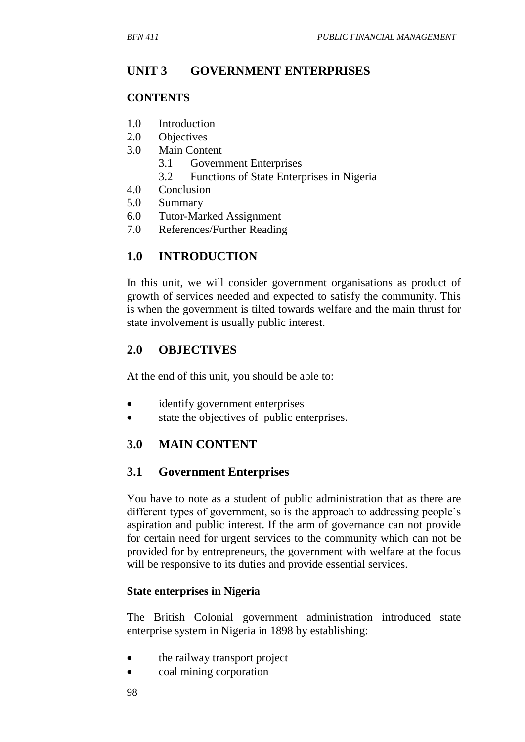## **UNIT 3 GOVERNMENT ENTERPRISES**

#### **CONTENTS**

- 1.0 Introduction
- 2.0 Objectives
- 3.0 Main Content
	- 3.1 Government Enterprises
	- 3.2 Functions of State Enterprises in Nigeria
- 4.0 Conclusion
- 5.0 Summary
- 6.0 Tutor-Marked Assignment
- 7.0 References/Further Reading

### **1.0 INTRODUCTION**

In this unit, we will consider government organisations as product of growth of services needed and expected to satisfy the community. This is when the government is tilted towards welfare and the main thrust for state involvement is usually public interest.

### **2.0 OBJECTIVES**

At the end of this unit, you should be able to:

- identify government enterprises
- state the objectives of public enterprises.

### **3.0 MAIN CONTENT**

### **3.1 Government Enterprises**

You have to note as a student of public administration that as there are different types of government, so is the approach to addressing people's aspiration and public interest. If the arm of governance can not provide for certain need for urgent services to the community which can not be provided for by entrepreneurs, the government with welfare at the focus will be responsive to its duties and provide essential services.

#### **State enterprises in Nigeria**

The British Colonial government administration introduced state enterprise system in Nigeria in 1898 by establishing:

- the railway transport project
- coal mining corporation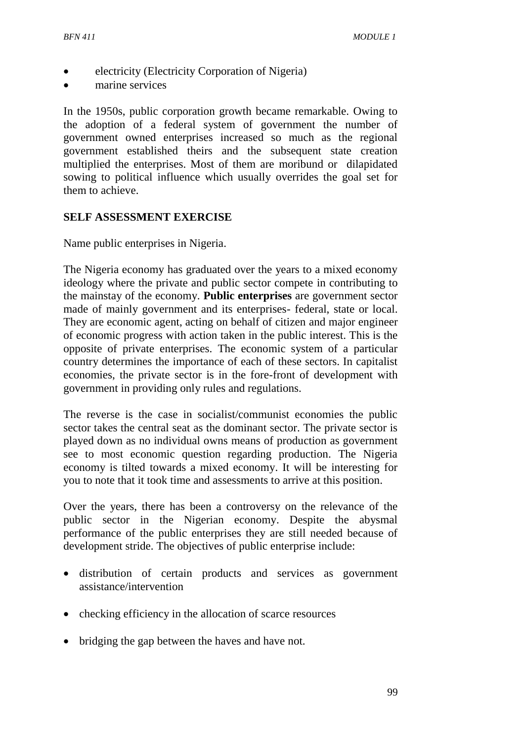- electricity (Electricity Corporation of Nigeria)
- marine services

In the 1950s, public corporation growth became remarkable. Owing to the adoption of a federal system of government the number of government owned enterprises increased so much as the regional government established theirs and the subsequent state creation multiplied the enterprises. Most of them are moribund or dilapidated sowing to political influence which usually overrides the goal set for them to achieve.

#### **SELF ASSESSMENT EXERCISE**

Name public enterprises in Nigeria.

The Nigeria economy has graduated over the years to a mixed economy ideology where the private and public sector compete in contributing to the mainstay of the economy. **Public enterprises** are government sector made of mainly government and its enterprises- federal, state or local. They are economic agent, acting on behalf of citizen and major engineer of economic progress with action taken in the public interest. This is the opposite of private enterprises. The economic system of a particular country determines the importance of each of these sectors. In capitalist economies, the private sector is in the fore-front of development with government in providing only rules and regulations.

The reverse is the case in socialist/communist economies the public sector takes the central seat as the dominant sector. The private sector is played down as no individual owns means of production as government see to most economic question regarding production. The Nigeria economy is tilted towards a mixed economy. It will be interesting for you to note that it took time and assessments to arrive at this position.

Over the years, there has been a controversy on the relevance of the public sector in the Nigerian economy. Despite the abysmal performance of the public enterprises they are still needed because of development stride. The objectives of public enterprise include:

- distribution of certain products and services as government assistance/intervention
- checking efficiency in the allocation of scarce resources
- bridging the gap between the haves and have not.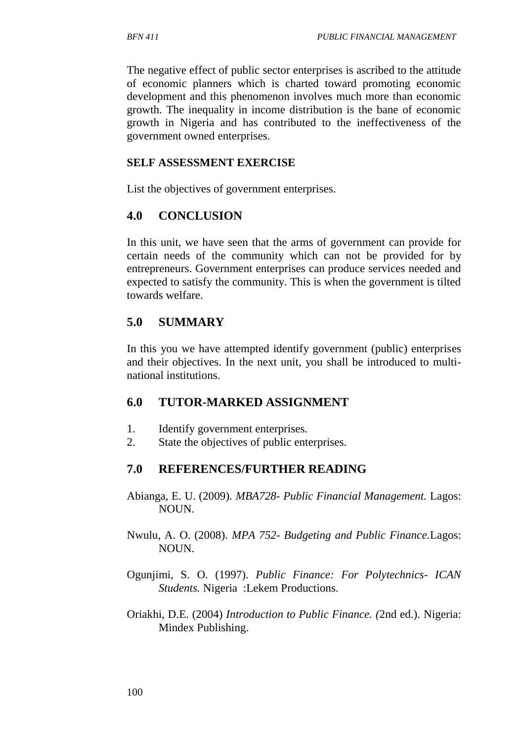The negative effect of public sector enterprises is ascribed to the attitude of economic planners which is charted toward promoting economic development and this phenomenon involves much more than economic growth. The inequality in income distribution is the bane of economic growth in Nigeria and has contributed to the ineffectiveness of the government owned enterprises.

#### **SELF ASSESSMENT EXERCISE**

List the objectives of government enterprises.

## **4.0 CONCLUSION**

In this unit, we have seen that the arms of government can provide for certain needs of the community which can not be provided for by entrepreneurs. Government enterprises can produce services needed and expected to satisfy the community. This is when the government is tilted towards welfare.

# **5.0 SUMMARY**

In this you we have attempted identify government (public) enterprises and their objectives. In the next unit, you shall be introduced to multinational institutions.

### **6.0 TUTOR-MARKED ASSIGNMENT**

- 1. Identify government enterprises.
- 2. State the objectives of public enterprises.

### **7.0 REFERENCES/FURTHER READING**

- Abianga, E. U. (2009). *MBA728- Public Financial Management.* Lagos: NOUN.
- Nwulu, A. O. (2008). *MPA 752- Budgeting and Public Finance.*Lagos: NOUN.
- Ogunjimi, S. O. (1997). *Public Finance: For Polytechnics- ICAN Students.* Nigeria :Lekem Productions.
- Oriakhi, D.E. (2004) *Introduction to Public Finance. (*2nd ed.). Nigeria: Mindex Publishing.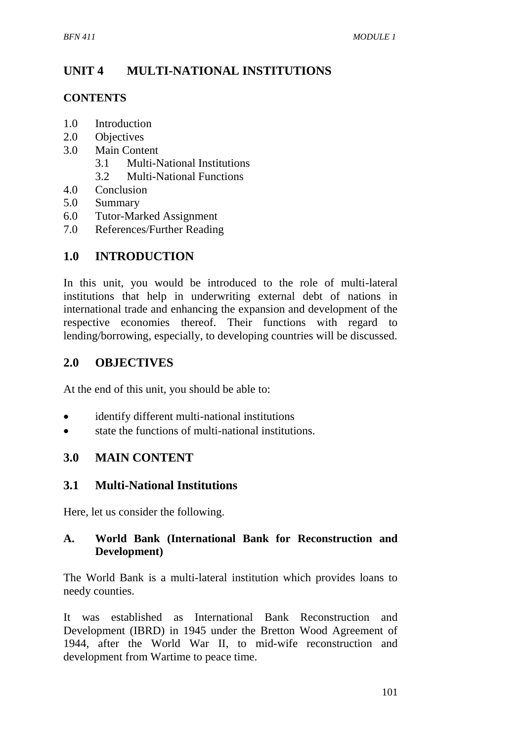# **UNIT 4 MULTI-NATIONAL INSTITUTIONS**

#### **CONTENTS**

- 1.0 Introduction
- 2.0 Objectives
- 3.0 Main Content
	- 3.1 Multi-National Institutions
	- 3.2 Multi-National Functions
- 4.0 Conclusion
- 5.0 Summary
- 6.0 Tutor-Marked Assignment
- 7.0 References/Further Reading

# **1.0 INTRODUCTION**

In this unit, you would be introduced to the role of multi-lateral institutions that help in underwriting external debt of nations in international trade and enhancing the expansion and development of the respective economies thereof. Their functions with regard to lending/borrowing, especially, to developing countries will be discussed.

## **2.0 OBJECTIVES**

At the end of this unit, you should be able to:

- identify different multi-national institutions
- state the functions of multi-national institutions.

### **3.0 MAIN CONTENT**

### **3.1 Multi-National Institutions**

Here, let us consider the following.

#### **A. World Bank (International Bank for Reconstruction and Development)**

The World Bank is a multi-lateral institution which provides loans to needy counties.

It was established as International Bank Reconstruction and Development (IBRD) in 1945 under the Bretton Wood Agreement of 1944, after the World War II, to mid-wife reconstruction and development from Wartime to peace time.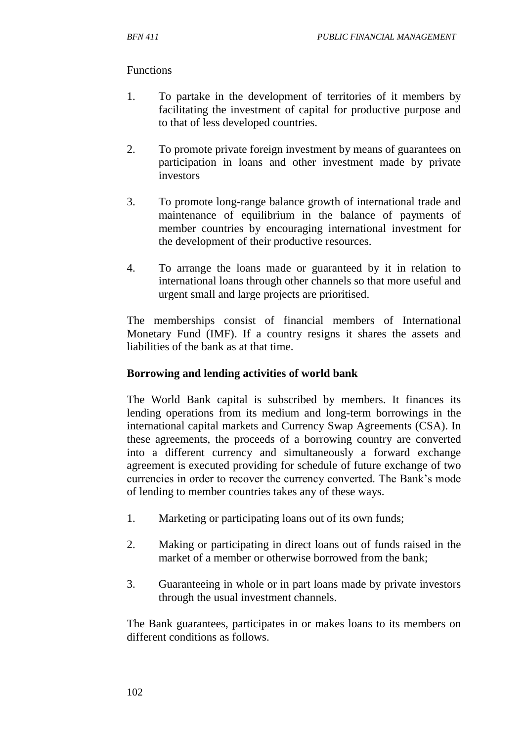#### Functions

- 1. To partake in the development of territories of it members by facilitating the investment of capital for productive purpose and to that of less developed countries.
- 2. To promote private foreign investment by means of guarantees on participation in loans and other investment made by private investors
- 3. To promote long-range balance growth of international trade and maintenance of equilibrium in the balance of payments of member countries by encouraging international investment for the development of their productive resources.
- 4. To arrange the loans made or guaranteed by it in relation to international loans through other channels so that more useful and urgent small and large projects are prioritised.

The memberships consist of financial members of International Monetary Fund (IMF). If a country resigns it shares the assets and liabilities of the bank as at that time.

#### **Borrowing and lending activities of world bank**

The World Bank capital is subscribed by members. It finances its lending operations from its medium and long-term borrowings in the international capital markets and Currency Swap Agreements (CSA). In these agreements, the proceeds of a borrowing country are converted into a different currency and simultaneously a forward exchange agreement is executed providing for schedule of future exchange of two currencies in order to recover the currency converted. The Bank's mode of lending to member countries takes any of these ways.

- 1. Marketing or participating loans out of its own funds;
- 2. Making or participating in direct loans out of funds raised in the market of a member or otherwise borrowed from the bank;
- 3. Guaranteeing in whole or in part loans made by private investors through the usual investment channels.

The Bank guarantees, participates in or makes loans to its members on different conditions as follows.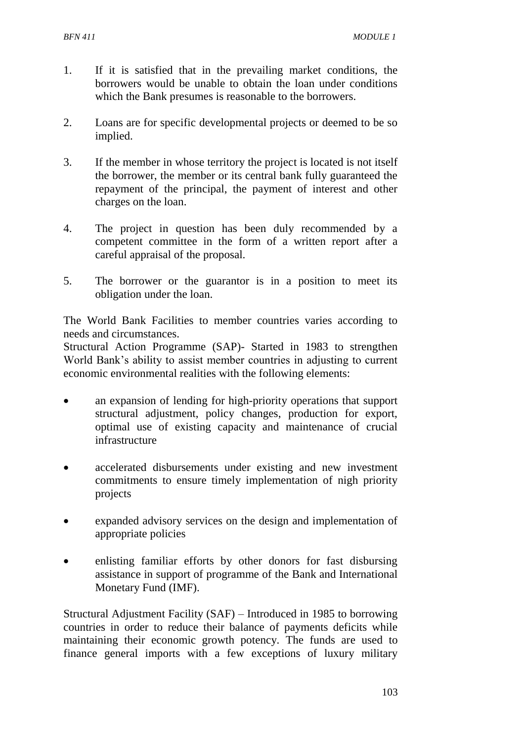- 1. If it is satisfied that in the prevailing market conditions, the borrowers would be unable to obtain the loan under conditions which the Bank presumes is reasonable to the borrowers.
- 2. Loans are for specific developmental projects or deemed to be so implied.
- 3. If the member in whose territory the project is located is not itself the borrower, the member or its central bank fully guaranteed the repayment of the principal, the payment of interest and other charges on the loan.
- 4. The project in question has been duly recommended by a competent committee in the form of a written report after a careful appraisal of the proposal.
- 5. The borrower or the guarantor is in a position to meet its obligation under the loan.

The World Bank Facilities to member countries varies according to needs and circumstances.

Structural Action Programme (SAP)- Started in 1983 to strengthen World Bank's ability to assist member countries in adjusting to current economic environmental realities with the following elements:

- an expansion of lending for high-priority operations that support structural adjustment, policy changes, production for export, optimal use of existing capacity and maintenance of crucial infrastructure
- accelerated disbursements under existing and new investment commitments to ensure timely implementation of nigh priority projects
- expanded advisory services on the design and implementation of appropriate policies
- enlisting familiar efforts by other donors for fast disbursing assistance in support of programme of the Bank and International Monetary Fund (IMF).

Structural Adjustment Facility (SAF) – Introduced in 1985 to borrowing countries in order to reduce their balance of payments deficits while maintaining their economic growth potency. The funds are used to finance general imports with a few exceptions of luxury military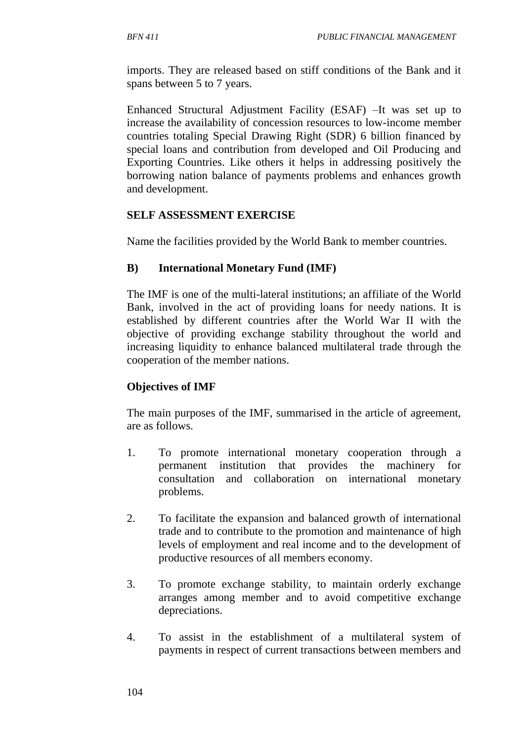imports. They are released based on stiff conditions of the Bank and it spans between 5 to 7 years.

Enhanced Structural Adjustment Facility (ESAF) –It was set up to increase the availability of concession resources to low-income member countries totaling Special Drawing Right (SDR) 6 billion financed by special loans and contribution from developed and Oil Producing and Exporting Countries. Like others it helps in addressing positively the borrowing nation balance of payments problems and enhances growth and development.

#### **SELF ASSESSMENT EXERCISE**

Name the facilities provided by the World Bank to member countries.

### **B) International Monetary Fund (IMF)**

The IMF is one of the multi-lateral institutions; an affiliate of the World Bank, involved in the act of providing loans for needy nations. It is established by different countries after the World War II with the objective of providing exchange stability throughout the world and increasing liquidity to enhance balanced multilateral trade through the cooperation of the member nations.

### **Objectives of IMF**

The main purposes of the IMF, summarised in the article of agreement, are as follows.

- 1. To promote international monetary cooperation through a permanent institution that provides the machinery for consultation and collaboration on international monetary problems.
- 2. To facilitate the expansion and balanced growth of international trade and to contribute to the promotion and maintenance of high levels of employment and real income and to the development of productive resources of all members economy.
- 3. To promote exchange stability, to maintain orderly exchange arranges among member and to avoid competitive exchange depreciations.
- 4. To assist in the establishment of a multilateral system of payments in respect of current transactions between members and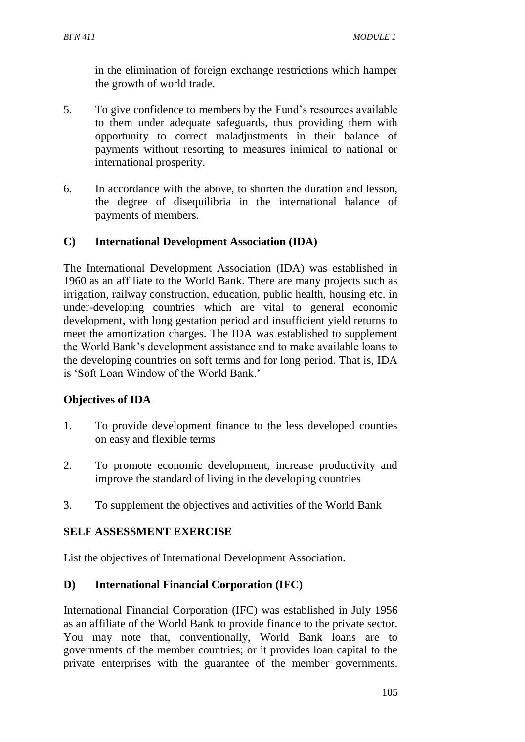in the elimination of foreign exchange restrictions which hamper the growth of world trade.

- 5. To give confidence to members by the Fund's resources available to them under adequate safeguards, thus providing them with opportunity to correct maladjustments in their balance of payments without resorting to measures inimical to national or international prosperity.
- 6. In accordance with the above, to shorten the duration and lesson, the degree of disequilibria in the international balance of payments of members.

### **C) International Development Association (IDA)**

The International Development Association (IDA) was established in 1960 as an affiliate to the World Bank. There are many projects such as irrigation, railway construction, education, public health, housing etc. in under-developing countries which are vital to general economic development, with long gestation period and insufficient yield returns to meet the amortization charges. The IDA was established to supplement the World Bank's development assistance and to make available loans to the developing countries on soft terms and for long period. That is, IDA is 'Soft Loan Window of the World Bank.'

### **Objectives of IDA**

- 1. To provide development finance to the less developed counties on easy and flexible terms
- 2. To promote economic development, increase productivity and improve the standard of living in the developing countries
- 3. To supplement the objectives and activities of the World Bank

### **SELF ASSESSMENT EXERCISE**

List the objectives of International Development Association.

#### **D) International Financial Corporation (IFC)**

International Financial Corporation (IFC) was established in July 1956 as an affiliate of the World Bank to provide finance to the private sector. You may note that, conventionally, World Bank loans are to governments of the member countries; or it provides loan capital to the private enterprises with the guarantee of the member governments.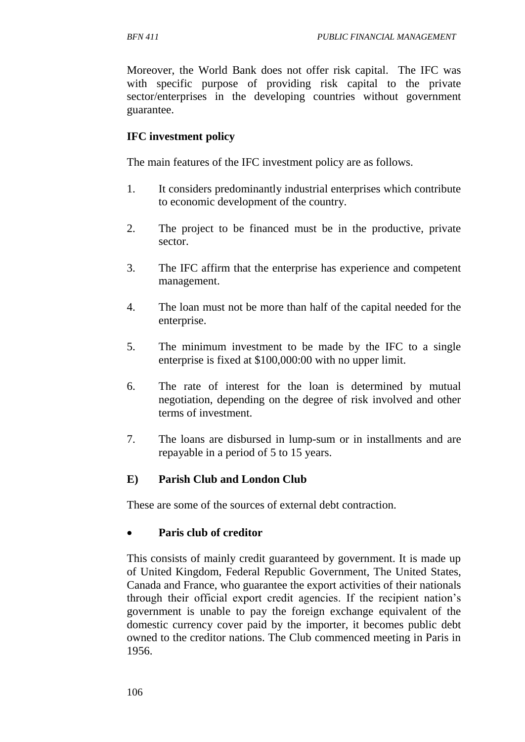Moreover, the World Bank does not offer risk capital. The IFC was with specific purpose of providing risk capital to the private sector/enterprises in the developing countries without government guarantee.

### **IFC investment policy**

The main features of the IFC investment policy are as follows.

- 1. It considers predominantly industrial enterprises which contribute to economic development of the country.
- 2. The project to be financed must be in the productive, private sector.
- 3. The IFC affirm that the enterprise has experience and competent management.
- 4. The loan must not be more than half of the capital needed for the enterprise.
- 5. The minimum investment to be made by the IFC to a single enterprise is fixed at \$100,000:00 with no upper limit.
- 6. The rate of interest for the loan is determined by mutual negotiation, depending on the degree of risk involved and other terms of investment.
- 7. The loans are disbursed in lump-sum or in installments and are repayable in a period of 5 to 15 years.

### **E) Parish Club and London Club**

These are some of the sources of external debt contraction.

### **Paris club of creditor**

This consists of mainly credit guaranteed by government. It is made up of United Kingdom, Federal Republic Government, The United States, Canada and France, who guarantee the export activities of their nationals through their official export credit agencies. If the recipient nation's government is unable to pay the foreign exchange equivalent of the domestic currency cover paid by the importer, it becomes public debt owned to the creditor nations. The Club commenced meeting in Paris in 1956.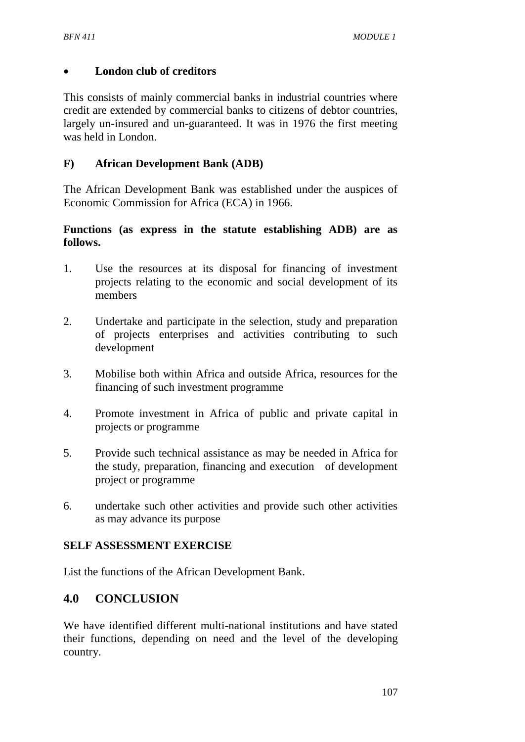#### **London club of creditors**

This consists of mainly commercial banks in industrial countries where credit are extended by commercial banks to citizens of debtor countries, largely un-insured and un-guaranteed. It was in 1976 the first meeting was held in London.

#### **F) African Development Bank (ADB)**

The African Development Bank was established under the auspices of Economic Commission for Africa (ECA) in 1966.

#### **Functions (as express in the statute establishing ADB) are as follows.**

- 1. Use the resources at its disposal for financing of investment projects relating to the economic and social development of its members
- 2. Undertake and participate in the selection, study and preparation of projects enterprises and activities contributing to such development
- 3. Mobilise both within Africa and outside Africa, resources for the financing of such investment programme
- 4. Promote investment in Africa of public and private capital in projects or programme
- 5. Provide such technical assistance as may be needed in Africa for the study, preparation, financing and execution of development project or programme
- 6. undertake such other activities and provide such other activities as may advance its purpose

### **SELF ASSESSMENT EXERCISE**

List the functions of the African Development Bank.

# **4.0 CONCLUSION**

We have identified different multi-national institutions and have stated their functions, depending on need and the level of the developing country.